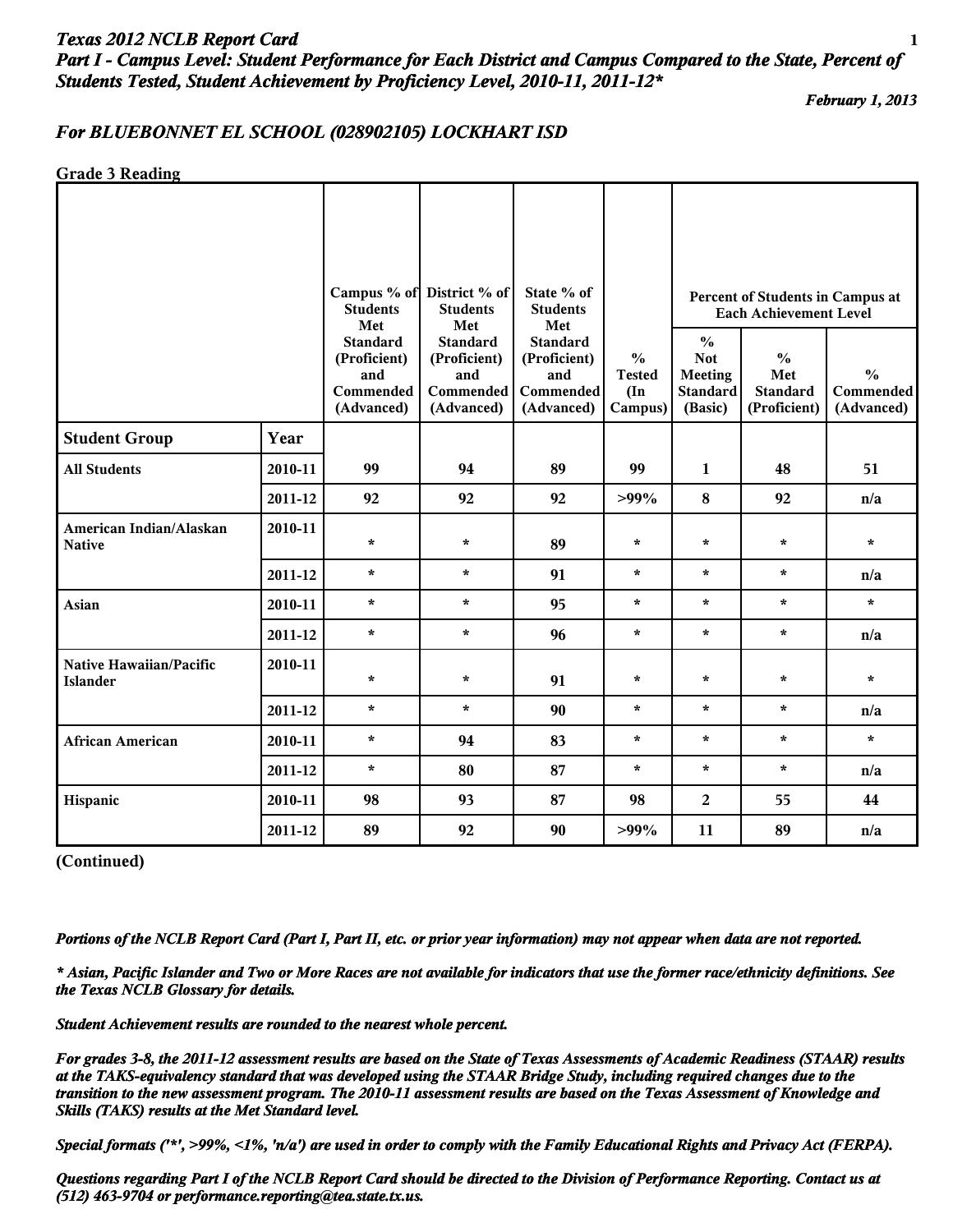# *Texas 2012 NCLB Report Card* **1** *Part I - Campus Level: Student Performance for Each District and Campus Compared to the State, Percent of Students Tested, Student Achievement by Proficiency Level, 2010-11, 2011-12\**

*February 1, 2013*

## *For BLUEBONNET EL SCHOOL (028902105) LOCKHART ISD*

**Grade 3 Reading**

|                                            |         | <b>Students</b><br>Met                                            | Campus % of District % of<br><b>Students</b>                             | State % of<br><b>Students</b>                                            |                                                            | Percent of Students in Campus at<br><b>Each Achievement Level</b>           |                                                         |                                          |
|--------------------------------------------|---------|-------------------------------------------------------------------|--------------------------------------------------------------------------|--------------------------------------------------------------------------|------------------------------------------------------------|-----------------------------------------------------------------------------|---------------------------------------------------------|------------------------------------------|
|                                            |         | <b>Standard</b><br>(Proficient)<br>and<br>Commended<br>(Advanced) | Met<br><b>Standard</b><br>(Proficient)<br>and<br>Commended<br>(Advanced) | Met<br><b>Standard</b><br>(Proficient)<br>and<br>Commended<br>(Advanced) | $\frac{0}{0}$<br><b>Tested</b><br>$(\text{In})$<br>Campus) | $\frac{0}{0}$<br><b>Not</b><br><b>Meeting</b><br><b>Standard</b><br>(Basic) | $\frac{0}{0}$<br>Met<br><b>Standard</b><br>(Proficient) | $\frac{0}{0}$<br>Commended<br>(Advanced) |
| <b>Student Group</b>                       | Year    |                                                                   |                                                                          |                                                                          |                                                            |                                                                             |                                                         |                                          |
| <b>All Students</b>                        | 2010-11 | 99                                                                | 94                                                                       | 89                                                                       | 99                                                         | $\mathbf{1}$                                                                | 48                                                      | 51                                       |
|                                            | 2011-12 | 92                                                                | 92                                                                       | 92                                                                       | $>99\%$                                                    | $\boldsymbol{8}$                                                            | 92                                                      | n/a                                      |
| American Indian/Alaskan<br><b>Native</b>   | 2010-11 | $\star$                                                           | $\star$                                                                  | 89                                                                       | $\star$                                                    | $\star$                                                                     | $\star$                                                 | $\star$                                  |
|                                            | 2011-12 | $\star$                                                           | $\star$                                                                  | 91                                                                       | $\star$                                                    | $\star$                                                                     | $\star$                                                 | n/a                                      |
| Asian                                      | 2010-11 | $\star$                                                           | $\star$                                                                  | 95                                                                       | $\star$                                                    | $\star$                                                                     | $\star$                                                 | $\star$                                  |
|                                            | 2011-12 | $\star$                                                           | $\star$                                                                  | 96                                                                       | $\star$                                                    | $\star$                                                                     | $\star$                                                 | n/a                                      |
| Native Hawaiian/Pacific<br><b>Islander</b> | 2010-11 | $\star$                                                           | $\star$                                                                  | 91                                                                       | $\star$                                                    | $\star$                                                                     | $\star$                                                 | $\star$                                  |
|                                            | 2011-12 | $\star$                                                           | $\star$                                                                  | 90                                                                       | $\star$                                                    | $\star$                                                                     | $\star$                                                 | n/a                                      |
| <b>African American</b>                    | 2010-11 | $\star$                                                           | 94                                                                       | 83                                                                       | $\star$                                                    | $\star$                                                                     | $\star$                                                 | $\star$                                  |
|                                            | 2011-12 | $\star$                                                           | 80                                                                       | 87                                                                       | $\star$                                                    | $\star$                                                                     | $\star$                                                 | n/a                                      |
| Hispanic                                   | 2010-11 | 98                                                                | 93                                                                       | 87                                                                       | 98                                                         | $\overline{2}$                                                              | 55                                                      | 44                                       |
|                                            | 2011-12 | 89                                                                | 92                                                                       | 90                                                                       | $>99\%$                                                    | 11                                                                          | 89                                                      | n/a                                      |

**(Continued)**

*Portions of the NCLB Report Card (Part I, Part II, etc. or prior year information) may not appear when data are not reported.*

*\* Asian, Pacific Islander and Two or More Races are not available for indicators that use the former race/ethnicity definitions. See the Texas NCLB Glossary for details.*

*Student Achievement results are rounded to the nearest whole percent.*

*For grades 3-8, the 2011-12 assessment results are based on the State of Texas Assessments of Academic Readiness (STAAR) results at the TAKS-equivalency standard that was developed using the STAAR Bridge Study, including required changes due to the transition to the new assessment program. The 2010-11 assessment results are based on the Texas Assessment of Knowledge and Skills (TAKS) results at the Met Standard level.*

*Special formats ('\*', >99%, <1%, 'n/a') are used in order to comply with the Family Educational Rights and Privacy Act (FERPA).*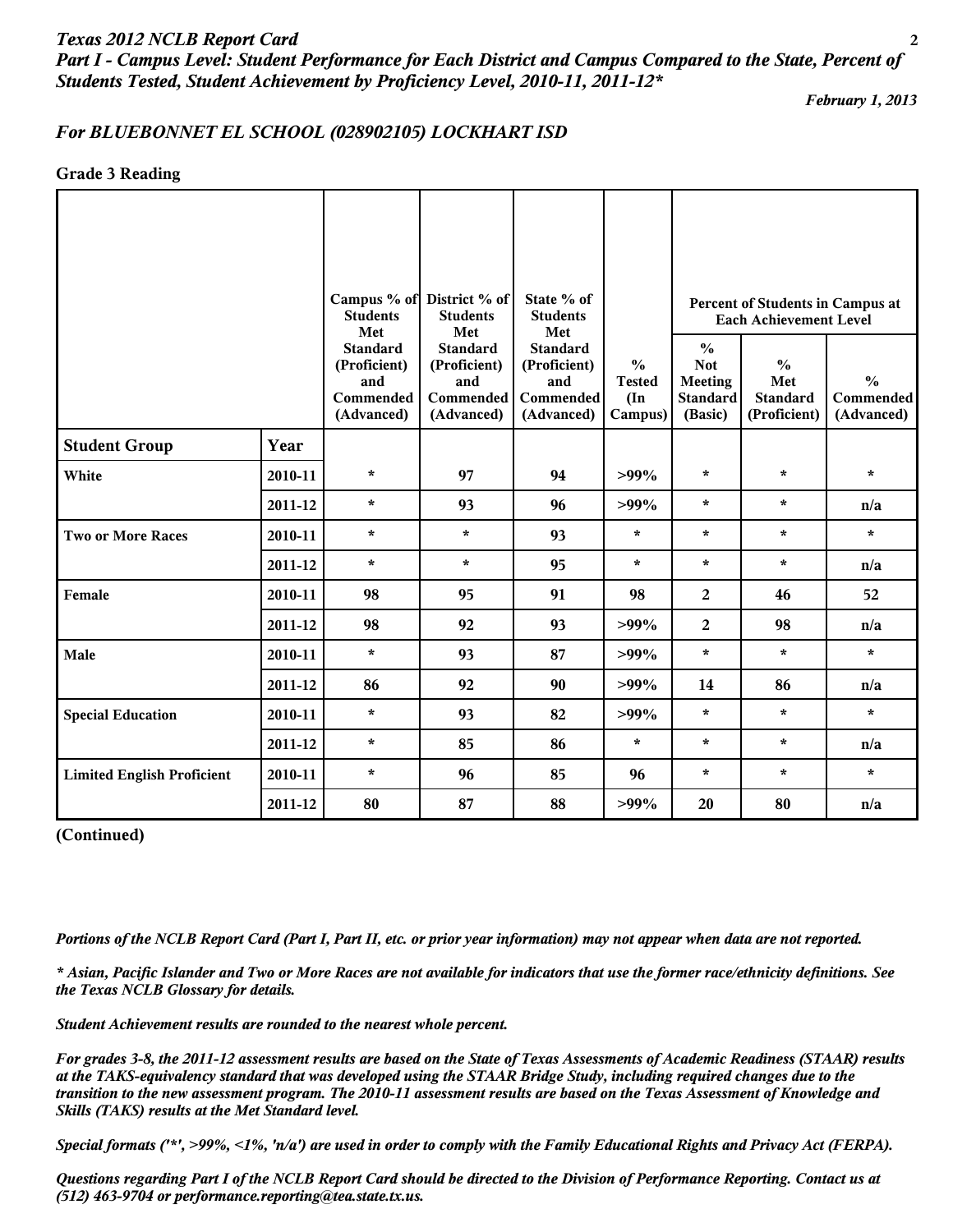*Part I - Campus Level: Student Performance for Each District and Campus Compared to the State, Percent of Students Tested, Student Achievement by Proficiency Level, 2010-11, 2011-12\**

*February 1, 2013*

#### *For BLUEBONNET EL SCHOOL (028902105) LOCKHART ISD*

**Grade 3 Reading**

|                                   |         | <b>Students</b><br>Met                                            | Campus % of District % of<br><b>Students</b><br>Met               | State % of<br><b>Students</b><br>Met                                     |                                                            |                                                                      | Percent of Students in Campus at<br><b>Each Achievement Level</b>                                   |         |
|-----------------------------------|---------|-------------------------------------------------------------------|-------------------------------------------------------------------|--------------------------------------------------------------------------|------------------------------------------------------------|----------------------------------------------------------------------|-----------------------------------------------------------------------------------------------------|---------|
|                                   |         | <b>Standard</b><br>(Proficient)<br>and<br>Commended<br>(Advanced) | <b>Standard</b><br>(Proficient)<br>and<br>Commended<br>(Advanced) | <b>Standard</b><br>(Proficient)<br>and<br><b>Commended</b><br>(Advanced) | $\frac{0}{0}$<br><b>Tested</b><br>$(\text{In})$<br>Campus) | $\frac{0}{0}$<br><b>Not</b><br>Meeting<br><b>Standard</b><br>(Basic) | $\frac{0}{0}$<br>$\frac{0}{0}$<br>Met<br><b>Standard</b><br>Commended<br>(Proficient)<br>(Advanced) |         |
| <b>Student Group</b>              | Year    |                                                                   |                                                                   |                                                                          |                                                            |                                                                      |                                                                                                     |         |
| White                             | 2010-11 | $\star$                                                           | 97                                                                | 94                                                                       | $>99\%$                                                    | $\star$                                                              | $\star$                                                                                             | $\star$ |
|                                   | 2011-12 | $\star$                                                           | 93                                                                | 96                                                                       | $>99\%$                                                    | $\star$                                                              | $\star$                                                                                             | n/a     |
| <b>Two or More Races</b>          | 2010-11 | $\star$                                                           | $\star$                                                           | 93                                                                       | $\star$                                                    | $\star$                                                              | $\star$                                                                                             | $\star$ |
|                                   | 2011-12 | $\star$                                                           | $\star$                                                           | 95                                                                       | $\star$                                                    | $\star$                                                              | $\star$                                                                                             | n/a     |
| Female                            | 2010-11 | 98                                                                | 95                                                                | 91                                                                       | 98                                                         | $\overline{2}$                                                       | 46                                                                                                  | 52      |
|                                   | 2011-12 | 98                                                                | 92                                                                | 93                                                                       | $>99\%$                                                    | $\overline{2}$                                                       | 98                                                                                                  | n/a     |
| Male                              | 2010-11 | $\star$                                                           | 93                                                                | 87                                                                       | $>99\%$                                                    | $\star$                                                              | $\star$                                                                                             | $\star$ |
|                                   | 2011-12 | 86                                                                | 92                                                                | 90                                                                       | $>99\%$                                                    | 14                                                                   | 86                                                                                                  | n/a     |
| <b>Special Education</b>          | 2010-11 | $\star$                                                           | 93                                                                | 82                                                                       | $>99\%$                                                    | $\star$                                                              | $\star$                                                                                             | $\star$ |
|                                   | 2011-12 | $\star$                                                           | 85                                                                | 86                                                                       | $\star$                                                    | $\star$                                                              | $\star$                                                                                             | n/a     |
| <b>Limited English Proficient</b> | 2010-11 | $\star$                                                           | 96                                                                | 85                                                                       | 96                                                         | $\star$                                                              | $\star$                                                                                             | $\star$ |
|                                   | 2011-12 | 80                                                                | 87                                                                | 88                                                                       | $>99\%$                                                    | 20                                                                   | 80                                                                                                  | n/a     |

**(Continued)**

*Portions of the NCLB Report Card (Part I, Part II, etc. or prior year information) may not appear when data are not reported.*

*\* Asian, Pacific Islander and Two or More Races are not available for indicators that use the former race/ethnicity definitions. See the Texas NCLB Glossary for details.*

*Student Achievement results are rounded to the nearest whole percent.*

*For grades 3-8, the 2011-12 assessment results are based on the State of Texas Assessments of Academic Readiness (STAAR) results at the TAKS-equivalency standard that was developed using the STAAR Bridge Study, including required changes due to the transition to the new assessment program. The 2010-11 assessment results are based on the Texas Assessment of Knowledge and Skills (TAKS) results at the Met Standard level.*

*Special formats ('\*', >99%, <1%, 'n/a') are used in order to comply with the Family Educational Rights and Privacy Act (FERPA).*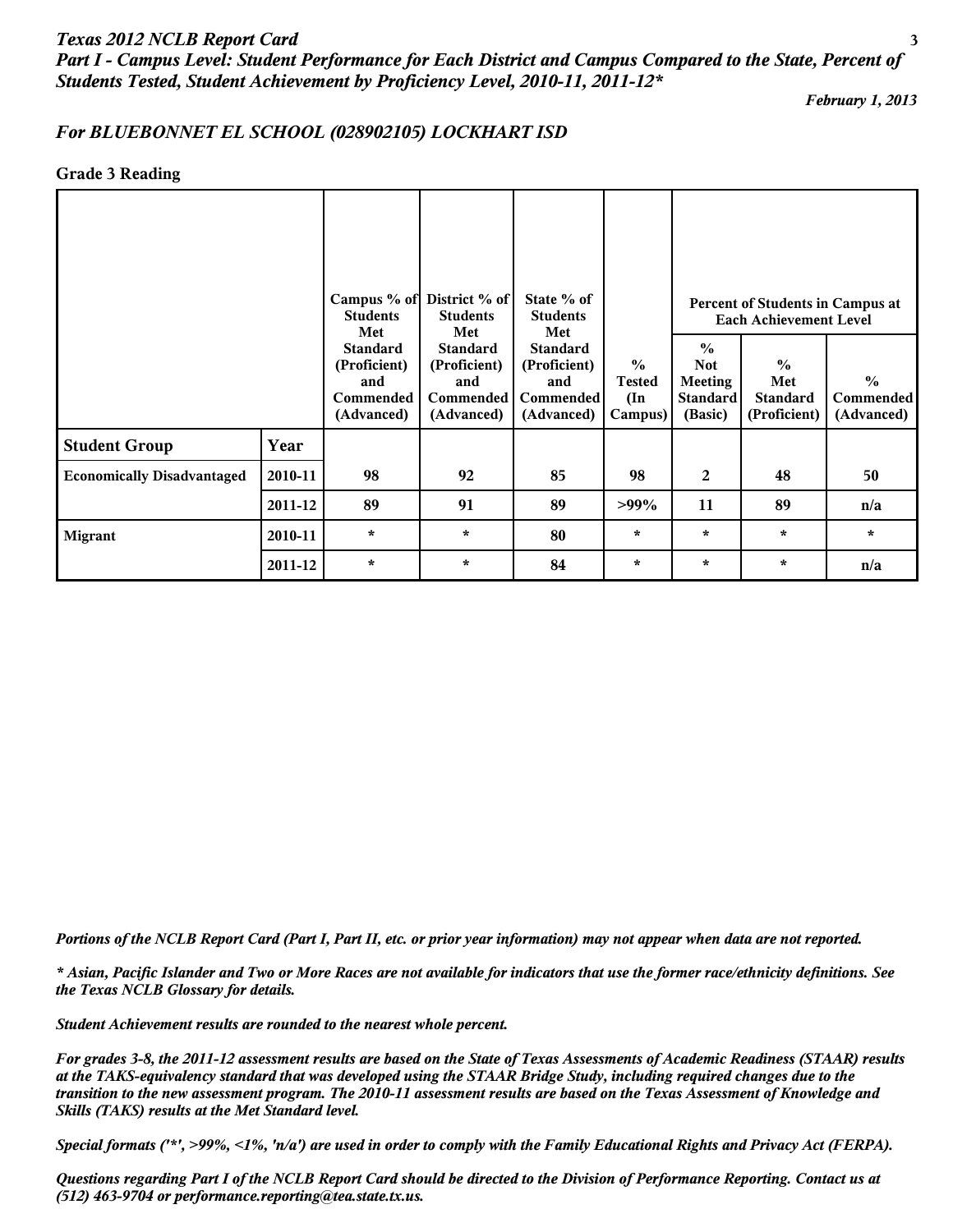# *Texas 2012 NCLB Report Card* **3** *Part I - Campus Level: Student Performance for Each District and Campus Compared to the State, Percent of Students Tested, Student Achievement by Proficiency Level, 2010-11, 2011-12\**

*February 1, 2013*

## *For BLUEBONNET EL SCHOOL (028902105) LOCKHART ISD*

#### **Grade 3 Reading**

|                                   |         | Campus % of District % of<br><b>Students</b><br><b>Students</b><br>Met<br>Met |                                                                   | State % of<br><b>Students</b><br>Met                                     |                                                            | Percent of Students in Campus at<br><b>Each Achievement Level</b>    |                                                         |                                                 |  |
|-----------------------------------|---------|-------------------------------------------------------------------------------|-------------------------------------------------------------------|--------------------------------------------------------------------------|------------------------------------------------------------|----------------------------------------------------------------------|---------------------------------------------------------|-------------------------------------------------|--|
|                                   |         | <b>Standard</b><br>(Proficient)<br>and<br>Commended<br>(Advanced)             | <b>Standard</b><br>(Proficient)<br>and<br>Commended<br>(Advanced) | <b>Standard</b><br>(Proficient)<br>and<br><b>Commended</b><br>(Advanced) | $\frac{0}{0}$<br><b>Tested</b><br>$(\text{In})$<br>Campus) | $\frac{0}{0}$<br><b>Not</b><br>Meeting<br><b>Standard</b><br>(Basic) | $\frac{0}{0}$<br>Met<br><b>Standard</b><br>(Proficient) | $\frac{0}{0}$<br><b>Commended</b><br>(Advanced) |  |
| <b>Student Group</b>              | Year    |                                                                               |                                                                   |                                                                          |                                                            |                                                                      |                                                         |                                                 |  |
| <b>Economically Disadvantaged</b> | 2010-11 | 98                                                                            | 92                                                                | 85                                                                       | 98                                                         | 2                                                                    | 48                                                      | 50                                              |  |
|                                   | 2011-12 | 89                                                                            | 91                                                                | 89                                                                       | $>99\%$                                                    | 11                                                                   | 89                                                      | n/a                                             |  |
| <b>Migrant</b>                    | 2010-11 | $\star$                                                                       | $\star$                                                           | 80                                                                       | $\star$                                                    | $\star$                                                              | $\star$                                                 | $\star$                                         |  |
|                                   | 2011-12 | $\star$                                                                       | $\star$                                                           | 84                                                                       | $\star$                                                    | $\star$                                                              | $\star$                                                 | n/a                                             |  |

*Portions of the NCLB Report Card (Part I, Part II, etc. or prior year information) may not appear when data are not reported.*

*\* Asian, Pacific Islander and Two or More Races are not available for indicators that use the former race/ethnicity definitions. See the Texas NCLB Glossary for details.*

*Student Achievement results are rounded to the nearest whole percent.*

*For grades 3-8, the 2011-12 assessment results are based on the State of Texas Assessments of Academic Readiness (STAAR) results at the TAKS-equivalency standard that was developed using the STAAR Bridge Study, including required changes due to the transition to the new assessment program. The 2010-11 assessment results are based on the Texas Assessment of Knowledge and Skills (TAKS) results at the Met Standard level.*

*Special formats ('\*', >99%, <1%, 'n/a') are used in order to comply with the Family Educational Rights and Privacy Act (FERPA).*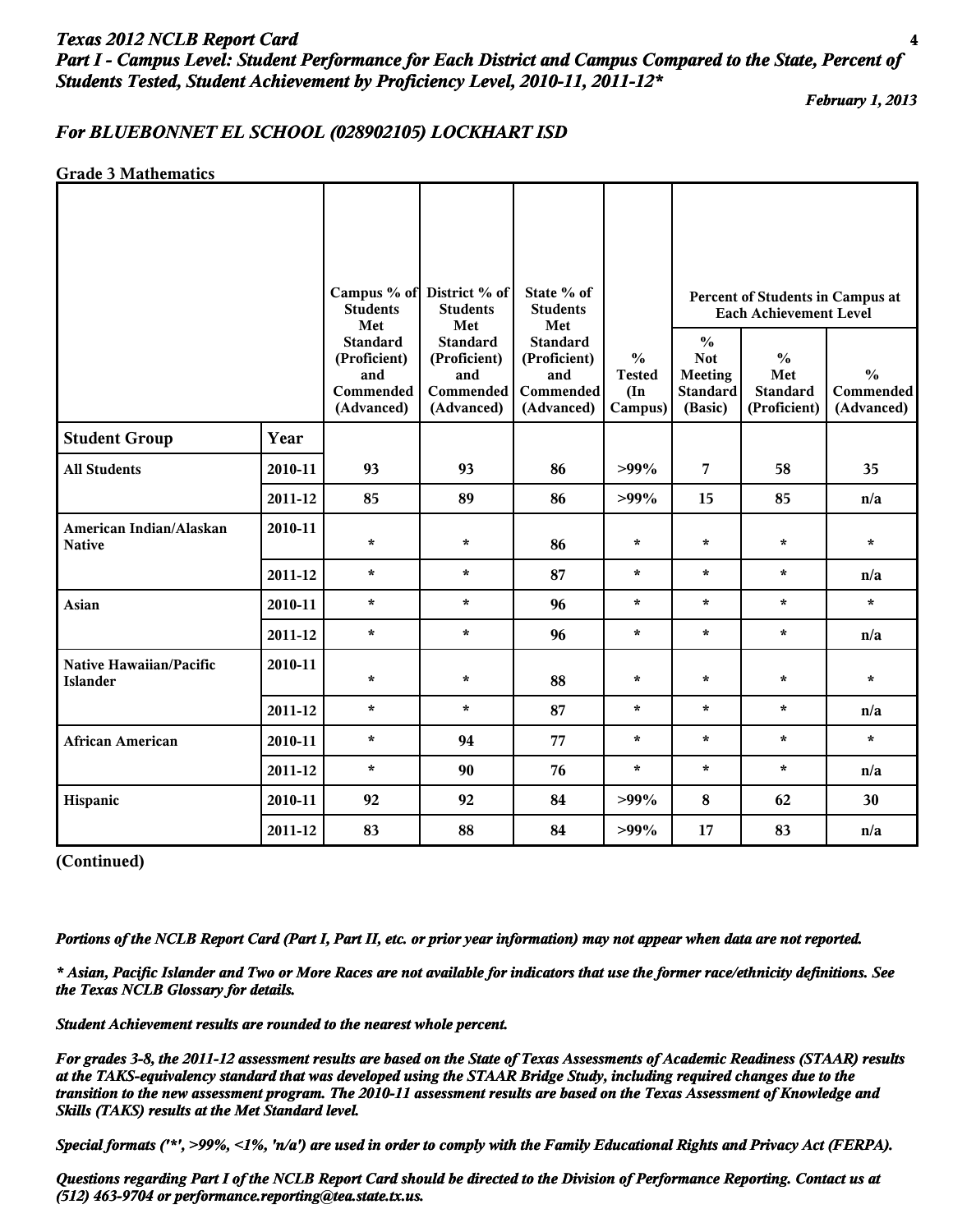## *Texas 2012 NCLB Report Card* **4** *Part I - Campus Level: Student Performance for Each District and Campus Compared to the State, Percent of Students Tested, Student Achievement by Proficiency Level, 2010-11, 2011-12\**

*February 1, 2013*

## *For BLUEBONNET EL SCHOOL (028902105) LOCKHART ISD*

#### **Grade 3 Mathematics**

|                                            |         | <b>Students</b><br>Met                                            | Campus % of District % of<br><b>Students</b><br>Met               | State % of<br><b>Students</b><br>Met                              |                                                            | Percent of Students in Campus at<br><b>Each Achievement Level</b>           |                                                         |                                          |
|--------------------------------------------|---------|-------------------------------------------------------------------|-------------------------------------------------------------------|-------------------------------------------------------------------|------------------------------------------------------------|-----------------------------------------------------------------------------|---------------------------------------------------------|------------------------------------------|
|                                            |         | <b>Standard</b><br>(Proficient)<br>and<br>Commended<br>(Advanced) | <b>Standard</b><br>(Proficient)<br>and<br>Commended<br>(Advanced) | <b>Standard</b><br>(Proficient)<br>and<br>Commended<br>(Advanced) | $\frac{0}{0}$<br><b>Tested</b><br>$(\text{In})$<br>Campus) | $\frac{0}{0}$<br><b>Not</b><br><b>Meeting</b><br><b>Standard</b><br>(Basic) | $\frac{0}{0}$<br>Met<br><b>Standard</b><br>(Proficient) | $\frac{0}{0}$<br>Commended<br>(Advanced) |
| <b>Student Group</b>                       | Year    |                                                                   |                                                                   |                                                                   |                                                            |                                                                             |                                                         |                                          |
| <b>All Students</b>                        | 2010-11 | 93                                                                | 93                                                                | 86                                                                | $>99\%$                                                    | 7                                                                           | 58                                                      | 35                                       |
|                                            | 2011-12 | 85                                                                | 89                                                                | 86                                                                | $>99\%$                                                    | 15                                                                          | 85                                                      | n/a                                      |
| American Indian/Alaskan<br><b>Native</b>   | 2010-11 | $\star$                                                           | $\star$                                                           | 86                                                                | $\star$                                                    | $\star$                                                                     | $\star$                                                 | $\star$                                  |
|                                            | 2011-12 | $\star$                                                           | $\star$                                                           | 87                                                                | $\star$                                                    | $\star$                                                                     | $\star$                                                 | n/a                                      |
| Asian                                      | 2010-11 | $\star$                                                           | $\star$                                                           | 96                                                                | $\star$                                                    | $\star$                                                                     | $\star$                                                 | $\star$                                  |
|                                            | 2011-12 | $\star$                                                           | $\star$                                                           | 96                                                                | $\star$                                                    | $\star$                                                                     | $\star$                                                 | n/a                                      |
| Native Hawaiian/Pacific<br><b>Islander</b> | 2010-11 | $\star$                                                           | $\star$                                                           | 88                                                                | $\star$                                                    | $\star$                                                                     | $\star$                                                 | $\star$                                  |
|                                            | 2011-12 | $\star$                                                           | $\star$                                                           | 87                                                                | $\star$                                                    | $\star$                                                                     | $\star$                                                 | n/a                                      |
| <b>African American</b>                    | 2010-11 | $\star$                                                           | 94                                                                | 77                                                                | $\star$                                                    | $\star$                                                                     | $\star$                                                 | $\star$                                  |
|                                            | 2011-12 | $\star$                                                           | 90                                                                | 76                                                                | $\star$                                                    | $\star$                                                                     | $\star$                                                 | n/a                                      |
| Hispanic                                   | 2010-11 | 92                                                                | 92                                                                | 84                                                                | $>99\%$                                                    | 8                                                                           | 62                                                      | 30                                       |
|                                            | 2011-12 | 83                                                                | 88                                                                | 84                                                                | $>99\%$                                                    | 17                                                                          | 83                                                      | n/a                                      |

**(Continued)**

*Portions of the NCLB Report Card (Part I, Part II, etc. or prior year information) may not appear when data are not reported.*

*\* Asian, Pacific Islander and Two or More Races are not available for indicators that use the former race/ethnicity definitions. See the Texas NCLB Glossary for details.*

*Student Achievement results are rounded to the nearest whole percent.*

*For grades 3-8, the 2011-12 assessment results are based on the State of Texas Assessments of Academic Readiness (STAAR) results at the TAKS-equivalency standard that was developed using the STAAR Bridge Study, including required changes due to the transition to the new assessment program. The 2010-11 assessment results are based on the Texas Assessment of Knowledge and Skills (TAKS) results at the Met Standard level.*

*Special formats ('\*', >99%, <1%, 'n/a') are used in order to comply with the Family Educational Rights and Privacy Act (FERPA).*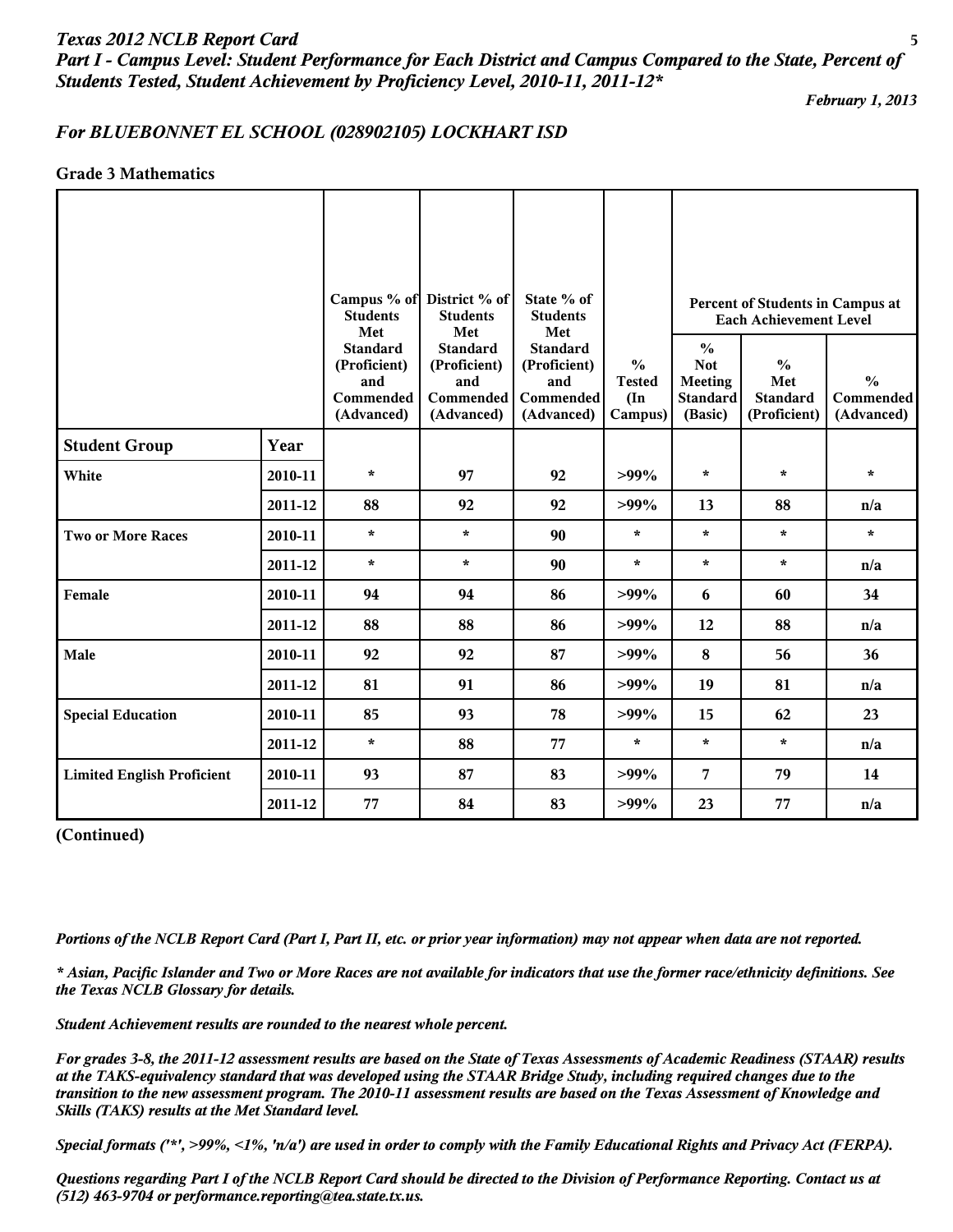*Part I - Campus Level: Student Performance for Each District and Campus Compared to the State, Percent of Students Tested, Student Achievement by Proficiency Level, 2010-11, 2011-12\**

*February 1, 2013*

# *For BLUEBONNET EL SCHOOL (028902105) LOCKHART ISD*

## **Grade 3 Mathematics**

|                                   |         | <b>Students</b><br>Met                                            | Campus % of District % of<br><b>Students</b><br>Met               | State % of<br><b>Students</b><br>Met                                     |                                                            |                                                                             | Percent of Students in Campus at<br><b>Each Achievement Level</b> |                                          |
|-----------------------------------|---------|-------------------------------------------------------------------|-------------------------------------------------------------------|--------------------------------------------------------------------------|------------------------------------------------------------|-----------------------------------------------------------------------------|-------------------------------------------------------------------|------------------------------------------|
|                                   |         | <b>Standard</b><br>(Proficient)<br>and<br>Commended<br>(Advanced) | <b>Standard</b><br>(Proficient)<br>and<br>Commended<br>(Advanced) | <b>Standard</b><br>(Proficient)<br>and<br><b>Commended</b><br>(Advanced) | $\frac{6}{6}$<br><b>Tested</b><br>$(\text{In})$<br>Campus) | $\frac{6}{6}$<br><b>Not</b><br><b>Meeting</b><br><b>Standard</b><br>(Basic) | $\frac{0}{0}$<br>Met<br><b>Standard</b><br>(Proficient)           | $\frac{0}{0}$<br>Commended<br>(Advanced) |
| <b>Student Group</b>              | Year    |                                                                   |                                                                   |                                                                          |                                                            |                                                                             |                                                                   |                                          |
| White                             | 2010-11 | $\star$                                                           | 97                                                                | 92                                                                       | $>99\%$                                                    | $\star$                                                                     | $\star$                                                           | $\star$                                  |
|                                   | 2011-12 | 88                                                                | 92                                                                | 92                                                                       | $>99\%$                                                    | 13                                                                          | 88                                                                | n/a                                      |
| <b>Two or More Races</b>          | 2010-11 | $\star$                                                           | $\star$                                                           | 90                                                                       | $\star$                                                    | $\star$                                                                     | $\star$                                                           | $\star$                                  |
|                                   | 2011-12 | $\star$                                                           | $\star$                                                           | 90                                                                       | $\star$                                                    | $\star$                                                                     | $\star$                                                           | n/a                                      |
| Female                            | 2010-11 | 94                                                                | 94                                                                | 86                                                                       | $>99\%$                                                    | 6                                                                           | 60                                                                | 34                                       |
|                                   | 2011-12 | 88                                                                | 88                                                                | 86                                                                       | $>99\%$                                                    | 12                                                                          | 88                                                                | n/a                                      |
| Male                              | 2010-11 | 92                                                                | 92                                                                | 87                                                                       | $>99\%$                                                    | 8                                                                           | 56                                                                | 36                                       |
|                                   | 2011-12 | 81                                                                | 91                                                                | 86                                                                       | $>99\%$                                                    | 19                                                                          | 81                                                                | n/a                                      |
| <b>Special Education</b>          | 2010-11 | 85                                                                | 93                                                                | 78                                                                       | $>99\%$                                                    | 15                                                                          | 62                                                                | 23                                       |
|                                   | 2011-12 | $\star$                                                           | 88                                                                | 77                                                                       | $\star$                                                    | $\star$                                                                     | $\star$                                                           | n/a                                      |
| <b>Limited English Proficient</b> | 2010-11 | 93                                                                | 87                                                                | 83                                                                       | $>99\%$                                                    | 7                                                                           | 79                                                                | 14                                       |
|                                   | 2011-12 | 77                                                                | 84                                                                | 83                                                                       | $>99\%$                                                    | 23                                                                          | 77                                                                | n/a                                      |

#### **(Continued)**

*Portions of the NCLB Report Card (Part I, Part II, etc. or prior year information) may not appear when data are not reported.*

*\* Asian, Pacific Islander and Two or More Races are not available for indicators that use the former race/ethnicity definitions. See the Texas NCLB Glossary for details.*

*Student Achievement results are rounded to the nearest whole percent.*

*For grades 3-8, the 2011-12 assessment results are based on the State of Texas Assessments of Academic Readiness (STAAR) results at the TAKS-equivalency standard that was developed using the STAAR Bridge Study, including required changes due to the transition to the new assessment program. The 2010-11 assessment results are based on the Texas Assessment of Knowledge and Skills (TAKS) results at the Met Standard level.*

*Special formats ('\*', >99%, <1%, 'n/a') are used in order to comply with the Family Educational Rights and Privacy Act (FERPA).*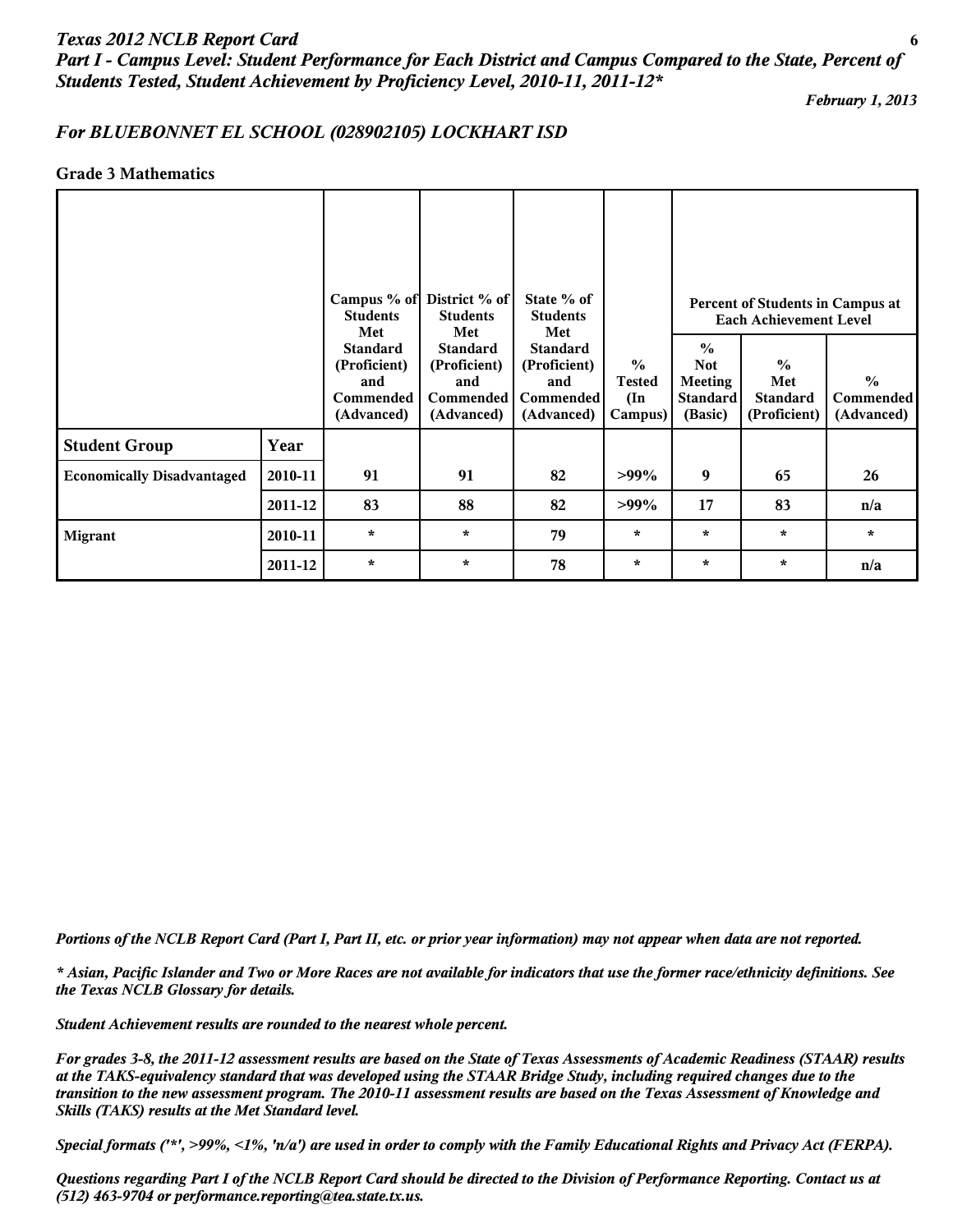*Part I - Campus Level: Student Performance for Each District and Campus Compared to the State, Percent of Students Tested, Student Achievement by Proficiency Level, 2010-11, 2011-12\**

*February 1, 2013*

## *For BLUEBONNET EL SCHOOL (028902105) LOCKHART ISD*

#### **Grade 3 Mathematics**

|                                   |         | Campus % of District % of<br><b>Students</b><br>Met               | <b>Students</b><br>Met                                            | State % of<br><b>Students</b><br>Met                                     |                                                            | Percent of Students in Campus at<br><b>Each Achievement Level</b>           |                                                         |                                                 |  |
|-----------------------------------|---------|-------------------------------------------------------------------|-------------------------------------------------------------------|--------------------------------------------------------------------------|------------------------------------------------------------|-----------------------------------------------------------------------------|---------------------------------------------------------|-------------------------------------------------|--|
|                                   |         | <b>Standard</b><br>(Proficient)<br>and<br>Commended<br>(Advanced) | <b>Standard</b><br>(Proficient)<br>and<br>Commended<br>(Advanced) | <b>Standard</b><br>(Proficient)<br>and<br><b>Commended</b><br>(Advanced) | $\frac{0}{0}$<br><b>Tested</b><br>$(\text{In})$<br>Campus) | $\frac{0}{0}$<br><b>Not</b><br><b>Meeting</b><br><b>Standard</b><br>(Basic) | $\frac{0}{0}$<br>Met<br><b>Standard</b><br>(Proficient) | $\frac{0}{0}$<br><b>Commended</b><br>(Advanced) |  |
| <b>Student Group</b>              | Year    |                                                                   |                                                                   |                                                                          |                                                            |                                                                             |                                                         |                                                 |  |
| <b>Economically Disadvantaged</b> | 2010-11 | 91                                                                | 91                                                                | 82                                                                       | $>99\%$                                                    | 9                                                                           | 65                                                      | 26                                              |  |
|                                   | 2011-12 | 83                                                                | 88                                                                | 82                                                                       | $>99\%$                                                    | 17                                                                          | 83                                                      | n/a                                             |  |
| <b>Migrant</b>                    | 2010-11 | $\star$                                                           | $\star$                                                           | 79                                                                       | $\star$                                                    | $\star$                                                                     | $\star$                                                 | $\star$                                         |  |
|                                   | 2011-12 | $\star$                                                           | $\star$                                                           | 78                                                                       | $\star$                                                    | $\star$                                                                     | $\star$                                                 | n/a                                             |  |

*Portions of the NCLB Report Card (Part I, Part II, etc. or prior year information) may not appear when data are not reported.*

*\* Asian, Pacific Islander and Two or More Races are not available for indicators that use the former race/ethnicity definitions. See the Texas NCLB Glossary for details.*

*Student Achievement results are rounded to the nearest whole percent.*

*For grades 3-8, the 2011-12 assessment results are based on the State of Texas Assessments of Academic Readiness (STAAR) results at the TAKS-equivalency standard that was developed using the STAAR Bridge Study, including required changes due to the transition to the new assessment program. The 2010-11 assessment results are based on the Texas Assessment of Knowledge and Skills (TAKS) results at the Met Standard level.*

*Special formats ('\*', >99%, <1%, 'n/a') are used in order to comply with the Family Educational Rights and Privacy Act (FERPA).*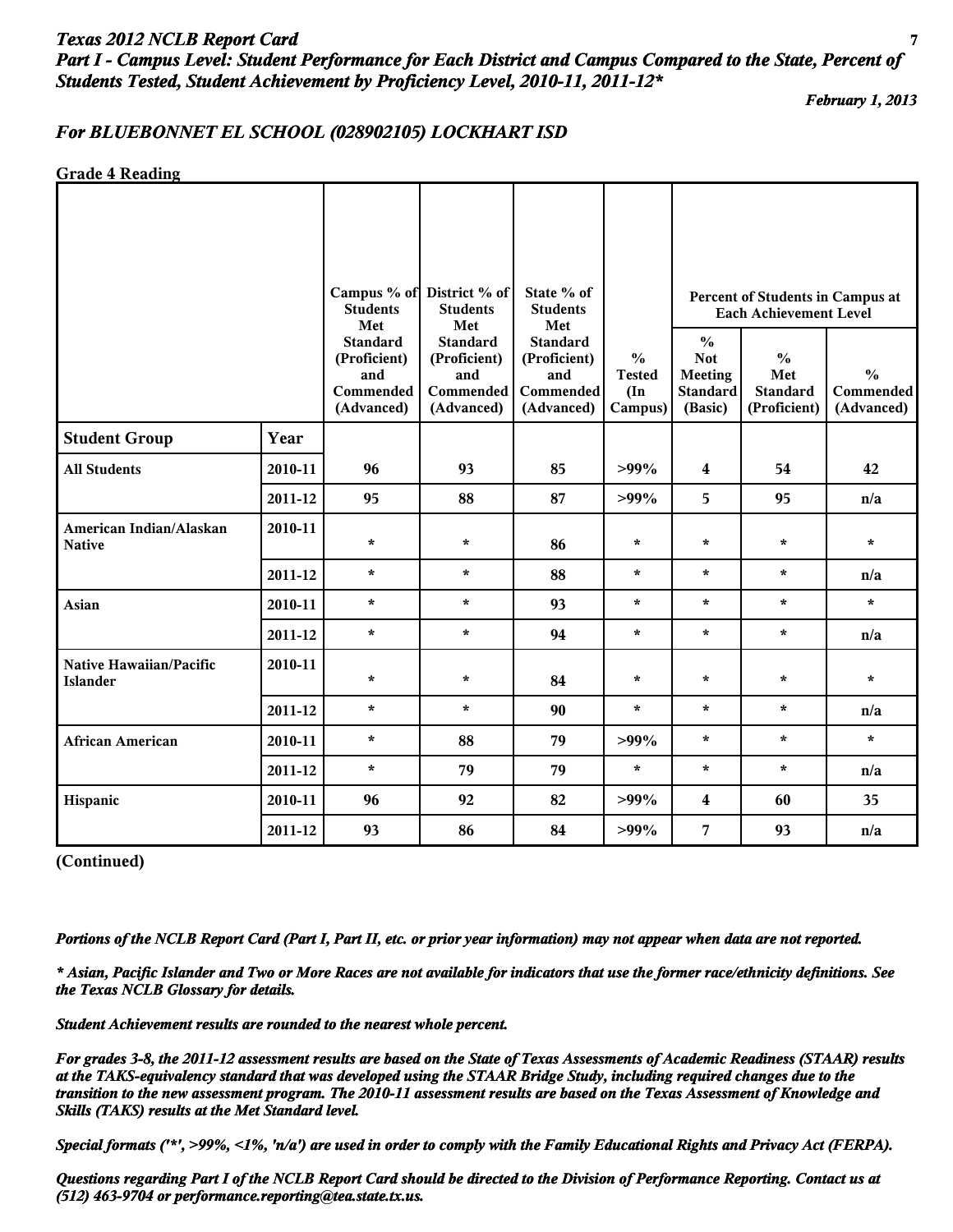# *Texas 2012 NCLB Report Card* **7** *Part I - Campus Level: Student Performance for Each District and Campus Compared to the State, Percent of Students Tested, Student Achievement by Proficiency Level, 2010-11, 2011-12\**

*February 1, 2013*

## *For BLUEBONNET EL SCHOOL (028902105) LOCKHART ISD*

**Grade 4 Reading**

|                                            |         | <b>Students</b>                                                   | Campus % of District % of<br>State % of<br><b>Students</b><br><b>Students</b><br>Met<br>Met<br>Met |                                                                   |                                                            | Percent of Students in Campus at<br><b>Each Achievement Level</b>           |                                                         |                                          |  |
|--------------------------------------------|---------|-------------------------------------------------------------------|----------------------------------------------------------------------------------------------------|-------------------------------------------------------------------|------------------------------------------------------------|-----------------------------------------------------------------------------|---------------------------------------------------------|------------------------------------------|--|
|                                            |         | <b>Standard</b><br>(Proficient)<br>and<br>Commended<br>(Advanced) | <b>Standard</b><br>(Proficient)<br>and<br>Commended<br>(Advanced)                                  | <b>Standard</b><br>(Proficient)<br>and<br>Commended<br>(Advanced) | $\frac{0}{0}$<br><b>Tested</b><br>$(\text{In})$<br>Campus) | $\frac{0}{0}$<br><b>Not</b><br><b>Meeting</b><br><b>Standard</b><br>(Basic) | $\frac{0}{0}$<br>Met<br><b>Standard</b><br>(Proficient) | $\frac{0}{0}$<br>Commended<br>(Advanced) |  |
| <b>Student Group</b>                       | Year    |                                                                   |                                                                                                    |                                                                   |                                                            |                                                                             |                                                         |                                          |  |
| <b>All Students</b>                        | 2010-11 | 96                                                                | 93                                                                                                 | 85                                                                | $>99\%$                                                    | $\overline{\mathbf{4}}$                                                     | 54                                                      | 42                                       |  |
|                                            | 2011-12 | 95                                                                | 88                                                                                                 | 87                                                                | $>99\%$                                                    | 5                                                                           | 95                                                      | n/a                                      |  |
| American Indian/Alaskan<br><b>Native</b>   | 2010-11 | $\star$                                                           | $\star$                                                                                            | 86                                                                | $\star$                                                    | $\star$                                                                     | $\star$                                                 | $\star$                                  |  |
|                                            | 2011-12 | $\star$                                                           | $\star$                                                                                            | 88                                                                | $\star$                                                    | $\star$                                                                     | $\star$                                                 | n/a                                      |  |
| Asian                                      | 2010-11 | $\star$                                                           | $\star$                                                                                            | 93                                                                | $\star$                                                    | $\star$                                                                     | $\star$                                                 | $\star$                                  |  |
|                                            | 2011-12 | $\star$                                                           | $\star$                                                                                            | 94                                                                | $\star$                                                    | $\star$                                                                     | $\star$                                                 | n/a                                      |  |
| Native Hawaiian/Pacific<br><b>Islander</b> | 2010-11 | $\star$                                                           | $\star$                                                                                            | 84                                                                | $\star$                                                    | $\star$                                                                     | $\star$                                                 | $\star$                                  |  |
|                                            | 2011-12 | $\star$                                                           | $\star$                                                                                            | 90                                                                | $\star$                                                    | $\star$                                                                     | $\star$                                                 | n/a                                      |  |
| <b>African American</b>                    | 2010-11 | $\star$                                                           | 88                                                                                                 | 79                                                                | $>99\%$                                                    | $\star$                                                                     | $\star$                                                 | $\star$                                  |  |
|                                            | 2011-12 | $\star$                                                           | 79                                                                                                 | 79                                                                | $\star$                                                    | $\star$                                                                     | $\star$                                                 | n/a                                      |  |
| Hispanic                                   | 2010-11 | 96                                                                | 92                                                                                                 | 82                                                                | $>99\%$                                                    | 4                                                                           | 60                                                      | 35                                       |  |
|                                            | 2011-12 | 93                                                                | 86                                                                                                 | 84                                                                | $>99\%$                                                    | 7                                                                           | 93                                                      | n/a                                      |  |

**(Continued)**

*Portions of the NCLB Report Card (Part I, Part II, etc. or prior year information) may not appear when data are not reported.*

*\* Asian, Pacific Islander and Two or More Races are not available for indicators that use the former race/ethnicity definitions. See the Texas NCLB Glossary for details.*

*Student Achievement results are rounded to the nearest whole percent.*

*For grades 3-8, the 2011-12 assessment results are based on the State of Texas Assessments of Academic Readiness (STAAR) results at the TAKS-equivalency standard that was developed using the STAAR Bridge Study, including required changes due to the transition to the new assessment program. The 2010-11 assessment results are based on the Texas Assessment of Knowledge and Skills (TAKS) results at the Met Standard level.*

*Special formats ('\*', >99%, <1%, 'n/a') are used in order to comply with the Family Educational Rights and Privacy Act (FERPA).*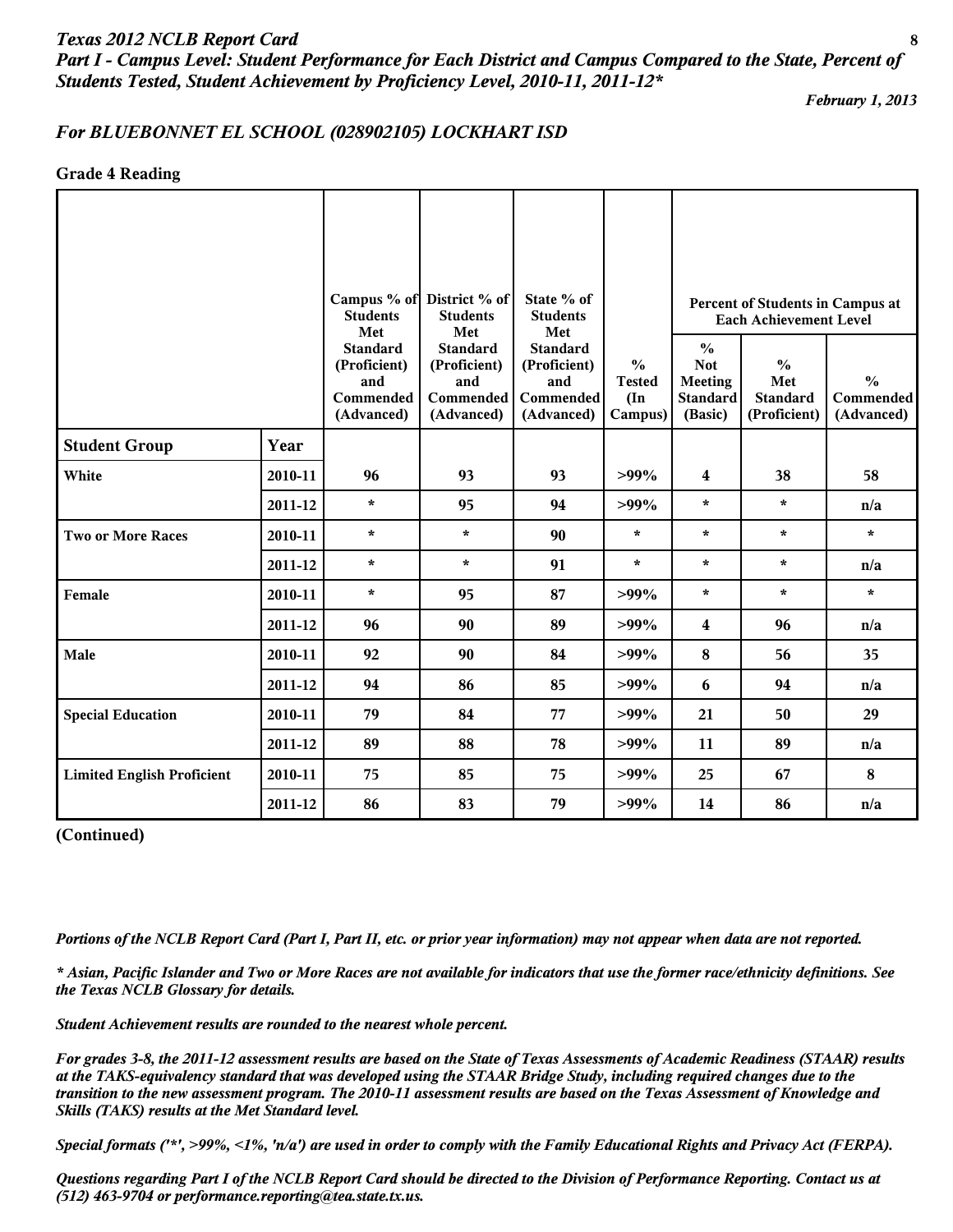*Part I - Campus Level: Student Performance for Each District and Campus Compared to the State, Percent of Students Tested, Student Achievement by Proficiency Level, 2010-11, 2011-12\**

*February 1, 2013*

#### *For BLUEBONNET EL SCHOOL (028902105) LOCKHART ISD*

#### **Grade 4 Reading**

|                                   |         | <b>Students</b><br>Met                                            | Campus % of District % of<br><b>Students</b><br>Met               | State % of<br><b>Students</b><br>Met                              |                                                            |                                                                             | Percent of Students in Campus at<br><b>Each Achievement Level</b>                                   |         |  |
|-----------------------------------|---------|-------------------------------------------------------------------|-------------------------------------------------------------------|-------------------------------------------------------------------|------------------------------------------------------------|-----------------------------------------------------------------------------|-----------------------------------------------------------------------------------------------------|---------|--|
|                                   |         | <b>Standard</b><br>(Proficient)<br>and<br>Commended<br>(Advanced) | <b>Standard</b><br>(Proficient)<br>and<br>Commended<br>(Advanced) | <b>Standard</b><br>(Proficient)<br>and<br>Commended<br>(Advanced) | $\frac{0}{0}$<br><b>Tested</b><br>$(\text{In})$<br>Campus) | $\frac{0}{0}$<br><b>Not</b><br><b>Meeting</b><br><b>Standard</b><br>(Basic) | $\frac{0}{0}$<br>$\frac{0}{0}$<br>Met<br><b>Standard</b><br>Commended<br>(Proficient)<br>(Advanced) |         |  |
| <b>Student Group</b>              | Year    |                                                                   |                                                                   |                                                                   |                                                            |                                                                             |                                                                                                     |         |  |
| White                             | 2010-11 | 96                                                                | 93                                                                | 93                                                                | $>99\%$                                                    | 4                                                                           | 38                                                                                                  | 58      |  |
|                                   | 2011-12 | $\star$                                                           | 95                                                                | 94                                                                | $>99\%$                                                    | $\star$                                                                     | $\star$                                                                                             | n/a     |  |
| <b>Two or More Races</b>          | 2010-11 | $\star$                                                           | $\star$                                                           | 90                                                                | $\star$                                                    | $\star$                                                                     | $\star$                                                                                             | $\star$ |  |
|                                   | 2011-12 | $\star$                                                           | $\star$                                                           | 91                                                                | $\star$                                                    | $\star$                                                                     | $\star$                                                                                             | n/a     |  |
| Female                            | 2010-11 | $\star$                                                           | 95                                                                | 87                                                                | $>99\%$                                                    | $\star$                                                                     | $\star$                                                                                             | $\star$ |  |
|                                   | 2011-12 | 96                                                                | 90                                                                | 89                                                                | $>99\%$                                                    | 4                                                                           | 96                                                                                                  | n/a     |  |
| Male                              | 2010-11 | 92                                                                | 90                                                                | 84                                                                | $>99\%$                                                    | 8                                                                           | 56                                                                                                  | 35      |  |
|                                   | 2011-12 | 94                                                                | 86                                                                | 85                                                                | $>99\%$                                                    | 6                                                                           | 94                                                                                                  | n/a     |  |
| <b>Special Education</b>          | 2010-11 | 79                                                                | 84                                                                | 77                                                                | $>99\%$                                                    | 21                                                                          | 50                                                                                                  | 29      |  |
|                                   | 2011-12 | 89                                                                | 88                                                                | 78                                                                | $>99\%$                                                    | 11                                                                          | 89                                                                                                  | n/a     |  |
| <b>Limited English Proficient</b> | 2010-11 | 75                                                                | 85                                                                | 75                                                                | $>99\%$                                                    | 25                                                                          | 67                                                                                                  | 8       |  |
|                                   | 2011-12 | 86                                                                | 83                                                                | 79                                                                | $>99\%$                                                    | 14                                                                          | 86                                                                                                  | n/a     |  |

**(Continued)**

*Portions of the NCLB Report Card (Part I, Part II, etc. or prior year information) may not appear when data are not reported.*

*\* Asian, Pacific Islander and Two or More Races are not available for indicators that use the former race/ethnicity definitions. See the Texas NCLB Glossary for details.*

*Student Achievement results are rounded to the nearest whole percent.*

*For grades 3-8, the 2011-12 assessment results are based on the State of Texas Assessments of Academic Readiness (STAAR) results at the TAKS-equivalency standard that was developed using the STAAR Bridge Study, including required changes due to the transition to the new assessment program. The 2010-11 assessment results are based on the Texas Assessment of Knowledge and Skills (TAKS) results at the Met Standard level.*

*Special formats ('\*', >99%, <1%, 'n/a') are used in order to comply with the Family Educational Rights and Privacy Act (FERPA).*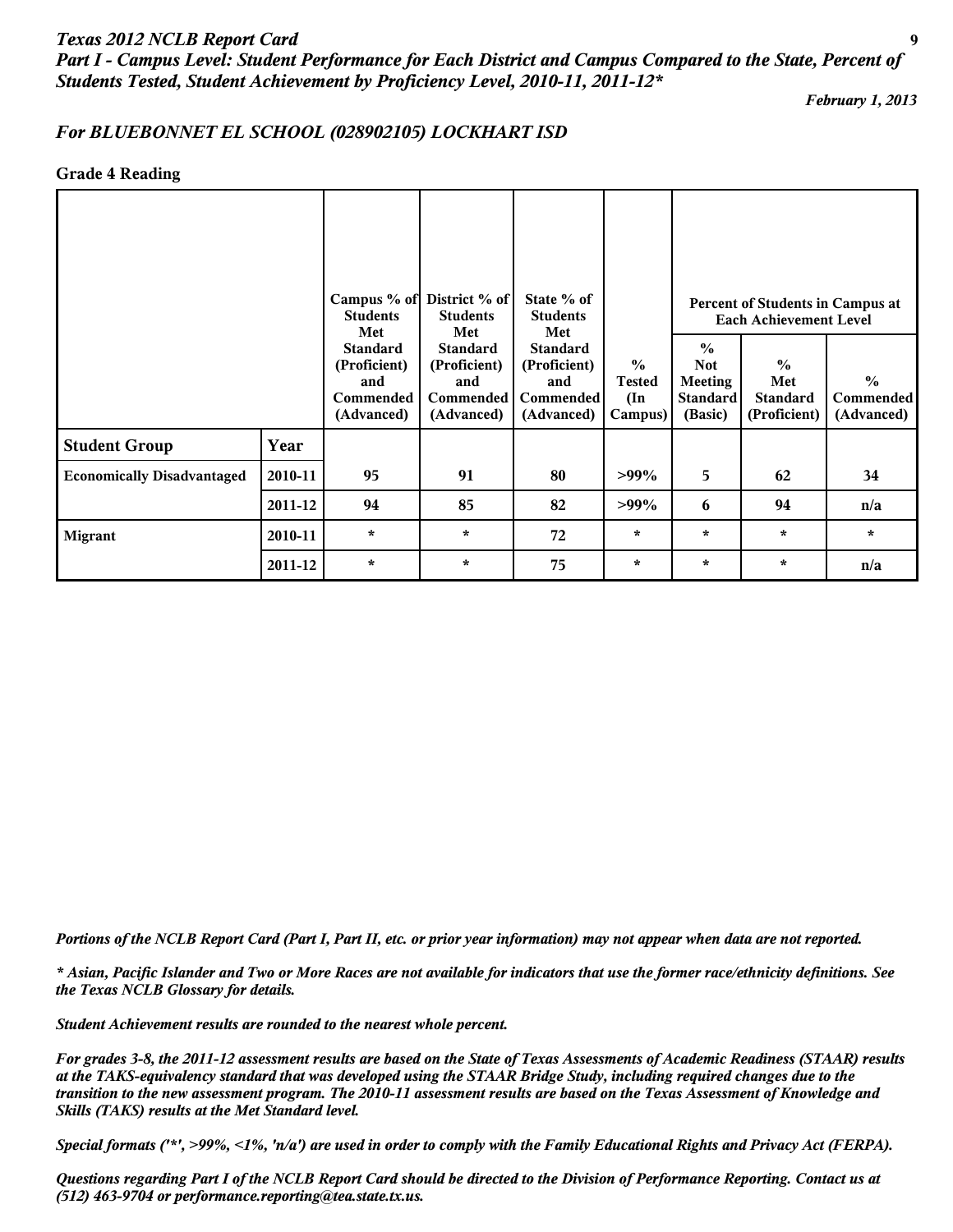# *Texas 2012 NCLB Report Card* **9** *Part I - Campus Level: Student Performance for Each District and Campus Compared to the State, Percent of Students Tested, Student Achievement by Proficiency Level, 2010-11, 2011-12\**

*February 1, 2013*

## *For BLUEBONNET EL SCHOOL (028902105) LOCKHART ISD*

#### **Grade 4 Reading**

|                                   |         | Campus % of District % of<br><b>Students</b><br>Met               | <b>Students</b><br>Met                                            | State % of<br><b>Students</b><br>Met                                     |                                                            | Percent of Students in Campus at<br><b>Each Achievement Level</b>    |                                                         |                                                 |  |
|-----------------------------------|---------|-------------------------------------------------------------------|-------------------------------------------------------------------|--------------------------------------------------------------------------|------------------------------------------------------------|----------------------------------------------------------------------|---------------------------------------------------------|-------------------------------------------------|--|
|                                   |         | <b>Standard</b><br>(Proficient)<br>and<br>Commended<br>(Advanced) | <b>Standard</b><br>(Proficient)<br>and<br>Commended<br>(Advanced) | <b>Standard</b><br>(Proficient)<br>and<br><b>Commended</b><br>(Advanced) | $\frac{0}{0}$<br><b>Tested</b><br>$(\text{In})$<br>Campus) | $\frac{0}{0}$<br><b>Not</b><br>Meeting<br><b>Standard</b><br>(Basic) | $\frac{0}{0}$<br>Met<br><b>Standard</b><br>(Proficient) | $\frac{0}{0}$<br><b>Commended</b><br>(Advanced) |  |
| <b>Student Group</b>              | Year    |                                                                   |                                                                   |                                                                          |                                                            |                                                                      |                                                         |                                                 |  |
| <b>Economically Disadvantaged</b> | 2010-11 | 95                                                                | 91                                                                | 80                                                                       | $>99\%$                                                    | 5                                                                    | 62                                                      | 34                                              |  |
|                                   | 2011-12 | 94                                                                | 85                                                                | 82                                                                       | $>99\%$                                                    | 6                                                                    | 94                                                      | n/a                                             |  |
| <b>Migrant</b>                    | 2010-11 | $\star$                                                           | $\star$                                                           | 72                                                                       | $\star$                                                    | $\star$                                                              | $\star$                                                 | $\star$                                         |  |
|                                   | 2011-12 | $\star$                                                           | $\star$                                                           | 75                                                                       | $\star$                                                    | $\star$                                                              | $\star$                                                 | n/a                                             |  |

*Portions of the NCLB Report Card (Part I, Part II, etc. or prior year information) may not appear when data are not reported.*

*\* Asian, Pacific Islander and Two or More Races are not available for indicators that use the former race/ethnicity definitions. See the Texas NCLB Glossary for details.*

*Student Achievement results are rounded to the nearest whole percent.*

*For grades 3-8, the 2011-12 assessment results are based on the State of Texas Assessments of Academic Readiness (STAAR) results at the TAKS-equivalency standard that was developed using the STAAR Bridge Study, including required changes due to the transition to the new assessment program. The 2010-11 assessment results are based on the Texas Assessment of Knowledge and Skills (TAKS) results at the Met Standard level.*

*Special formats ('\*', >99%, <1%, 'n/a') are used in order to comply with the Family Educational Rights and Privacy Act (FERPA).*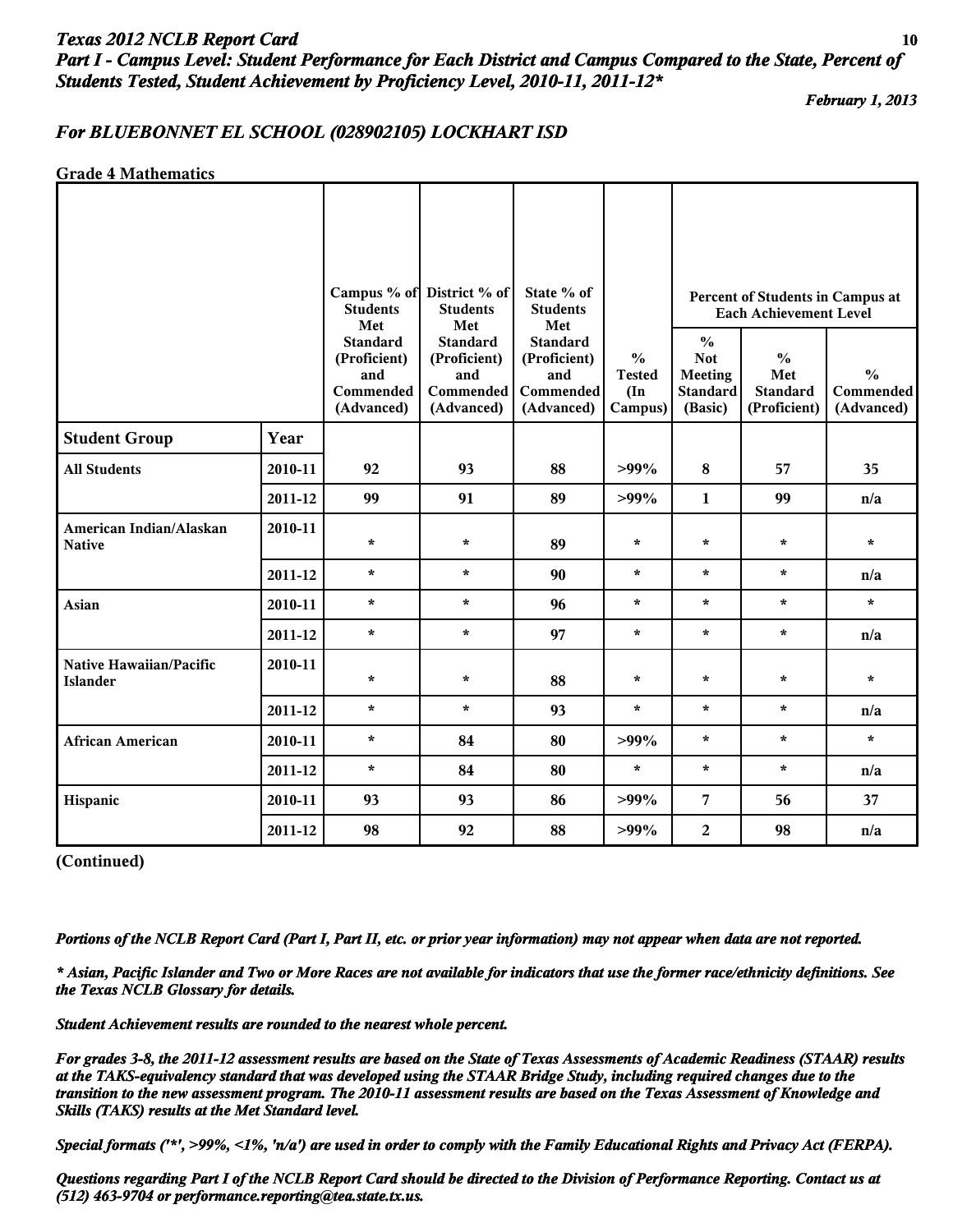# *Texas 2012 NCLB Report Card* **10** *Part I - Campus Level: Student Performance for Each District and Campus Compared to the State, Percent of Students Tested, Student Achievement by Proficiency Level, 2010-11, 2011-12\**

*February 1, 2013*

#### *For BLUEBONNET EL SCHOOL (028902105) LOCKHART ISD*

#### **Grade 4 Mathematics**

|                                            |         |                                                                   | Campus % of District % of                                         | State % of                                                        |                                                            |                                                                             |                                                                   |                                          |
|--------------------------------------------|---------|-------------------------------------------------------------------|-------------------------------------------------------------------|-------------------------------------------------------------------|------------------------------------------------------------|-----------------------------------------------------------------------------|-------------------------------------------------------------------|------------------------------------------|
|                                            |         | <b>Students</b><br>Met                                            | <b>Students</b><br>Met                                            | <b>Students</b><br>Met                                            |                                                            |                                                                             | Percent of Students in Campus at<br><b>Each Achievement Level</b> |                                          |
|                                            |         | <b>Standard</b><br>(Proficient)<br>and<br>Commended<br>(Advanced) | <b>Standard</b><br>(Proficient)<br>and<br>Commended<br>(Advanced) | <b>Standard</b><br>(Proficient)<br>and<br>Commended<br>(Advanced) | $\frac{6}{6}$<br><b>Tested</b><br>$(\text{In})$<br>Campus) | $\frac{0}{0}$<br><b>Not</b><br><b>Meeting</b><br><b>Standard</b><br>(Basic) | $\frac{0}{0}$<br>Met<br><b>Standard</b><br>(Proficient)           | $\frac{0}{0}$<br>Commended<br>(Advanced) |
| <b>Student Group</b>                       | Year    |                                                                   |                                                                   |                                                                   |                                                            |                                                                             |                                                                   |                                          |
| <b>All Students</b>                        | 2010-11 | 92                                                                | 93                                                                | 88                                                                | $>99\%$                                                    | 8                                                                           | 57                                                                | 35                                       |
|                                            | 2011-12 | 99                                                                | 91                                                                | 89                                                                | $>99\%$                                                    | 1                                                                           | 99                                                                | n/a                                      |
| American Indian/Alaskan<br><b>Native</b>   | 2010-11 | $\star$                                                           | $\star$                                                           | 89                                                                | $\star$                                                    | $\star$                                                                     | $\star$                                                           | $\star$                                  |
|                                            | 2011-12 | $\star$                                                           | $\star$                                                           | 90                                                                | ÷                                                          | $\star$                                                                     | $\star$                                                           | n/a                                      |
| Asian                                      | 2010-11 | $\star$                                                           | $\star$                                                           | 96                                                                | $\star$                                                    | $\star$                                                                     | $\star$                                                           | $\star$                                  |
|                                            | 2011-12 | $\star$                                                           | $\star$                                                           | 97                                                                | $\star$                                                    | $\star$                                                                     | $\star$                                                           | n/a                                      |
| Native Hawaiian/Pacific<br><b>Islander</b> | 2010-11 | $\star$                                                           | $\star$                                                           | 88                                                                | $\star$                                                    | $\star$                                                                     | $\star$                                                           | $\star$                                  |
|                                            | 2011-12 | $\star$                                                           | $\star$                                                           | 93                                                                | $\star$                                                    | $\star$                                                                     | $\star$                                                           | n/a                                      |
| <b>African American</b>                    | 2010-11 | $\star$                                                           | 84                                                                | 80                                                                | $>99\%$                                                    | $\star$                                                                     | $\star$                                                           | $\star$                                  |
|                                            | 2011-12 | $\star$                                                           | 84                                                                | 80                                                                | $\star$                                                    | $\star$                                                                     | $\star$                                                           | n/a                                      |
| Hispanic                                   | 2010-11 | 93                                                                | 93                                                                | 86                                                                | $>99\%$                                                    | 7                                                                           | 56                                                                | 37                                       |
|                                            | 2011-12 | 98                                                                | 92                                                                | 88                                                                | $>99\%$                                                    | $\overline{a}$                                                              | 98                                                                | n/a                                      |

**(Continued)**

*Portions of the NCLB Report Card (Part I, Part II, etc. or prior year information) may not appear when data are not reported.*

*\* Asian, Pacific Islander and Two or More Races are not available for indicators that use the former race/ethnicity definitions. See the Texas NCLB Glossary for details.*

*Student Achievement results are rounded to the nearest whole percent.*

*For grades 3-8, the 2011-12 assessment results are based on the State of Texas Assessments of Academic Readiness (STAAR) results at the TAKS-equivalency standard that was developed using the STAAR Bridge Study, including required changes due to the transition to the new assessment program. The 2010-11 assessment results are based on the Texas Assessment of Knowledge and Skills (TAKS) results at the Met Standard level.*

*Special formats ('\*', >99%, <1%, 'n/a') are used in order to comply with the Family Educational Rights and Privacy Act (FERPA).*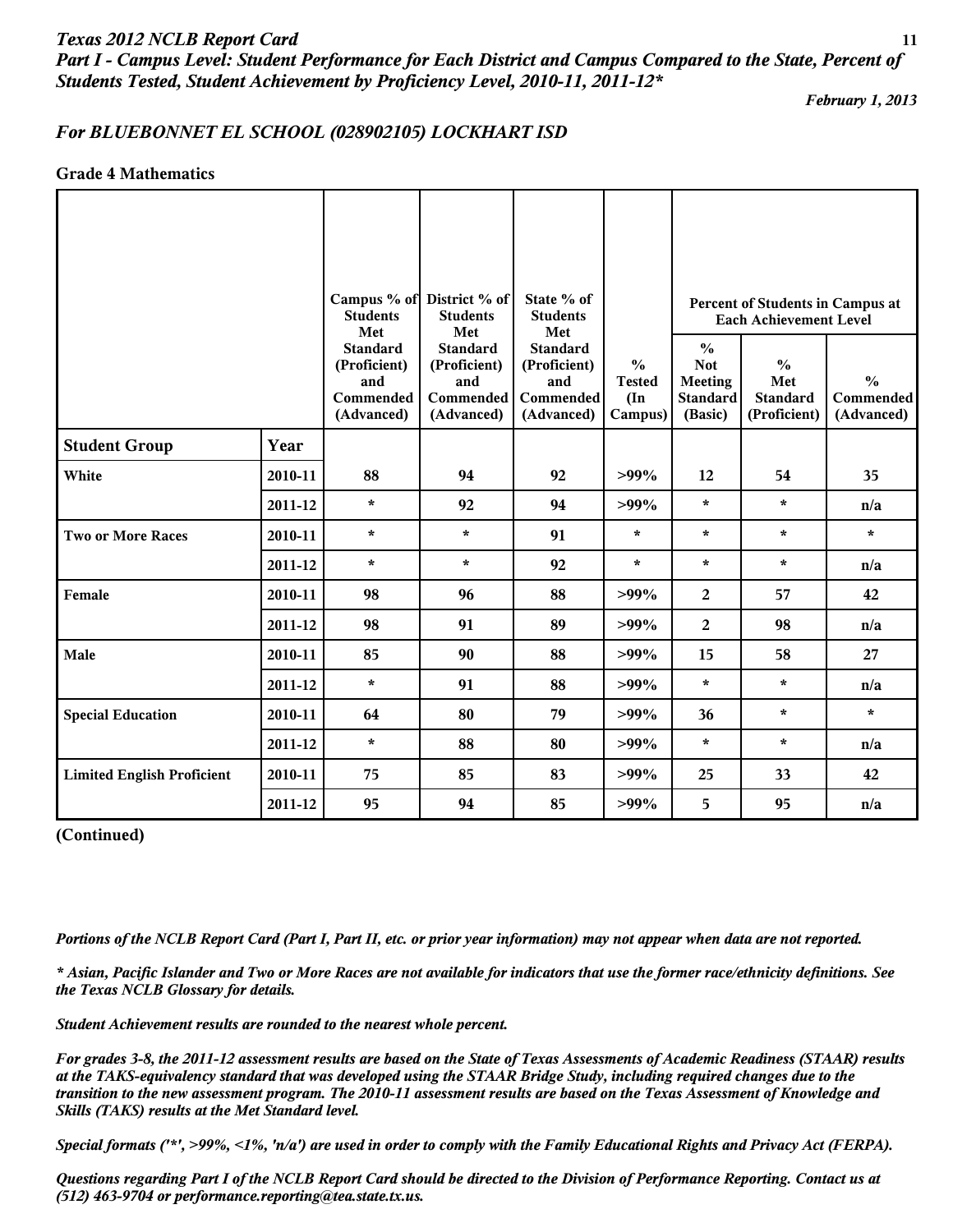*Part I - Campus Level: Student Performance for Each District and Campus Compared to the State, Percent of Students Tested, Student Achievement by Proficiency Level, 2010-11, 2011-12\**

*February 1, 2013*

# *For BLUEBONNET EL SCHOOL (028902105) LOCKHART ISD*

## **Grade 4 Mathematics**

|                                   |         | <b>Students</b><br>Met                                            | Campus % of District % of<br><b>Students</b><br>Met               | State % of<br><b>Students</b><br>Met                                     |                                                            |                                                                                                                                        | Percent of Students in Campus at<br><b>Each Achievement Level</b> |                                          |
|-----------------------------------|---------|-------------------------------------------------------------------|-------------------------------------------------------------------|--------------------------------------------------------------------------|------------------------------------------------------------|----------------------------------------------------------------------------------------------------------------------------------------|-------------------------------------------------------------------|------------------------------------------|
|                                   |         | <b>Standard</b><br>(Proficient)<br>and<br>Commended<br>(Advanced) | <b>Standard</b><br>(Proficient)<br>and<br>Commended<br>(Advanced) | <b>Standard</b><br>(Proficient)<br>and<br><b>Commended</b><br>(Advanced) | $\frac{6}{6}$<br><b>Tested</b><br>$(\text{In})$<br>Campus) | $\frac{6}{6}$<br><b>Not</b><br>$\frac{0}{0}$<br><b>Meeting</b><br>Met<br><b>Standard</b><br><b>Standard</b><br>(Basic)<br>(Proficient) |                                                                   | $\frac{0}{0}$<br>Commended<br>(Advanced) |
| <b>Student Group</b>              | Year    |                                                                   |                                                                   |                                                                          |                                                            |                                                                                                                                        |                                                                   |                                          |
| White                             | 2010-11 | 88                                                                | 94                                                                | 92                                                                       | $>99\%$                                                    | 12                                                                                                                                     | 54                                                                | 35                                       |
|                                   | 2011-12 | $\star$                                                           | 92                                                                | 94                                                                       | $>99\%$                                                    | $\star$                                                                                                                                | $\star$                                                           | n/a                                      |
| <b>Two or More Races</b>          | 2010-11 | $\star$                                                           | $\star$                                                           | 91                                                                       | $\star$                                                    | $\star$                                                                                                                                | $\star$                                                           | $\star$                                  |
|                                   | 2011-12 | $\star$                                                           | $\star$                                                           | 92                                                                       | $\star$                                                    | $\star$                                                                                                                                | $\star$                                                           | n/a                                      |
| Female                            | 2010-11 | 98                                                                | 96                                                                | 88                                                                       | $>99\%$                                                    | $\overline{2}$                                                                                                                         | 57                                                                | 42                                       |
|                                   | 2011-12 | 98                                                                | 91                                                                | 89                                                                       | $>99\%$                                                    | 2                                                                                                                                      | 98                                                                | n/a                                      |
| Male                              | 2010-11 | 85                                                                | 90                                                                | 88                                                                       | $>99\%$                                                    | 15                                                                                                                                     | 58                                                                | 27                                       |
|                                   | 2011-12 | $\star$                                                           | 91                                                                | 88                                                                       | $>99\%$                                                    | $\star$                                                                                                                                | $\star$                                                           | n/a                                      |
| <b>Special Education</b>          | 2010-11 | 64                                                                | 80                                                                | 79                                                                       | $>99\%$                                                    | 36                                                                                                                                     | $\star$                                                           | $\star$                                  |
|                                   | 2011-12 | $\star$                                                           | 88                                                                | 80                                                                       | $>99\%$                                                    | $\star$                                                                                                                                | $\star$                                                           | n/a                                      |
| <b>Limited English Proficient</b> | 2010-11 | 75                                                                | 85                                                                | 83                                                                       | $>99\%$                                                    | 25                                                                                                                                     | 33                                                                | 42                                       |
|                                   | 2011-12 | 95                                                                | 94                                                                | 85                                                                       | $>99\%$                                                    | 5                                                                                                                                      | 95                                                                | n/a                                      |

#### **(Continued)**

*Portions of the NCLB Report Card (Part I, Part II, etc. or prior year information) may not appear when data are not reported.*

*\* Asian, Pacific Islander and Two or More Races are not available for indicators that use the former race/ethnicity definitions. See the Texas NCLB Glossary for details.*

*Student Achievement results are rounded to the nearest whole percent.*

*For grades 3-8, the 2011-12 assessment results are based on the State of Texas Assessments of Academic Readiness (STAAR) results at the TAKS-equivalency standard that was developed using the STAAR Bridge Study, including required changes due to the transition to the new assessment program. The 2010-11 assessment results are based on the Texas Assessment of Knowledge and Skills (TAKS) results at the Met Standard level.*

*Special formats ('\*', >99%, <1%, 'n/a') are used in order to comply with the Family Educational Rights and Privacy Act (FERPA).*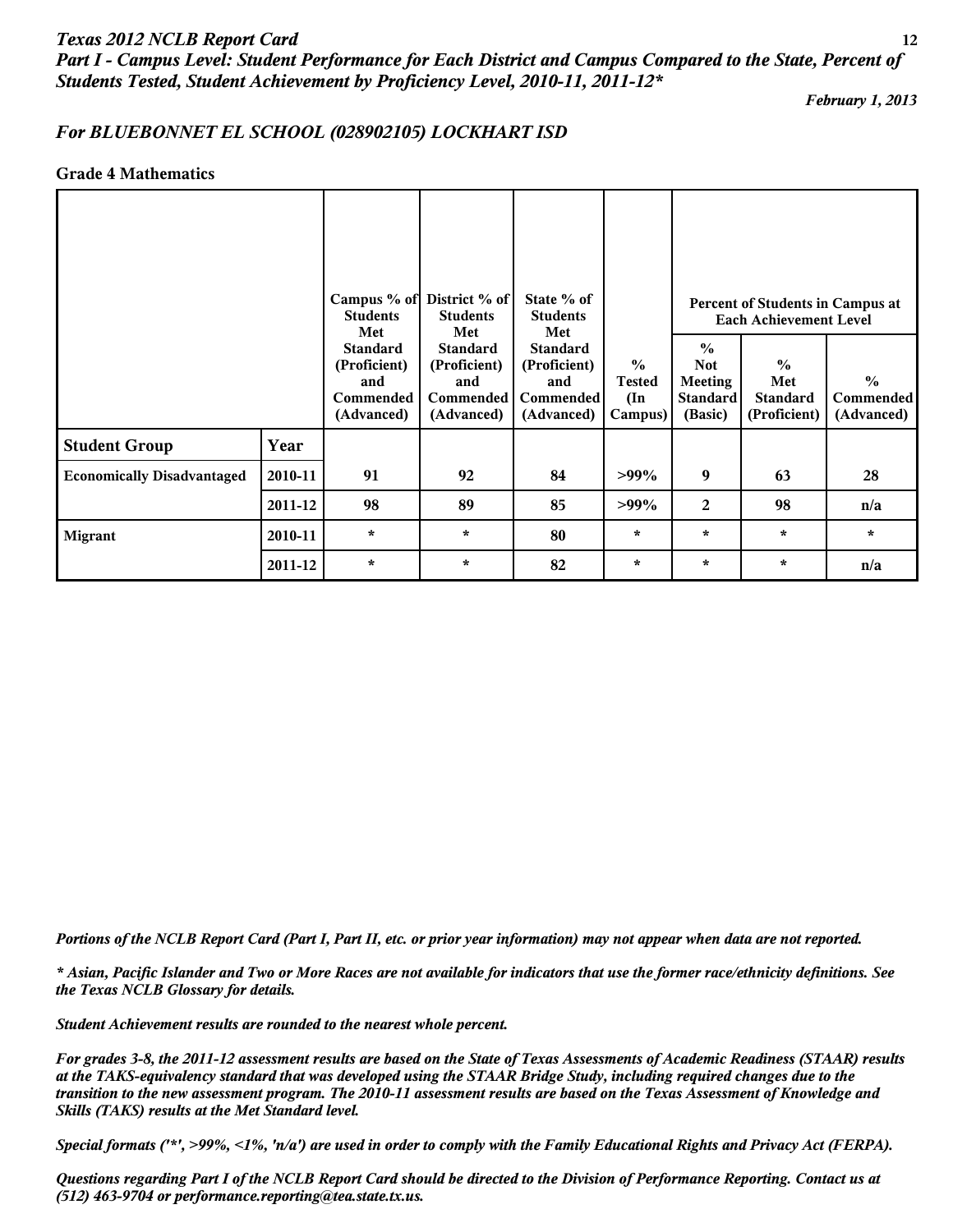# *Texas 2012 NCLB Report Card* **12** *Part I - Campus Level: Student Performance for Each District and Campus Compared to the State, Percent of Students Tested, Student Achievement by Proficiency Level, 2010-11, 2011-12\**

*February 1, 2013*

## *For BLUEBONNET EL SCHOOL (028902105) LOCKHART ISD*

#### **Grade 4 Mathematics**

|                                   |         | <b>Students</b><br>Met                                            | Campus % of District % of<br><b>Students</b><br>Met                      | State % of<br><b>Students</b><br>Met                                     |                                                            | Percent of Students in Campus at<br><b>Each Achievement Level</b>           |                                                         |                                            |  |
|-----------------------------------|---------|-------------------------------------------------------------------|--------------------------------------------------------------------------|--------------------------------------------------------------------------|------------------------------------------------------------|-----------------------------------------------------------------------------|---------------------------------------------------------|--------------------------------------------|--|
|                                   |         | <b>Standard</b><br>(Proficient)<br>and<br>Commended<br>(Advanced) | <b>Standard</b><br>(Proficient)<br>and<br><b>Commended</b><br>(Advanced) | <b>Standard</b><br>(Proficient)<br>and<br><b>Commended</b><br>(Advanced) | $\frac{0}{0}$<br><b>Tested</b><br>$(\text{In})$<br>Campus) | $\frac{0}{0}$<br><b>Not</b><br><b>Meeting</b><br><b>Standard</b><br>(Basic) | $\frac{0}{0}$<br>Met<br><b>Standard</b><br>(Proficient) | $\frac{0}{0}$<br>Commended  <br>(Advanced) |  |
| <b>Student Group</b>              | Year    |                                                                   |                                                                          |                                                                          |                                                            |                                                                             |                                                         |                                            |  |
| <b>Economically Disadvantaged</b> | 2010-11 | 91                                                                | 92                                                                       | 84                                                                       | $>99\%$                                                    | 9                                                                           | 63                                                      | 28                                         |  |
|                                   | 2011-12 | 98                                                                | 89                                                                       | 85                                                                       | $>99\%$                                                    | $\overline{2}$                                                              | 98                                                      | n/a                                        |  |
| <b>Migrant</b>                    | 2010-11 | $\star$                                                           | $\star$                                                                  | 80                                                                       | $\star$                                                    | $\star$                                                                     | $\star$                                                 | $\star$                                    |  |
|                                   | 2011-12 | $\star$                                                           | $\star$                                                                  | 82                                                                       | $\star$                                                    | $\star$                                                                     | $\star$                                                 | n/a                                        |  |

*Portions of the NCLB Report Card (Part I, Part II, etc. or prior year information) may not appear when data are not reported.*

*\* Asian, Pacific Islander and Two or More Races are not available for indicators that use the former race/ethnicity definitions. See the Texas NCLB Glossary for details.*

*Student Achievement results are rounded to the nearest whole percent.*

*For grades 3-8, the 2011-12 assessment results are based on the State of Texas Assessments of Academic Readiness (STAAR) results at the TAKS-equivalency standard that was developed using the STAAR Bridge Study, including required changes due to the transition to the new assessment program. The 2010-11 assessment results are based on the Texas Assessment of Knowledge and Skills (TAKS) results at the Met Standard level.*

*Special formats ('\*', >99%, <1%, 'n/a') are used in order to comply with the Family Educational Rights and Privacy Act (FERPA).*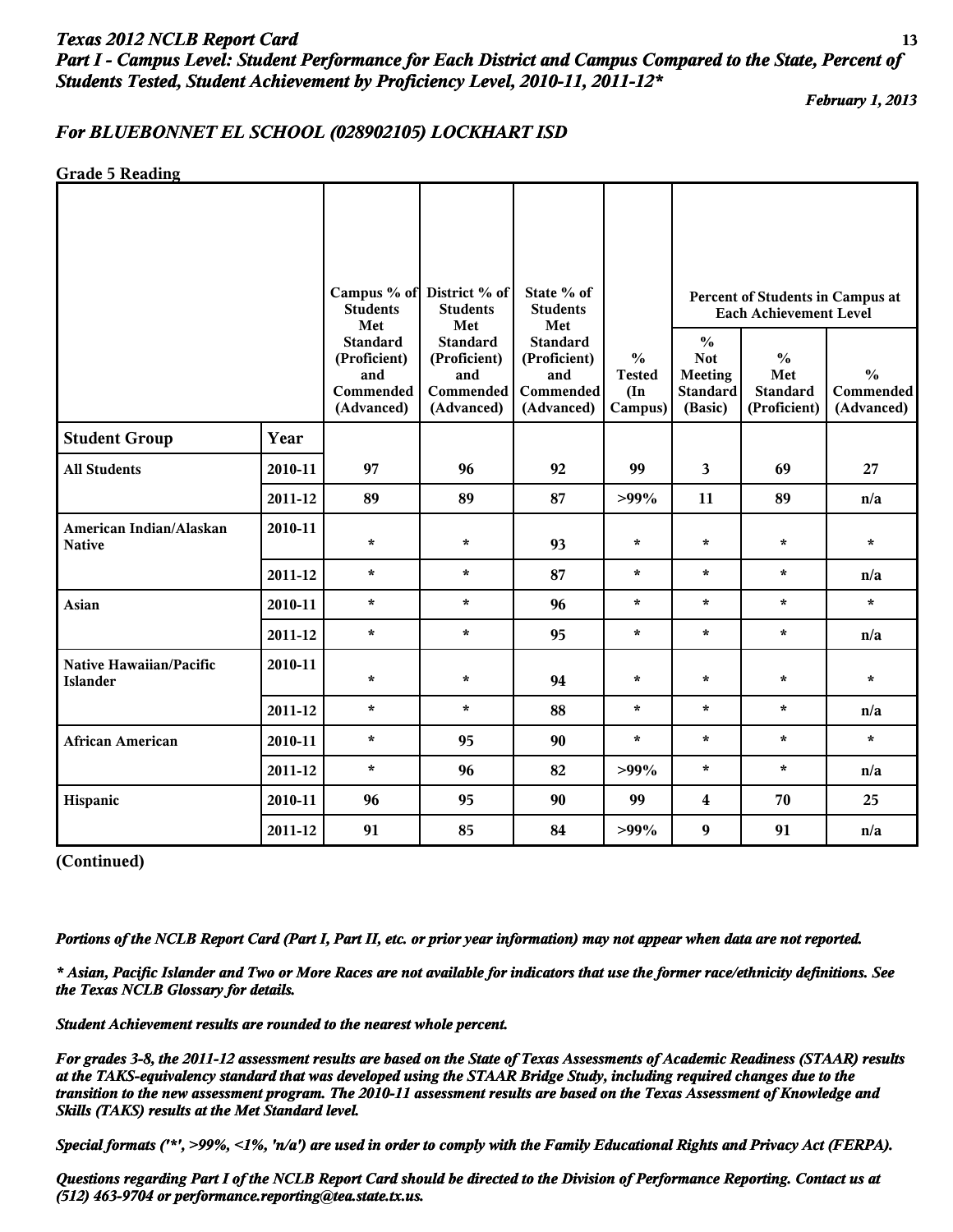# *Texas 2012 NCLB Report Card* **13** *Part I - Campus Level: Student Performance for Each District and Campus Compared to the State, Percent of Students Tested, Student Achievement by Proficiency Level, 2010-11, 2011-12\**

*February 1, 2013*

## *For BLUEBONNET EL SCHOOL (028902105) LOCKHART ISD*

**Grade 5 Reading**

|                                            |         | <b>Students</b><br>Met                                            | Campus % of District % of<br><b>Students</b>                             | State % of<br><b>Students</b>                                            |                                                            |                                                                             | Percent of Students in Campus at<br><b>Each Achievement Level</b> |                                          |
|--------------------------------------------|---------|-------------------------------------------------------------------|--------------------------------------------------------------------------|--------------------------------------------------------------------------|------------------------------------------------------------|-----------------------------------------------------------------------------|-------------------------------------------------------------------|------------------------------------------|
|                                            |         | <b>Standard</b><br>(Proficient)<br>and<br>Commended<br>(Advanced) | Met<br><b>Standard</b><br>(Proficient)<br>and<br>Commended<br>(Advanced) | Met<br><b>Standard</b><br>(Proficient)<br>and<br>Commended<br>(Advanced) | $\frac{0}{0}$<br><b>Tested</b><br>$(\text{In})$<br>Campus) | $\frac{6}{6}$<br><b>Not</b><br><b>Meeting</b><br><b>Standard</b><br>(Basic) | $\frac{0}{0}$<br>Met<br><b>Standard</b><br>(Proficient)           | $\frac{0}{0}$<br>Commended<br>(Advanced) |
| <b>Student Group</b>                       | Year    |                                                                   |                                                                          |                                                                          |                                                            |                                                                             |                                                                   |                                          |
| <b>All Students</b>                        | 2010-11 | 97                                                                | 96                                                                       | 92                                                                       | 99                                                         | 3                                                                           | 69                                                                | 27                                       |
|                                            | 2011-12 | 89                                                                | 89                                                                       | 87                                                                       | $>99\%$                                                    | 11                                                                          | 89                                                                | n/a                                      |
| American Indian/Alaskan<br><b>Native</b>   | 2010-11 | $\star$                                                           | $\star$                                                                  | 93                                                                       | $\star$                                                    | $\star$                                                                     | $\star$                                                           | $\star$                                  |
|                                            | 2011-12 | $\star$                                                           | $\star$                                                                  | 87                                                                       | $\star$                                                    | $\star$                                                                     | $\star$                                                           | n/a                                      |
| Asian                                      | 2010-11 | $\star$                                                           | $\star$                                                                  | 96                                                                       | $\star$                                                    | $\star$                                                                     | $\star$                                                           | $\star$                                  |
|                                            | 2011-12 | $\star$                                                           | $\star$                                                                  | 95                                                                       | $\star$                                                    | $\star$                                                                     | $\star$                                                           | n/a                                      |
| Native Hawaiian/Pacific<br><b>Islander</b> | 2010-11 | $\star$                                                           | $\star$                                                                  | 94                                                                       | $\star$                                                    | $\star$                                                                     | $\star$                                                           | $\star$                                  |
|                                            | 2011-12 | $\star$                                                           | $\star$                                                                  | 88                                                                       | $\star$                                                    | $\star$                                                                     | $\star$                                                           | n/a                                      |
| <b>African American</b>                    | 2010-11 | $\star$                                                           | 95                                                                       | 90                                                                       | $\star$                                                    | $\star$                                                                     | $\star$                                                           | $\star$                                  |
|                                            | 2011-12 | $\star$                                                           | 96                                                                       | 82                                                                       | $>99\%$                                                    | $\star$                                                                     | $\star$                                                           | n/a                                      |
| Hispanic                                   | 2010-11 | 96                                                                | 95                                                                       | 90                                                                       | 99                                                         | 4                                                                           | 70                                                                | 25                                       |
|                                            | 2011-12 | 91                                                                | 85                                                                       | 84                                                                       | $>99\%$                                                    | $\boldsymbol{9}$                                                            | 91                                                                | n/a                                      |

**(Continued)**

*Portions of the NCLB Report Card (Part I, Part II, etc. or prior year information) may not appear when data are not reported.*

*\* Asian, Pacific Islander and Two or More Races are not available for indicators that use the former race/ethnicity definitions. See the Texas NCLB Glossary for details.*

*Student Achievement results are rounded to the nearest whole percent.*

*For grades 3-8, the 2011-12 assessment results are based on the State of Texas Assessments of Academic Readiness (STAAR) results at the TAKS-equivalency standard that was developed using the STAAR Bridge Study, including required changes due to the transition to the new assessment program. The 2010-11 assessment results are based on the Texas Assessment of Knowledge and Skills (TAKS) results at the Met Standard level.*

*Special formats ('\*', >99%, <1%, 'n/a') are used in order to comply with the Family Educational Rights and Privacy Act (FERPA).*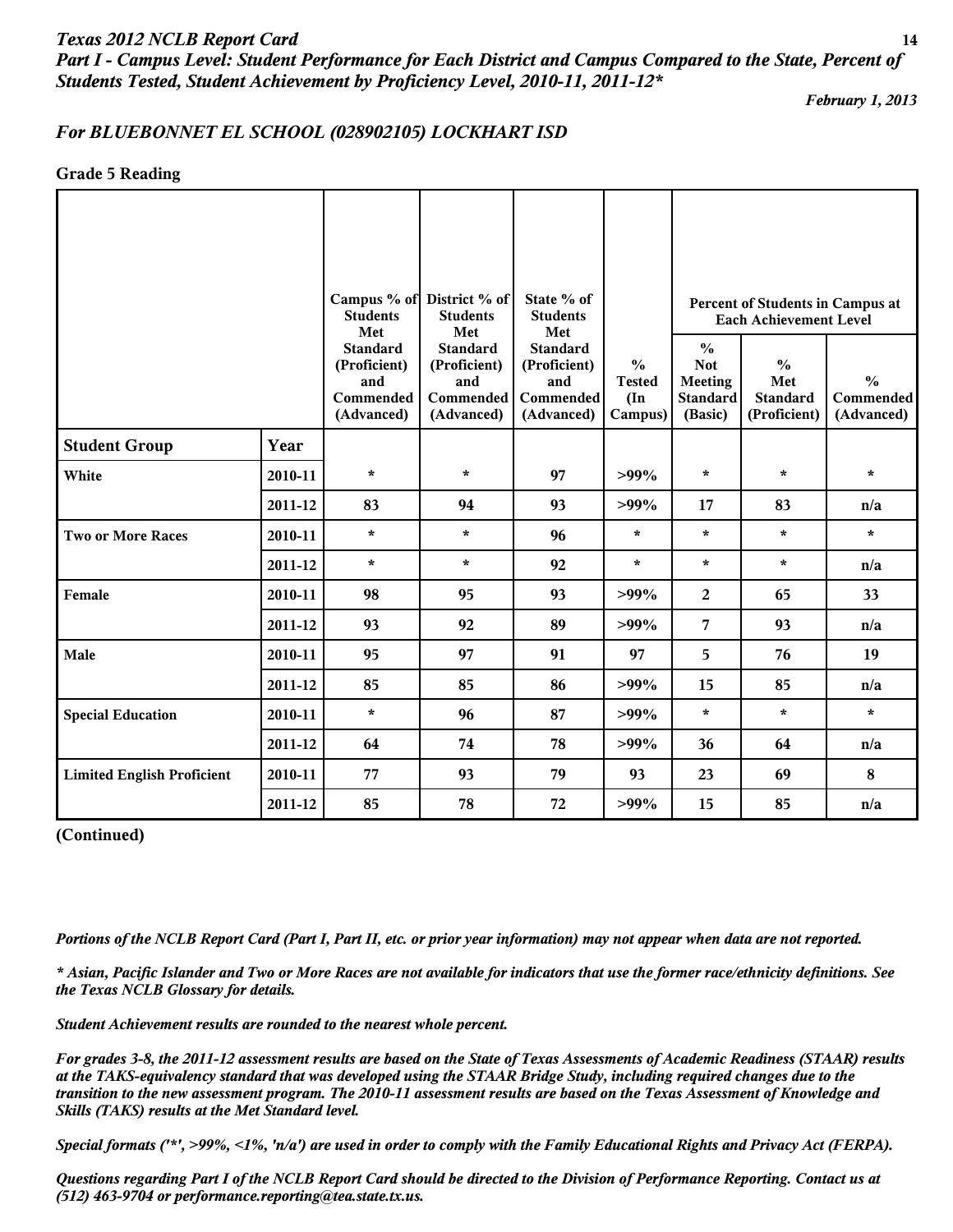*Part I - Campus Level: Student Performance for Each District and Campus Compared to the State, Percent of Students Tested, Student Achievement by Proficiency Level, 2010-11, 2011-12\**

*February 1, 2013*

# *For BLUEBONNET EL SCHOOL (028902105) LOCKHART ISD*

**Grade 5 Reading**

|                                   |         | <b>Students</b><br>Met                                            | Campus % of District % of<br><b>Students</b><br>Met               | State % of<br><b>Students</b>                                     |                                                                                                                                                                                                                                                                                                                   |                                                          |                                                         |                                          |
|-----------------------------------|---------|-------------------------------------------------------------------|-------------------------------------------------------------------|-------------------------------------------------------------------|-------------------------------------------------------------------------------------------------------------------------------------------------------------------------------------------------------------------------------------------------------------------------------------------------------------------|----------------------------------------------------------|---------------------------------------------------------|------------------------------------------|
|                                   |         | <b>Standard</b><br>(Proficient)<br>and<br>Commended<br>(Advanced) | <b>Standard</b><br>(Proficient)<br>and<br>Commended<br>(Advanced) | <b>Standard</b><br>(Proficient)<br>and<br>Commended<br>(Advanced) | $\frac{6}{6}$<br><b>Tested</b><br>(In<br>Campus)                                                                                                                                                                                                                                                                  | $\frac{6}{6}$<br><b>Not</b><br><b>Meeting</b><br>(Basic) | $\frac{0}{0}$<br>Met<br><b>Standard</b><br>(Proficient) | $\frac{0}{0}$<br>Commended<br>(Advanced) |
| <b>Student Group</b>              | Year    |                                                                   |                                                                   |                                                                   |                                                                                                                                                                                                                                                                                                                   |                                                          |                                                         |                                          |
| White                             | 2010-11 | $\star$                                                           | $\star$                                                           | 97                                                                | $>99\%$                                                                                                                                                                                                                                                                                                           | $\star$                                                  | $\star$                                                 | $\star$                                  |
|                                   | 2011-12 | 83                                                                | 94                                                                | 93                                                                | $>99\%$                                                                                                                                                                                                                                                                                                           | 17                                                       | 83                                                      | n/a                                      |
| <b>Two or More Races</b>          | 2010-11 | $\star$                                                           | $\star$                                                           | 96                                                                | $\star$                                                                                                                                                                                                                                                                                                           | $\star$                                                  | $\star$                                                 | $\star$                                  |
|                                   | 2011-12 | $\star$                                                           | $\star$                                                           | 92                                                                | Percent of Students in Campus at<br><b>Each Achievement Level</b><br>Met<br><b>Standard</b><br>$\star$<br>$\star$<br>$\star$<br>$>99\%$<br>65<br>2<br>$>99\%$<br>7<br>93<br>5<br>97<br>76<br>$>99\%$<br>85<br>15<br>$\star$<br>$\star$<br>$>99\%$<br>$>99\%$<br>36<br>64<br>69<br>93<br>23<br>$>99\%$<br>15<br>85 | n/a                                                      |                                                         |                                          |
| Female                            | 2010-11 | 98                                                                | 95                                                                | 93                                                                |                                                                                                                                                                                                                                                                                                                   |                                                          |                                                         | 33                                       |
|                                   | 2011-12 | 93                                                                | 92                                                                | 89                                                                |                                                                                                                                                                                                                                                                                                                   |                                                          |                                                         | n/a                                      |
| Male                              | 2010-11 | 95                                                                | 97                                                                | 91                                                                |                                                                                                                                                                                                                                                                                                                   |                                                          |                                                         | 19                                       |
|                                   | 2011-12 | 85                                                                | 85                                                                | 86                                                                |                                                                                                                                                                                                                                                                                                                   |                                                          |                                                         | n/a                                      |
| <b>Special Education</b>          | 2010-11 | $\star$                                                           | 96                                                                | 87                                                                |                                                                                                                                                                                                                                                                                                                   |                                                          |                                                         | $\star$                                  |
|                                   | 2011-12 | 64                                                                | 74                                                                | 78                                                                |                                                                                                                                                                                                                                                                                                                   |                                                          |                                                         | n/a                                      |
| <b>Limited English Proficient</b> | 2010-11 | 77                                                                | 93                                                                | 79                                                                |                                                                                                                                                                                                                                                                                                                   |                                                          |                                                         | 8                                        |
|                                   | 2011-12 | 85                                                                | 78                                                                | 72                                                                |                                                                                                                                                                                                                                                                                                                   |                                                          |                                                         | n/a                                      |

**(Continued)**

*Portions of the NCLB Report Card (Part I, Part II, etc. or prior year information) may not appear when data are not reported.*

*\* Asian, Pacific Islander and Two or More Races are not available for indicators that use the former race/ethnicity definitions. See the Texas NCLB Glossary for details.*

*Student Achievement results are rounded to the nearest whole percent.*

*For grades 3-8, the 2011-12 assessment results are based on the State of Texas Assessments of Academic Readiness (STAAR) results at the TAKS-equivalency standard that was developed using the STAAR Bridge Study, including required changes due to the transition to the new assessment program. The 2010-11 assessment results are based on the Texas Assessment of Knowledge and Skills (TAKS) results at the Met Standard level.*

*Special formats ('\*', >99%, <1%, 'n/a') are used in order to comply with the Family Educational Rights and Privacy Act (FERPA).*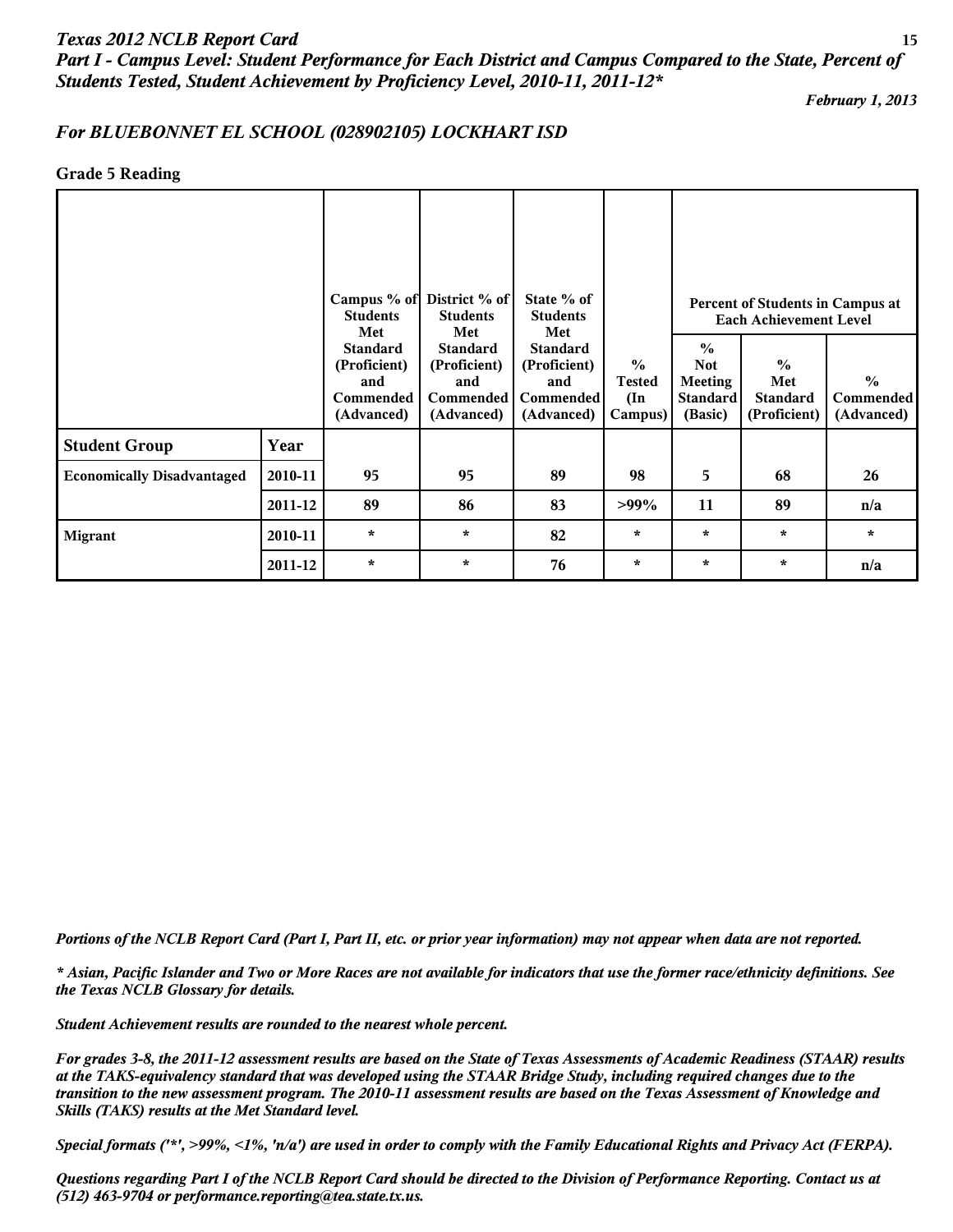# *Texas 2012 NCLB Report Card* **15** *Part I - Campus Level: Student Performance for Each District and Campus Compared to the State, Percent of Students Tested, Student Achievement by Proficiency Level, 2010-11, 2011-12\**

*February 1, 2013*

#### *For BLUEBONNET EL SCHOOL (028902105) LOCKHART ISD*

#### **Grade 5 Reading**

|                                   |         | Campus % of District % of<br><b>Students</b><br>Met               |                                                                          | State % of<br><b>Students</b><br>Met                              |                                                            | Percent of Students in Campus at<br><b>Each Achievement Level</b>           |                                                         |                                                 |  |
|-----------------------------------|---------|-------------------------------------------------------------------|--------------------------------------------------------------------------|-------------------------------------------------------------------|------------------------------------------------------------|-----------------------------------------------------------------------------|---------------------------------------------------------|-------------------------------------------------|--|
|                                   |         | <b>Standard</b><br>(Proficient)<br>and<br>Commended<br>(Advanced) | Met<br><b>Standard</b><br>(Proficient)<br>and<br>Commended<br>(Advanced) | <b>Standard</b><br>(Proficient)<br>and<br>Commended<br>(Advanced) | $\frac{0}{0}$<br><b>Tested</b><br>$(\text{In})$<br>Campus) | $\frac{0}{0}$<br><b>Not</b><br><b>Meeting</b><br><b>Standard</b><br>(Basic) | $\frac{0}{0}$<br>Met<br><b>Standard</b><br>(Proficient) | $\frac{0}{0}$<br><b>Commended</b><br>(Advanced) |  |
| <b>Student Group</b>              | Year    |                                                                   |                                                                          |                                                                   |                                                            |                                                                             |                                                         |                                                 |  |
| <b>Economically Disadvantaged</b> | 2010-11 | 95                                                                | 95                                                                       | 89                                                                | 98                                                         | 5                                                                           | 68                                                      | 26                                              |  |
|                                   | 2011-12 | 89                                                                | 86                                                                       | 83                                                                | $>99\%$                                                    | 11                                                                          | 89                                                      | n/a                                             |  |
| <b>Migrant</b>                    | 2010-11 | $\star$                                                           | $\star$                                                                  | 82                                                                | $\star$                                                    | $\star$                                                                     | $\star$                                                 | $\star$                                         |  |
|                                   | 2011-12 | $\star$                                                           | $\star$                                                                  | 76                                                                | $\star$                                                    | $\star$                                                                     | $\ast$                                                  | n/a                                             |  |

*Portions of the NCLB Report Card (Part I, Part II, etc. or prior year information) may not appear when data are not reported.*

*\* Asian, Pacific Islander and Two or More Races are not available for indicators that use the former race/ethnicity definitions. See the Texas NCLB Glossary for details.*

*Student Achievement results are rounded to the nearest whole percent.*

*For grades 3-8, the 2011-12 assessment results are based on the State of Texas Assessments of Academic Readiness (STAAR) results at the TAKS-equivalency standard that was developed using the STAAR Bridge Study, including required changes due to the transition to the new assessment program. The 2010-11 assessment results are based on the Texas Assessment of Knowledge and Skills (TAKS) results at the Met Standard level.*

*Special formats ('\*', >99%, <1%, 'n/a') are used in order to comply with the Family Educational Rights and Privacy Act (FERPA).*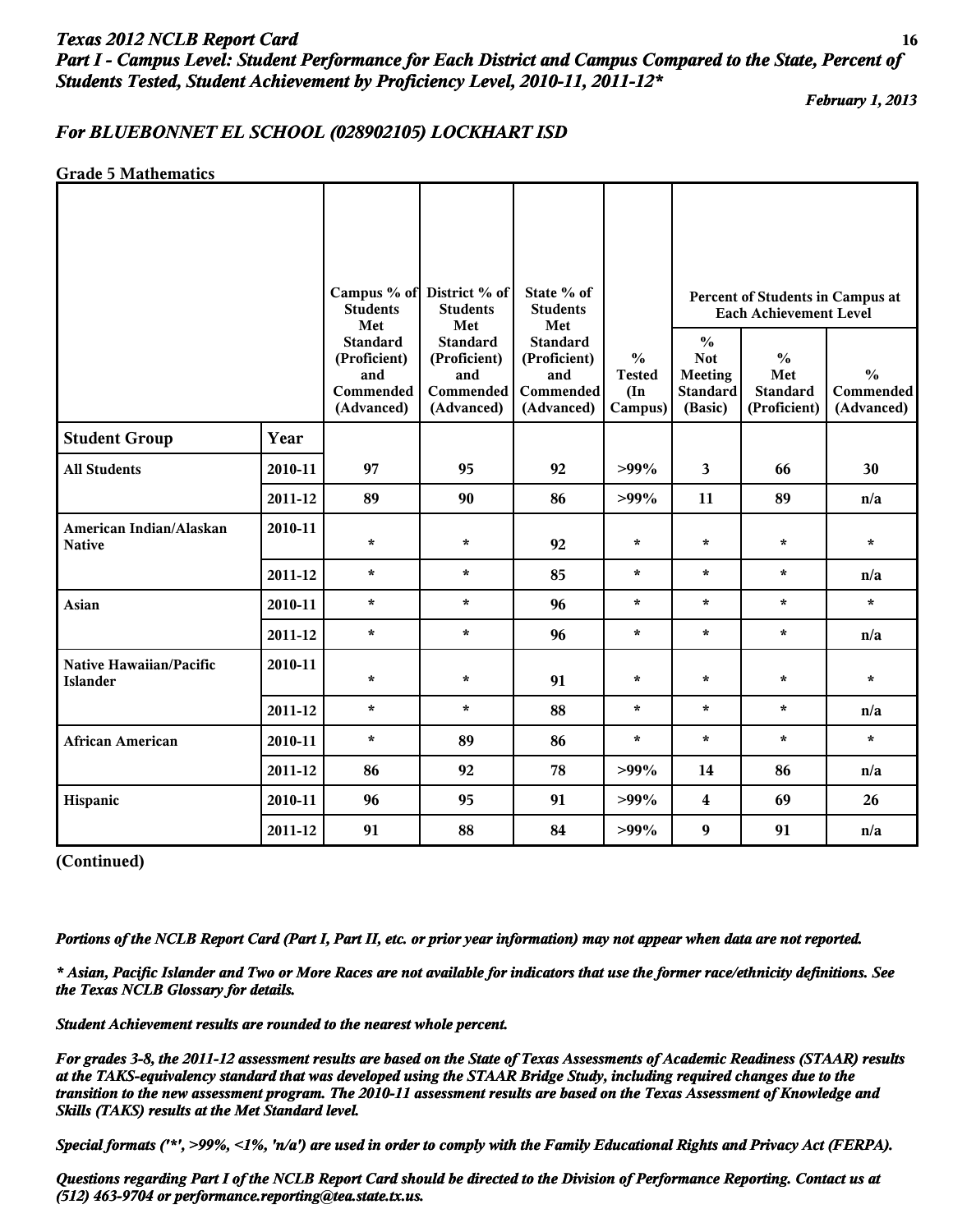# *Texas 2012 NCLB Report Card* **16** *Part I - Campus Level: Student Performance for Each District and Campus Compared to the State, Percent of Students Tested, Student Achievement by Proficiency Level, 2010-11, 2011-12\**

*February 1, 2013*

#### *For BLUEBONNET EL SCHOOL (028902105) LOCKHART ISD*

#### **Grade 5 Mathematics**

|                                            |         | <b>Students</b>                                                                                                                                                                                                                                                                     | Campus % of District % of<br><b>Students</b> | State % of<br><b>Students</b> |                                                                             |                                                         | Percent of Students in Campus at<br><b>Each Achievement Level</b> |         |
|--------------------------------------------|---------|-------------------------------------------------------------------------------------------------------------------------------------------------------------------------------------------------------------------------------------------------------------------------------------|----------------------------------------------|-------------------------------|-----------------------------------------------------------------------------|---------------------------------------------------------|-------------------------------------------------------------------|---------|
|                                            |         | Met<br>Met<br>Met<br><b>Standard</b><br><b>Standard</b><br><b>Standard</b><br>$\frac{6}{6}$<br>(Proficient)<br>(Proficient)<br>(Proficient)<br>and<br>and<br>and<br><b>Tested</b><br>Commended<br>Commended<br>Commended<br>$(\text{In})$<br>(Advanced)<br>(Advanced)<br>(Advanced) |                                              | Campus)                       | $\frac{0}{0}$<br><b>Not</b><br><b>Meeting</b><br><b>Standard</b><br>(Basic) | $\frac{0}{0}$<br>Met<br><b>Standard</b><br>(Proficient) | $\frac{0}{0}$<br>Commended<br>(Advanced)                          |         |
| <b>Student Group</b>                       | Year    |                                                                                                                                                                                                                                                                                     |                                              |                               |                                                                             |                                                         |                                                                   |         |
| <b>All Students</b>                        | 2010-11 | 97                                                                                                                                                                                                                                                                                  | 95                                           | 92                            | $>99\%$                                                                     | $\mathbf{3}$                                            | 66                                                                | 30      |
|                                            | 2011-12 | 89                                                                                                                                                                                                                                                                                  | 90                                           | 86                            | $>99\%$                                                                     | 11                                                      | 89                                                                | n/a     |
| American Indian/Alaskan<br><b>Native</b>   | 2010-11 | $\star$                                                                                                                                                                                                                                                                             | $\star$                                      | 92                            | $\star$                                                                     | $\star$                                                 | $\star$                                                           | $\star$ |
|                                            | 2011-12 | $\star$                                                                                                                                                                                                                                                                             | $\star$                                      | 85                            | ÷                                                                           | $\star$                                                 | $\star$                                                           | n/a     |
| Asian                                      | 2010-11 | $\star$                                                                                                                                                                                                                                                                             | $\star$                                      | 96                            | $\star$                                                                     | $\star$                                                 | $\star$                                                           | $\star$ |
|                                            | 2011-12 | $\star$                                                                                                                                                                                                                                                                             | $\star$                                      | 96                            | $\star$                                                                     | $\star$                                                 | $\star$                                                           | n/a     |
| Native Hawaiian/Pacific<br><b>Islander</b> | 2010-11 | $\star$                                                                                                                                                                                                                                                                             | $\star$                                      | 91                            | $\star$                                                                     | $\star$                                                 | $\star$                                                           | $\star$ |
|                                            | 2011-12 | $\star$                                                                                                                                                                                                                                                                             | $\star$                                      | 88                            | $\star$                                                                     | $\star$                                                 | $\star$                                                           | n/a     |
| <b>African American</b>                    | 2010-11 | $\star$                                                                                                                                                                                                                                                                             | 89                                           | 86                            | $\star$                                                                     | $\star$                                                 | $\star$                                                           | $\star$ |
|                                            | 2011-12 | 86                                                                                                                                                                                                                                                                                  | 92                                           | 78                            | $>99\%$                                                                     | 14                                                      | 86                                                                | n/a     |
| Hispanic                                   | 2010-11 | 96                                                                                                                                                                                                                                                                                  | 95                                           | 91                            | $>99\%$                                                                     | 4                                                       | 69                                                                | 26      |
|                                            | 2011-12 | 91                                                                                                                                                                                                                                                                                  | 88                                           | 84                            | $>99\%$                                                                     | $\boldsymbol{9}$                                        | 91                                                                | n/a     |

**(Continued)**

*Portions of the NCLB Report Card (Part I, Part II, etc. or prior year information) may not appear when data are not reported.*

*\* Asian, Pacific Islander and Two or More Races are not available for indicators that use the former race/ethnicity definitions. See the Texas NCLB Glossary for details.*

*Student Achievement results are rounded to the nearest whole percent.*

*For grades 3-8, the 2011-12 assessment results are based on the State of Texas Assessments of Academic Readiness (STAAR) results at the TAKS-equivalency standard that was developed using the STAAR Bridge Study, including required changes due to the transition to the new assessment program. The 2010-11 assessment results are based on the Texas Assessment of Knowledge and Skills (TAKS) results at the Met Standard level.*

*Special formats ('\*', >99%, <1%, 'n/a') are used in order to comply with the Family Educational Rights and Privacy Act (FERPA).*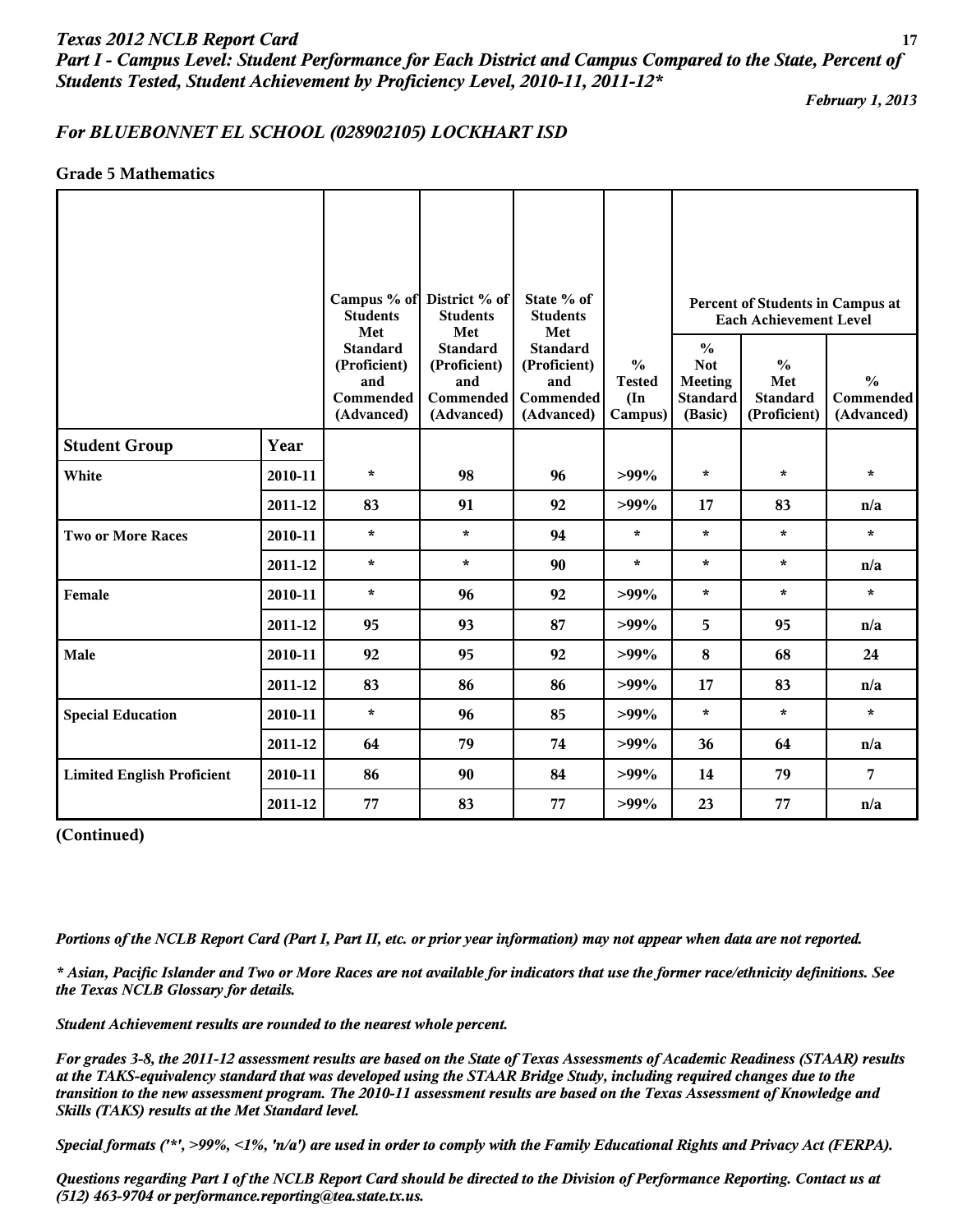*Part I - Campus Level: Student Performance for Each District and Campus Compared to the State, Percent of Students Tested, Student Achievement by Proficiency Level, 2010-11, 2011-12\**

*February 1, 2013*

# *For BLUEBONNET EL SCHOOL (028902105) LOCKHART ISD*

#### **Grade 5 Mathematics**

|                                   |         | <b>Students</b><br>Met                                            | Campus % of District % of<br><b>Students</b><br>Met               | State % of<br><b>Students</b><br>Met                                     |                                                            | Percent of Students in Campus at<br><b>Each Achievement Level</b>           |                                                         |                                          |
|-----------------------------------|---------|-------------------------------------------------------------------|-------------------------------------------------------------------|--------------------------------------------------------------------------|------------------------------------------------------------|-----------------------------------------------------------------------------|---------------------------------------------------------|------------------------------------------|
|                                   |         | <b>Standard</b><br>(Proficient)<br>and<br>Commended<br>(Advanced) | <b>Standard</b><br>(Proficient)<br>and<br>Commended<br>(Advanced) | <b>Standard</b><br>(Proficient)<br>and<br><b>Commended</b><br>(Advanced) | $\frac{6}{6}$<br><b>Tested</b><br>$(\text{In})$<br>Campus) | $\frac{0}{0}$<br><b>Not</b><br><b>Meeting</b><br><b>Standard</b><br>(Basic) | $\frac{0}{0}$<br>Met<br><b>Standard</b><br>(Proficient) | $\frac{0}{0}$<br>Commended<br>(Advanced) |
| <b>Student Group</b>              | Year    |                                                                   |                                                                   |                                                                          |                                                            |                                                                             |                                                         |                                          |
| White                             | 2010-11 | $\star$                                                           | 98                                                                | 96                                                                       | $>99\%$                                                    | $\star$                                                                     | $\star$                                                 | $\star$                                  |
|                                   | 2011-12 | 83                                                                | 91                                                                | 92                                                                       | $>99\%$                                                    | 17                                                                          | 83                                                      | n/a                                      |
| <b>Two or More Races</b>          | 2010-11 | $\star$                                                           | $\star$                                                           | 94                                                                       | $\star$                                                    | $\star$                                                                     | $\star$                                                 | $\star$                                  |
|                                   | 2011-12 | $\star$                                                           | $\star$                                                           | 90                                                                       | $\star$                                                    | $\star$                                                                     | $\star$                                                 | n/a                                      |
| Female                            | 2010-11 | $\star$                                                           | 96                                                                | 92                                                                       | $>99\%$                                                    | $\star$                                                                     | $\star$                                                 | $\star$                                  |
|                                   | 2011-12 | 95                                                                | 93                                                                | 87                                                                       | $>99\%$                                                    | 5                                                                           | 95                                                      | n/a                                      |
| Male                              | 2010-11 | 92                                                                | 95                                                                | 92                                                                       | $>99\%$                                                    | 8                                                                           | 68                                                      | 24                                       |
|                                   | 2011-12 | 83                                                                | 86                                                                | 86                                                                       | $>99\%$                                                    | 17                                                                          | 83                                                      | n/a                                      |
| <b>Special Education</b>          | 2010-11 | $\star$                                                           | 96                                                                | 85                                                                       | $>99\%$                                                    | $\star$                                                                     | $\star$                                                 | $\star$                                  |
|                                   | 2011-12 | 64                                                                | 79                                                                | 74                                                                       | $>99\%$                                                    | 36                                                                          | 64                                                      | n/a                                      |
| <b>Limited English Proficient</b> | 2010-11 | 86                                                                | 90                                                                | 84                                                                       | $>99\%$                                                    | 14                                                                          | 79                                                      | 7                                        |
|                                   | 2011-12 | 77                                                                | 83                                                                | 77                                                                       | $>99\%$                                                    | 23                                                                          | 77                                                      | n/a                                      |

#### **(Continued)**

*Portions of the NCLB Report Card (Part I, Part II, etc. or prior year information) may not appear when data are not reported.*

*\* Asian, Pacific Islander and Two or More Races are not available for indicators that use the former race/ethnicity definitions. See the Texas NCLB Glossary for details.*

*Student Achievement results are rounded to the nearest whole percent.*

*For grades 3-8, the 2011-12 assessment results are based on the State of Texas Assessments of Academic Readiness (STAAR) results at the TAKS-equivalency standard that was developed using the STAAR Bridge Study, including required changes due to the transition to the new assessment program. The 2010-11 assessment results are based on the Texas Assessment of Knowledge and Skills (TAKS) results at the Met Standard level.*

*Special formats ('\*', >99%, <1%, 'n/a') are used in order to comply with the Family Educational Rights and Privacy Act (FERPA).*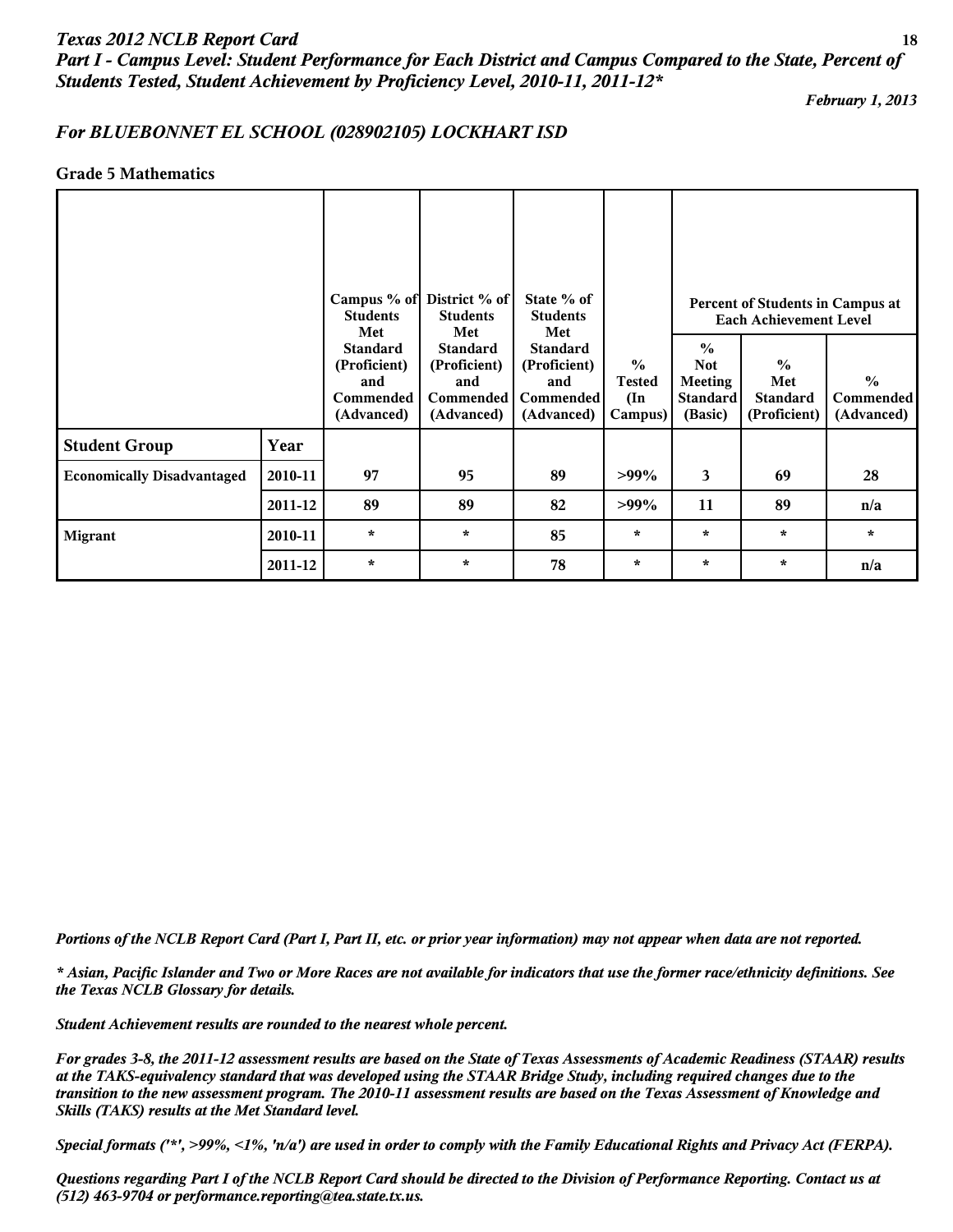## *Texas 2012 NCLB Report Card* **18** *Part I - Campus Level: Student Performance for Each District and Campus Compared to the State, Percent of Students Tested, Student Achievement by Proficiency Level, 2010-11, 2011-12\**

*February 1, 2013*

## *For BLUEBONNET EL SCHOOL (028902105) LOCKHART ISD*

#### **Grade 5 Mathematics**

|                                   |         | Campus % of District % of<br><b>Students</b><br>Met               |                                                                                 | State % of<br><b>Students</b><br>Met                                     |                                                            | Percent of Students in Campus at<br><b>Each Achievement Level</b>           |                                                         |                                            |  |
|-----------------------------------|---------|-------------------------------------------------------------------|---------------------------------------------------------------------------------|--------------------------------------------------------------------------|------------------------------------------------------------|-----------------------------------------------------------------------------|---------------------------------------------------------|--------------------------------------------|--|
|                                   |         | <b>Standard</b><br>(Proficient)<br>and<br>Commended<br>(Advanced) | Met<br><b>Standard</b><br>(Proficient)<br>and<br><b>Commended</b><br>(Advanced) | <b>Standard</b><br>(Proficient)<br>and<br><b>Commended</b><br>(Advanced) | $\frac{0}{0}$<br><b>Tested</b><br>$(\text{In})$<br>Campus) | $\frac{0}{0}$<br><b>Not</b><br><b>Meeting</b><br><b>Standard</b><br>(Basic) | $\frac{0}{0}$<br>Met<br><b>Standard</b><br>(Proficient) | $\frac{0}{0}$<br>Commended  <br>(Advanced) |  |
| <b>Student Group</b>              | Year    |                                                                   |                                                                                 |                                                                          |                                                            |                                                                             |                                                         |                                            |  |
| <b>Economically Disadvantaged</b> | 2010-11 | 97                                                                | 95                                                                              | 89                                                                       | $>99\%$                                                    | 3                                                                           | 69                                                      | 28                                         |  |
|                                   | 2011-12 | 89                                                                | 89                                                                              | 82                                                                       | $>99\%$                                                    | 11                                                                          | 89                                                      | n/a                                        |  |
| <b>Migrant</b>                    | 2010-11 | $\star$                                                           | $\star$                                                                         | 85                                                                       | $\star$                                                    | $\star$                                                                     | $\star$                                                 | $\star$                                    |  |
|                                   | 2011-12 | $\star$                                                           | $\star$                                                                         | 78                                                                       | $\star$                                                    | $\star$                                                                     | $\star$                                                 | n/a                                        |  |

*Portions of the NCLB Report Card (Part I, Part II, etc. or prior year information) may not appear when data are not reported.*

*\* Asian, Pacific Islander and Two or More Races are not available for indicators that use the former race/ethnicity definitions. See the Texas NCLB Glossary for details.*

*Student Achievement results are rounded to the nearest whole percent.*

*For grades 3-8, the 2011-12 assessment results are based on the State of Texas Assessments of Academic Readiness (STAAR) results at the TAKS-equivalency standard that was developed using the STAAR Bridge Study, including required changes due to the transition to the new assessment program. The 2010-11 assessment results are based on the Texas Assessment of Knowledge and Skills (TAKS) results at the Met Standard level.*

*Special formats ('\*', >99%, <1%, 'n/a') are used in order to comply with the Family Educational Rights and Privacy Act (FERPA).*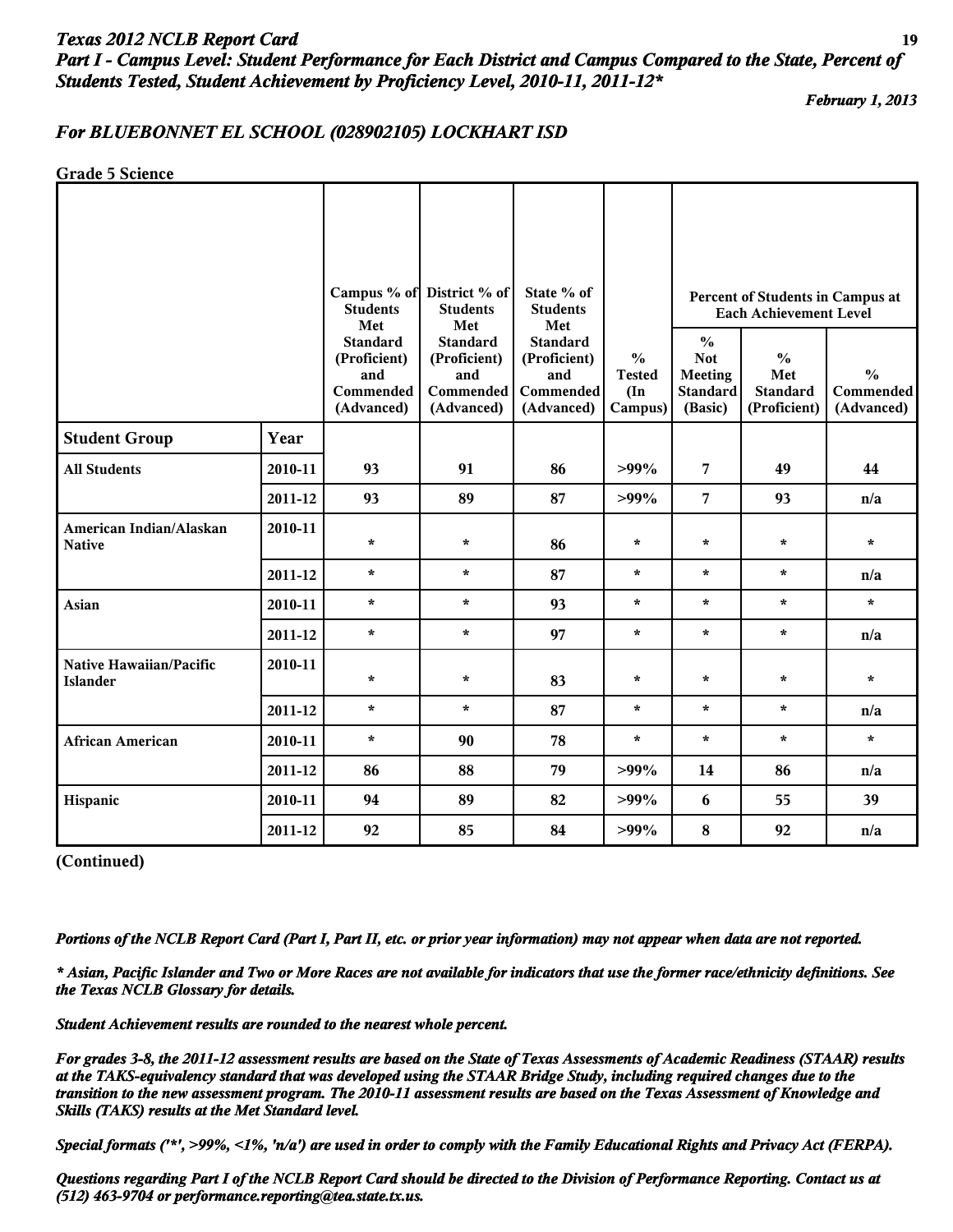# *Texas 2012 NCLB Report Card* **19** *Part I - Campus Level: Student Performance for Each District and Campus Compared to the State, Percent of Students Tested, Student Achievement by Proficiency Level, 2010-11, 2011-12\**

*February 1, 2013*

## *For BLUEBONNET EL SCHOOL (028902105) LOCKHART ISD*

**Grade 5 Science**

|                                            |         | <b>Students</b>                                                          | Campus % of District % of<br><b>Students</b>                             | State % of<br><b>Students</b>                                            |                                                            |                                                                             | Percent of Students in Campus at<br><b>Each Achievement Level</b> |                                          |
|--------------------------------------------|---------|--------------------------------------------------------------------------|--------------------------------------------------------------------------|--------------------------------------------------------------------------|------------------------------------------------------------|-----------------------------------------------------------------------------|-------------------------------------------------------------------|------------------------------------------|
|                                            |         | Met<br><b>Standard</b><br>(Proficient)<br>and<br>Commended<br>(Advanced) | Met<br><b>Standard</b><br>(Proficient)<br>and<br>Commended<br>(Advanced) | Met<br><b>Standard</b><br>(Proficient)<br>and<br>Commended<br>(Advanced) | $\frac{0}{0}$<br><b>Tested</b><br>$(\text{In})$<br>Campus) | $\frac{0}{0}$<br><b>Not</b><br><b>Meeting</b><br><b>Standard</b><br>(Basic) | $\frac{0}{0}$<br>Met<br><b>Standard</b><br>(Proficient)           | $\frac{0}{0}$<br>Commended<br>(Advanced) |
| <b>Student Group</b>                       | Year    |                                                                          |                                                                          |                                                                          |                                                            |                                                                             |                                                                   |                                          |
| <b>All Students</b>                        | 2010-11 | 93                                                                       | 91                                                                       | 86                                                                       | $>99\%$                                                    | 7                                                                           | 49                                                                | 44                                       |
|                                            | 2011-12 | 93                                                                       | 89                                                                       | 87                                                                       | $>99\%$                                                    | $\overline{7}$                                                              | 93                                                                | n/a                                      |
| American Indian/Alaskan<br><b>Native</b>   | 2010-11 | $\star$                                                                  | $\star$                                                                  | 86                                                                       | $\star$                                                    | $\star$                                                                     | $\star$                                                           | $\star$                                  |
|                                            | 2011-12 | $\star$                                                                  | $\star$                                                                  | 87                                                                       | $\star$                                                    | $\star$                                                                     | $\star$                                                           | n/a                                      |
| Asian                                      | 2010-11 | $\star$                                                                  | $\star$                                                                  | 93                                                                       | $\star$                                                    | $\star$                                                                     | $\star$                                                           | $\star$                                  |
|                                            | 2011-12 | $\star$                                                                  | $\star$                                                                  | 97                                                                       | $\star$                                                    | $\star$                                                                     | $\star$                                                           | n/a                                      |
| Native Hawaiian/Pacific<br><b>Islander</b> | 2010-11 | $\star$                                                                  | $\star$                                                                  | 83                                                                       | $\star$                                                    | $\star$                                                                     | $\star$                                                           | $\star$                                  |
|                                            | 2011-12 | $\star$                                                                  | $\star$                                                                  | 87                                                                       | $\star$                                                    | $\star$                                                                     | $\star$                                                           | n/a                                      |
| <b>African American</b>                    | 2010-11 | $\star$                                                                  | 90                                                                       | 78                                                                       | $\star$                                                    | $\star$                                                                     | $\star$                                                           | $\star$                                  |
|                                            | 2011-12 | 86                                                                       | 88                                                                       | 79                                                                       | $>99\%$                                                    | 14                                                                          | 86                                                                | n/a                                      |
| Hispanic                                   | 2010-11 | 94                                                                       | 89                                                                       | 82                                                                       | $>99\%$                                                    | 6                                                                           | 55                                                                | 39                                       |
|                                            | 2011-12 | 92                                                                       | 85                                                                       | 84                                                                       | $>99\%$                                                    | ${\bf 8}$                                                                   | 92                                                                | n/a                                      |

**(Continued)**

*Portions of the NCLB Report Card (Part I, Part II, etc. or prior year information) may not appear when data are not reported.*

*\* Asian, Pacific Islander and Two or More Races are not available for indicators that use the former race/ethnicity definitions. See the Texas NCLB Glossary for details.*

*Student Achievement results are rounded to the nearest whole percent.*

*For grades 3-8, the 2011-12 assessment results are based on the State of Texas Assessments of Academic Readiness (STAAR) results at the TAKS-equivalency standard that was developed using the STAAR Bridge Study, including required changes due to the transition to the new assessment program. The 2010-11 assessment results are based on the Texas Assessment of Knowledge and Skills (TAKS) results at the Met Standard level.*

*Special formats ('\*', >99%, <1%, 'n/a') are used in order to comply with the Family Educational Rights and Privacy Act (FERPA).*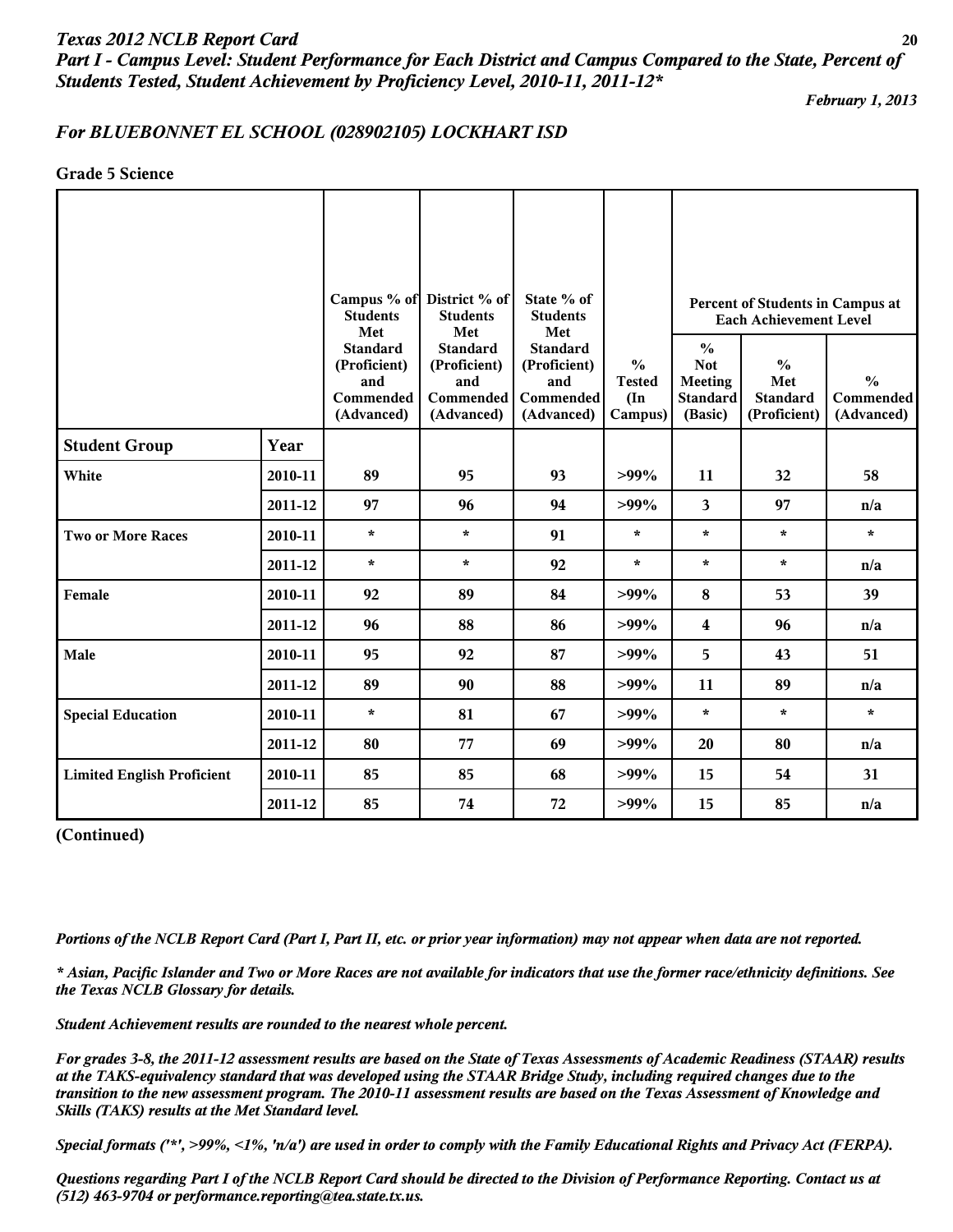*Part I - Campus Level: Student Performance for Each District and Campus Compared to the State, Percent of Students Tested, Student Achievement by Proficiency Level, 2010-11, 2011-12\**

*February 1, 2013*

# *For BLUEBONNET EL SCHOOL (028902105) LOCKHART ISD*

**Grade 5 Science**

|                                   |         |                                                                   | Campus % of District % of                                         | State % of                                                        |                                                            |                                                                      | Percent of Students in Campus at                        |                                          |
|-----------------------------------|---------|-------------------------------------------------------------------|-------------------------------------------------------------------|-------------------------------------------------------------------|------------------------------------------------------------|----------------------------------------------------------------------|---------------------------------------------------------|------------------------------------------|
|                                   |         | <b>Students</b><br>Met                                            | <b>Students</b><br>Met                                            | <b>Students</b><br>Met                                            |                                                            | <b>Each Achievement Level</b>                                        |                                                         |                                          |
|                                   |         | <b>Standard</b><br>(Proficient)<br>and<br>Commended<br>(Advanced) | <b>Standard</b><br>(Proficient)<br>and<br>Commended<br>(Advanced) | <b>Standard</b><br>(Proficient)<br>and<br>Commended<br>(Advanced) | $\frac{6}{6}$<br><b>Tested</b><br>$(\text{In})$<br>Campus) | $\frac{0}{0}$<br><b>Not</b><br>Meeting<br><b>Standard</b><br>(Basic) | $\frac{0}{0}$<br>Met<br><b>Standard</b><br>(Proficient) | $\frac{0}{0}$<br>Commended<br>(Advanced) |
| <b>Student Group</b>              | Year    |                                                                   |                                                                   |                                                                   |                                                            |                                                                      |                                                         |                                          |
| White                             | 2010-11 | 89                                                                | 95                                                                | 93                                                                | $>99\%$                                                    | 11                                                                   | 32                                                      | 58                                       |
|                                   | 2011-12 | 97                                                                | 96                                                                | 94                                                                | $>99\%$                                                    | 3                                                                    | 97                                                      | n/a                                      |
| <b>Two or More Races</b>          | 2010-11 | $\star$                                                           | $\star$                                                           | 91                                                                | $\star$                                                    | $\star$                                                              | $\star$                                                 | $\star$                                  |
|                                   | 2011-12 | $\star$                                                           | $\star$                                                           | 92                                                                | $\star$                                                    | $\star$                                                              | $\star$                                                 | n/a                                      |
| Female                            | 2010-11 | 92                                                                | 89                                                                | 84                                                                | $>99\%$                                                    | 8                                                                    | 53                                                      | 39                                       |
|                                   | 2011-12 | 96                                                                | 88                                                                | 86                                                                | $>99\%$                                                    | 4                                                                    | 96                                                      | n/a                                      |
| Male                              | 2010-11 | 95                                                                | 92                                                                | 87                                                                | $>99\%$                                                    | 5                                                                    | 43                                                      | 51                                       |
|                                   | 2011-12 | 89                                                                | 90                                                                | 88                                                                | $>99\%$                                                    | 11                                                                   | 89                                                      | n/a                                      |
| <b>Special Education</b>          | 2010-11 | $\star$                                                           | 81                                                                | 67                                                                | $>99\%$                                                    | $\star$                                                              | $\star$                                                 | $\star$                                  |
|                                   | 2011-12 | 80                                                                | 77                                                                | 69                                                                | $>99\%$                                                    | 20                                                                   | 80                                                      | n/a                                      |
| <b>Limited English Proficient</b> | 2010-11 | 85                                                                | 85                                                                | 68                                                                | $>99\%$                                                    | 15                                                                   | 54                                                      | 31                                       |
|                                   | 2011-12 | 85                                                                | 74                                                                | 72                                                                | $>99\%$                                                    | 15                                                                   | 85                                                      | n/a                                      |

**(Continued)**

*Portions of the NCLB Report Card (Part I, Part II, etc. or prior year information) may not appear when data are not reported.*

*\* Asian, Pacific Islander and Two or More Races are not available for indicators that use the former race/ethnicity definitions. See the Texas NCLB Glossary for details.*

*Student Achievement results are rounded to the nearest whole percent.*

*For grades 3-8, the 2011-12 assessment results are based on the State of Texas Assessments of Academic Readiness (STAAR) results at the TAKS-equivalency standard that was developed using the STAAR Bridge Study, including required changes due to the transition to the new assessment program. The 2010-11 assessment results are based on the Texas Assessment of Knowledge and Skills (TAKS) results at the Met Standard level.*

*Special formats ('\*', >99%, <1%, 'n/a') are used in order to comply with the Family Educational Rights and Privacy Act (FERPA).*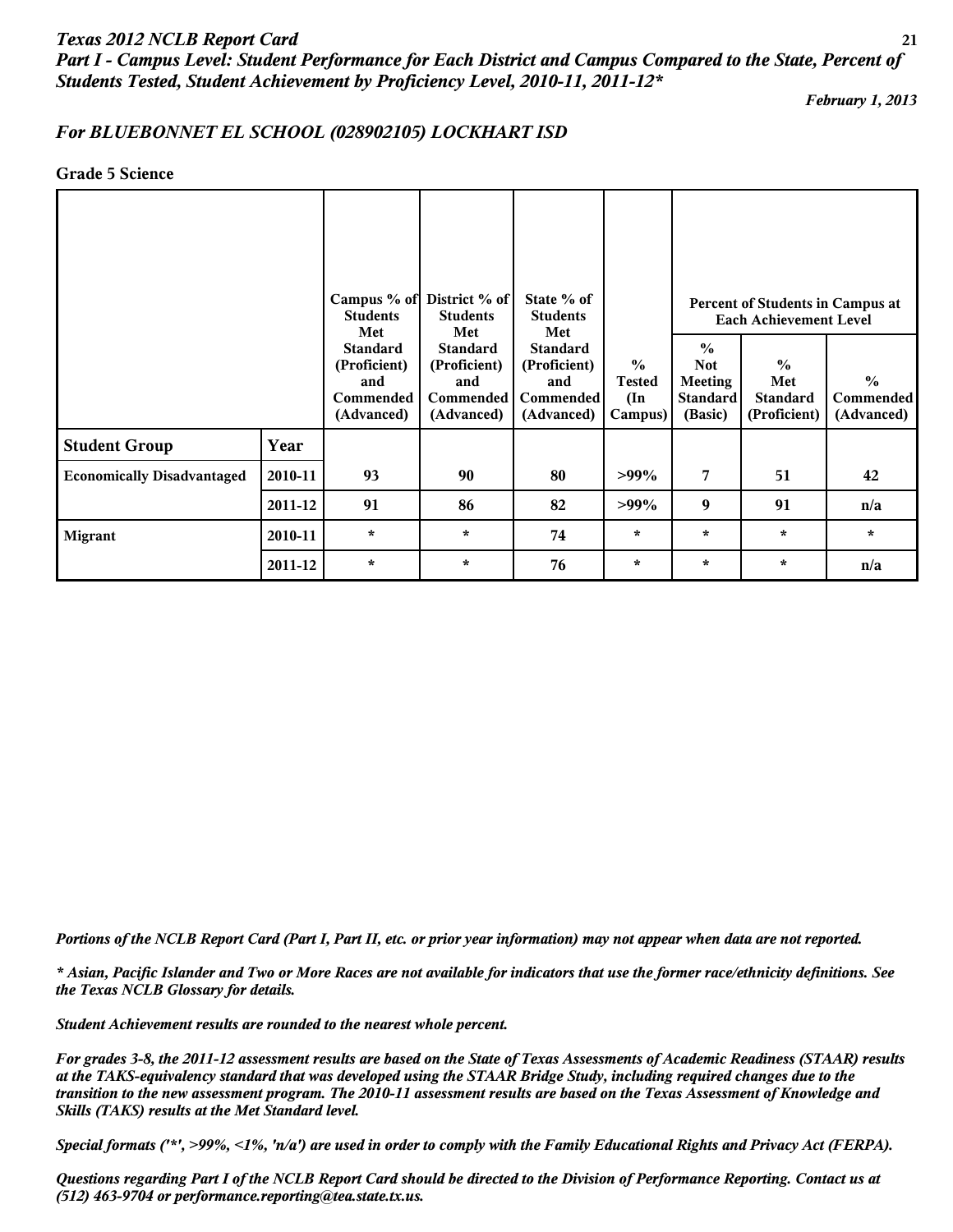# *Texas 2012 NCLB Report Card* **21** *Part I - Campus Level: Student Performance for Each District and Campus Compared to the State, Percent of Students Tested, Student Achievement by Proficiency Level, 2010-11, 2011-12\**

*February 1, 2013*

## *For BLUEBONNET EL SCHOOL (028902105) LOCKHART ISD*

#### **Grade 5 Science**

|                                   |         | Campus % of District % of<br><b>Students</b><br>Met               |                                                                          | State % of<br><b>Students</b><br>Met                              |                                                            | Percent of Students in Campus at<br><b>Each Achievement Level</b>           |                                                         |                                                 |  |
|-----------------------------------|---------|-------------------------------------------------------------------|--------------------------------------------------------------------------|-------------------------------------------------------------------|------------------------------------------------------------|-----------------------------------------------------------------------------|---------------------------------------------------------|-------------------------------------------------|--|
|                                   |         | <b>Standard</b><br>(Proficient)<br>and<br>Commended<br>(Advanced) | Met<br><b>Standard</b><br>(Proficient)<br>and<br>Commended<br>(Advanced) | <b>Standard</b><br>(Proficient)<br>and<br>Commended<br>(Advanced) | $\frac{0}{0}$<br><b>Tested</b><br>$(\text{In})$<br>Campus) | $\frac{0}{0}$<br><b>Not</b><br><b>Meeting</b><br><b>Standard</b><br>(Basic) | $\frac{0}{0}$<br>Met<br><b>Standard</b><br>(Proficient) | $\frac{0}{0}$<br><b>Commended</b><br>(Advanced) |  |
| <b>Student Group</b>              | Year    |                                                                   |                                                                          |                                                                   |                                                            |                                                                             |                                                         |                                                 |  |
| <b>Economically Disadvantaged</b> | 2010-11 | 93                                                                | 90                                                                       | 80                                                                | $>99\%$                                                    | 7                                                                           | 51                                                      | 42                                              |  |
|                                   | 2011-12 | 91                                                                | 86                                                                       | 82                                                                | $>99\%$                                                    | 9                                                                           | 91                                                      | n/a                                             |  |
| <b>Migrant</b>                    | 2010-11 | $\star$                                                           | $\star$                                                                  | 74                                                                | $\star$                                                    | $\star$                                                                     | $\star$                                                 | $\star$                                         |  |
|                                   | 2011-12 | $\star$                                                           | $\star$                                                                  | 76                                                                | $\star$                                                    | $\star$                                                                     | $\ast$                                                  | n/a                                             |  |

*Portions of the NCLB Report Card (Part I, Part II, etc. or prior year information) may not appear when data are not reported.*

*\* Asian, Pacific Islander and Two or More Races are not available for indicators that use the former race/ethnicity definitions. See the Texas NCLB Glossary for details.*

*Student Achievement results are rounded to the nearest whole percent.*

*For grades 3-8, the 2011-12 assessment results are based on the State of Texas Assessments of Academic Readiness (STAAR) results at the TAKS-equivalency standard that was developed using the STAAR Bridge Study, including required changes due to the transition to the new assessment program. The 2010-11 assessment results are based on the Texas Assessment of Knowledge and Skills (TAKS) results at the Met Standard level.*

*Special formats ('\*', >99%, <1%, 'n/a') are used in order to comply with the Family Educational Rights and Privacy Act (FERPA).*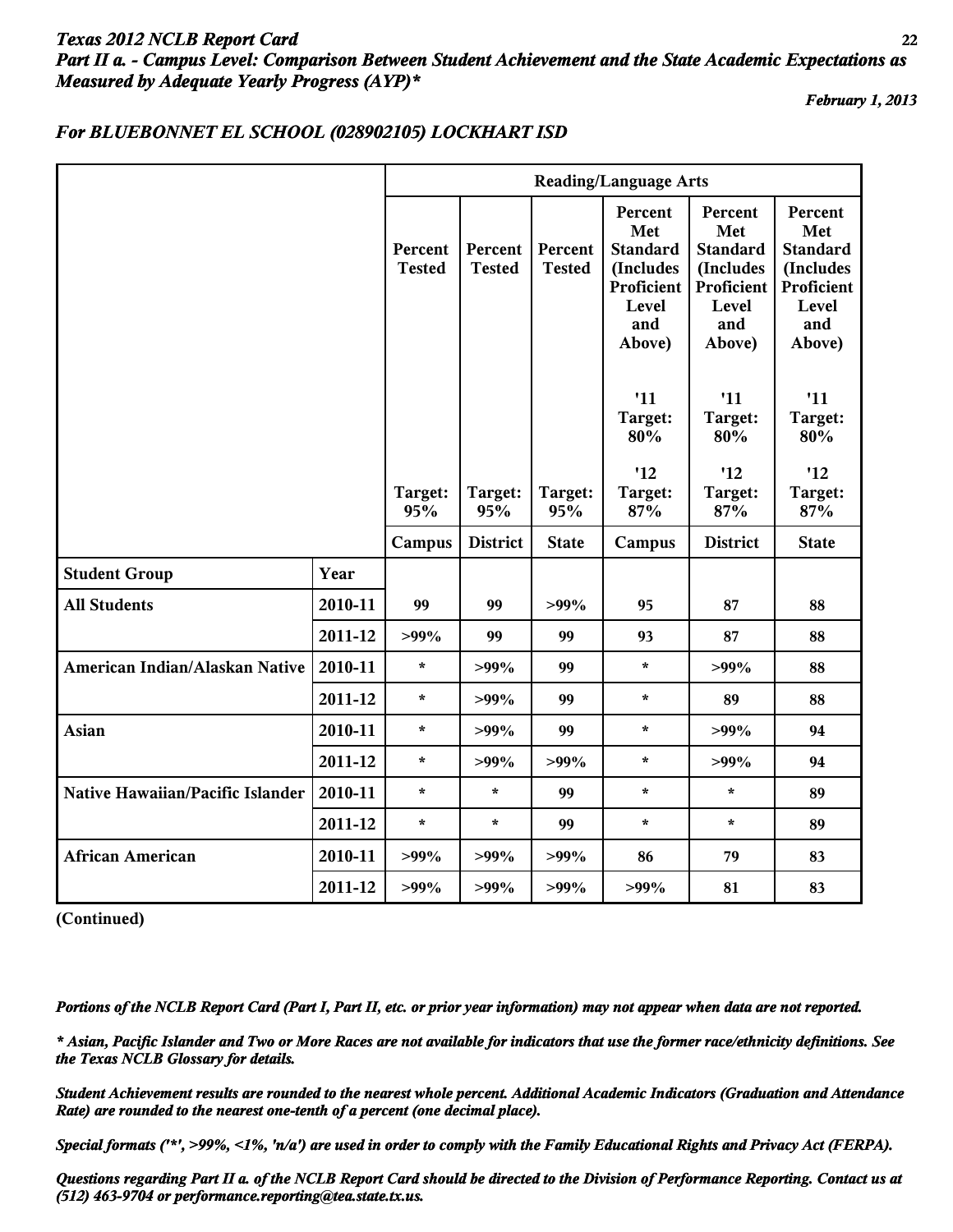# *Texas 2012 NCLB Report Card* **22** *Part II a. - Campus Level: Comparison Between Student Achievement and the State Academic Expectations as Measured by Adequate Yearly Progress (AYP)\**

*February 1, 2013*

#### **Reading/Language Arts Percent Tested Target: 95% Percent Tested Target: 95% Percent Tested Target: 95% Percent Met Standard (Includes Proficient Level and Above) '11 Target: 80% '12 Target: 87% Percent Met Standard (Includes Proficient Level and Above) '11 Target: 80% '12 Target: 87% Percent Met Standard (Includes Proficient Level and Above) '11 Target: 80% '12 Target: 87% Campus District State Campus District State Student Group Year All Students 2010-11 99 99 >99% 95 87 88 2011-12 >99% 99 99 93 87 88 American Indian/Alaskan Native 2010-11 \* >99% 99 \* >99% 88 2011-12 \* >99% 99 \* 89 88 Asian 2010-11 \* >99% 99 \* >99% 94 2011-12 \* >99% >99% \* >99% 94 Native Hawaiian/Pacific Islander 2010-11 \* \* 99 \* \* 89 2011-12 \* \* 99 \* \* 89 African American 2010-11 >99% >99% >99% 86 79 83 2011-12 >99% >99% >99% >99% 81 83**

## *For BLUEBONNET EL SCHOOL (028902105) LOCKHART ISD*

**(Continued)**

*Portions of the NCLB Report Card (Part I, Part II, etc. or prior year information) may not appear when data are not reported.*

*\* Asian, Pacific Islander and Two or More Races are not available for indicators that use the former race/ethnicity definitions. See the Texas NCLB Glossary for details.*

*Student Achievement results are rounded to the nearest whole percent. Additional Academic Indicators (Graduation and Attendance Rate) are rounded to the nearest one-tenth of a percent (one decimal place).*

*Special formats ('\*', >99%, <1%, 'n/a') are used in order to comply with the Family Educational Rights and Privacy Act (FERPA).*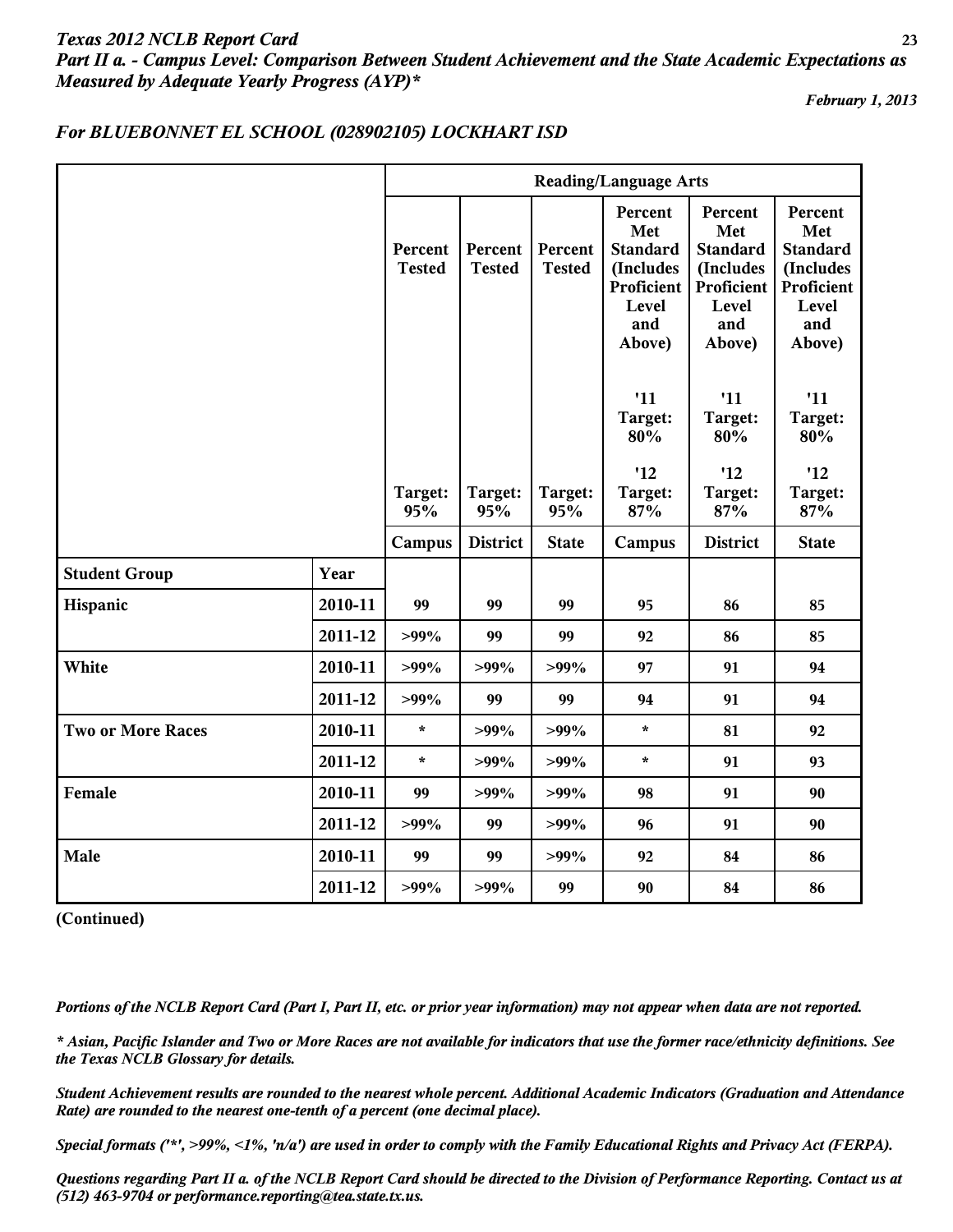# *Texas 2012 NCLB Report Card* **23** *Part II a. - Campus Level: Comparison Between Student Achievement and the State Academic Expectations as Measured by Adequate Yearly Progress (AYP)\**

*February 1, 2013*

|                          |         |                          |                          |                          | <b>Reading/Language Arts</b>                                                           |                                                                                        |                                                                                        |
|--------------------------|---------|--------------------------|--------------------------|--------------------------|----------------------------------------------------------------------------------------|----------------------------------------------------------------------------------------|----------------------------------------------------------------------------------------|
|                          |         | Percent<br><b>Tested</b> | Percent<br><b>Tested</b> | Percent<br><b>Tested</b> | Percent<br>Met<br><b>Standard</b><br>(Includes<br>Proficient<br>Level<br>and<br>Above) | Percent<br>Met<br><b>Standard</b><br>(Includes<br>Proficient<br>Level<br>and<br>Above) | Percent<br>Met<br><b>Standard</b><br>(Includes<br>Proficient<br>Level<br>and<br>Above) |
|                          |         |                          |                          |                          | '11<br>Target:<br>80%                                                                  | '11<br>Target:<br>80%                                                                  | '11<br>Target:<br>80%                                                                  |
|                          |         | Target:<br>95%           | Target:<br>95%           | Target:<br>95%           | '12<br>Target:<br>87%                                                                  | '12<br>Target:<br>87%                                                                  | '12<br>Target:<br>87%                                                                  |
|                          |         | Campus                   | <b>District</b>          | <b>State</b>             | Campus                                                                                 | <b>District</b>                                                                        | <b>State</b>                                                                           |
| <b>Student Group</b>     | Year    |                          |                          |                          |                                                                                        |                                                                                        |                                                                                        |
| Hispanic                 | 2010-11 | 99                       | 99                       | 99                       | 95                                                                                     | 86                                                                                     | 85                                                                                     |
|                          | 2011-12 | $>99\%$                  | 99                       | 99                       | 92                                                                                     | 86                                                                                     | 85                                                                                     |
| White                    | 2010-11 | $>99\%$                  | $>99\%$                  | $>99\%$                  | 97                                                                                     | 91                                                                                     | 94                                                                                     |
|                          | 2011-12 | $>99\%$                  | 99                       | 99                       | 94                                                                                     | 91                                                                                     | 94                                                                                     |
| <b>Two or More Races</b> | 2010-11 | $\star$                  | $>99\%$                  | $>99\%$                  | $\star$                                                                                | 81                                                                                     | 92                                                                                     |
|                          | 2011-12 | $\star$                  | $>99\%$                  | $>99\%$                  | $\star$                                                                                | 91                                                                                     | 93                                                                                     |
| Female                   | 2010-11 | 99                       | $>99\%$                  | $>99\%$                  | 98                                                                                     | 91                                                                                     | 90                                                                                     |
|                          | 2011-12 | $>99\%$                  | 99                       | $>99\%$                  | 96                                                                                     | 91                                                                                     | 90                                                                                     |
| Male                     | 2010-11 | 99                       | 99                       | $>99\%$                  | 92                                                                                     | 84                                                                                     | 86                                                                                     |
|                          | 2011-12 | $>99\%$                  | $>99\%$                  | 99                       | 90                                                                                     | 84                                                                                     | 86                                                                                     |

## *For BLUEBONNET EL SCHOOL (028902105) LOCKHART ISD*

**(Continued)**

*Portions of the NCLB Report Card (Part I, Part II, etc. or prior year information) may not appear when data are not reported.*

*\* Asian, Pacific Islander and Two or More Races are not available for indicators that use the former race/ethnicity definitions. See the Texas NCLB Glossary for details.*

*Student Achievement results are rounded to the nearest whole percent. Additional Academic Indicators (Graduation and Attendance Rate) are rounded to the nearest one-tenth of a percent (one decimal place).*

*Special formats ('\*', >99%, <1%, 'n/a') are used in order to comply with the Family Educational Rights and Privacy Act (FERPA).*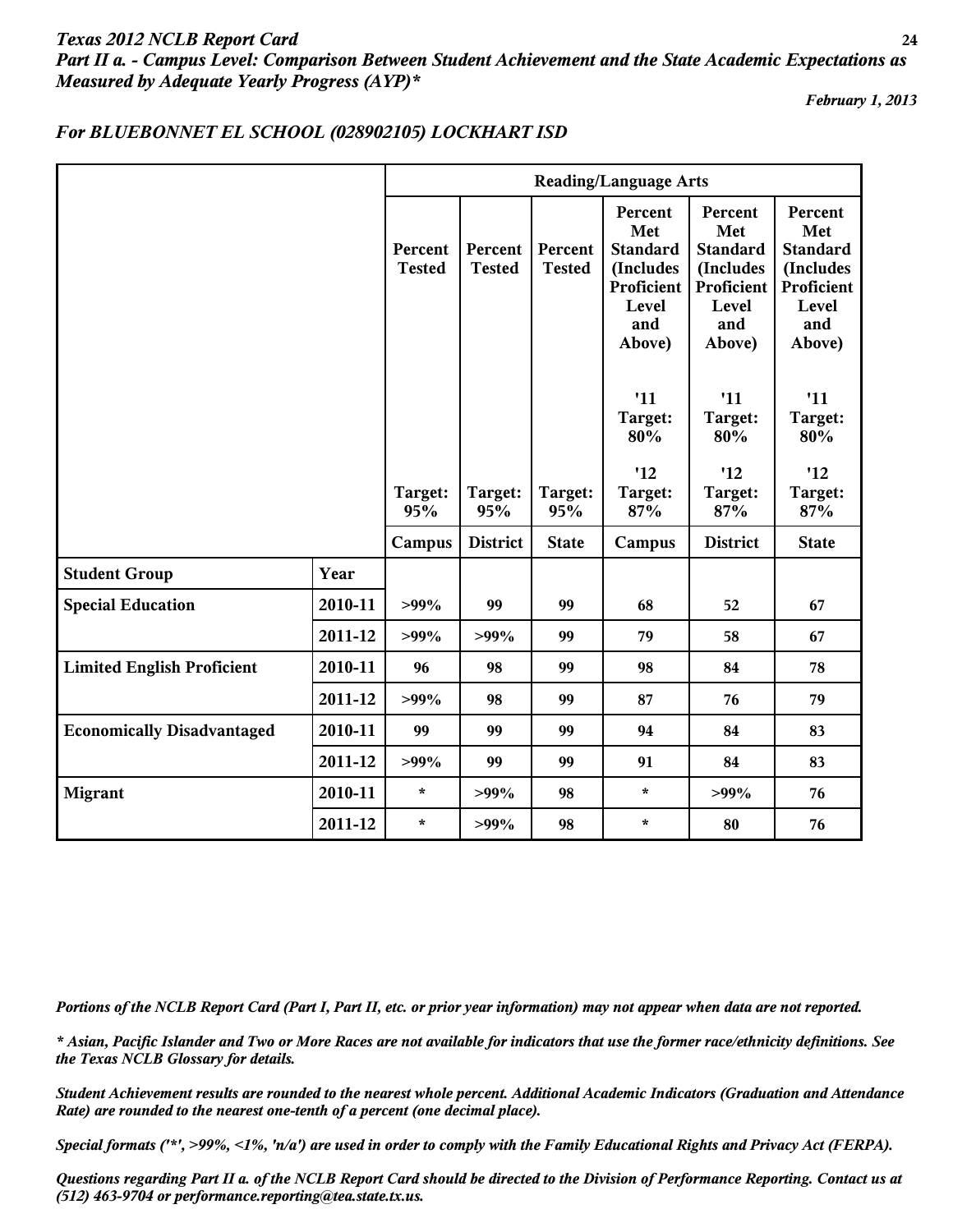# *Texas 2012 NCLB Report Card* **24** *Part II a. - Campus Level: Comparison Between Student Achievement and the State Academic Expectations as Measured by Adequate Yearly Progress (AYP)\**

*February 1, 2013*

|                                   |         |                          |                          |                          | <b>Reading/Language Arts</b>                                                           |                                                                                        |                                                                                        |
|-----------------------------------|---------|--------------------------|--------------------------|--------------------------|----------------------------------------------------------------------------------------|----------------------------------------------------------------------------------------|----------------------------------------------------------------------------------------|
|                                   |         | Percent<br><b>Tested</b> | Percent<br><b>Tested</b> | Percent<br><b>Tested</b> | Percent<br>Met<br><b>Standard</b><br>(Includes<br>Proficient<br>Level<br>and<br>Above) | Percent<br>Met<br><b>Standard</b><br>(Includes<br>Proficient<br>Level<br>and<br>Above) | Percent<br>Met<br><b>Standard</b><br>(Includes<br>Proficient<br>Level<br>and<br>Above) |
|                                   |         |                          |                          |                          | '11<br>Target:<br>80%                                                                  | '11<br>Target:<br>80%                                                                  | '11<br>Target:<br>80%                                                                  |
|                                   |         | Target:<br>95%           | Target:<br>95%           | Target:<br>95%           | '12<br>Target:<br>87%                                                                  | '12<br>Target:<br>87%                                                                  | '12<br>Target:<br>87%                                                                  |
|                                   |         | Campus                   | <b>District</b>          | <b>State</b>             | Campus                                                                                 | <b>District</b>                                                                        | <b>State</b>                                                                           |
| <b>Student Group</b>              | Year    |                          |                          |                          |                                                                                        |                                                                                        |                                                                                        |
| <b>Special Education</b>          | 2010-11 | $>99\%$                  | 99                       | 99                       | 68                                                                                     | 52                                                                                     | 67                                                                                     |
|                                   | 2011-12 | $>99\%$                  | $>99\%$                  | 99                       | 79                                                                                     | 58                                                                                     | 67                                                                                     |
| <b>Limited English Proficient</b> | 2010-11 | 96                       | 98                       | 99                       | 98                                                                                     | 84                                                                                     | 78                                                                                     |
|                                   | 2011-12 | $>99\%$                  | 98                       | 99                       | 87                                                                                     | 76                                                                                     | 79                                                                                     |
| <b>Economically Disadvantaged</b> | 2010-11 | 99                       | 99                       | 99                       | 94                                                                                     | 84                                                                                     | 83                                                                                     |
|                                   | 2011-12 | $>99\%$                  | 99                       | 99                       | 91                                                                                     | 84                                                                                     | 83                                                                                     |
| <b>Migrant</b>                    | 2010-11 | $\star$                  | $>99\%$                  | 98                       | $\star$                                                                                | $>99\%$                                                                                | 76                                                                                     |
|                                   | 2011-12 | $\star$                  | $>99\%$                  | 98                       | $\star$                                                                                | 80                                                                                     | 76                                                                                     |

## *For BLUEBONNET EL SCHOOL (028902105) LOCKHART ISD*

*Portions of the NCLB Report Card (Part I, Part II, etc. or prior year information) may not appear when data are not reported.*

*\* Asian, Pacific Islander and Two or More Races are not available for indicators that use the former race/ethnicity definitions. See the Texas NCLB Glossary for details.*

*Student Achievement results are rounded to the nearest whole percent. Additional Academic Indicators (Graduation and Attendance Rate) are rounded to the nearest one-tenth of a percent (one decimal place).*

*Special formats ('\*', >99%, <1%, 'n/a') are used in order to comply with the Family Educational Rights and Privacy Act (FERPA).*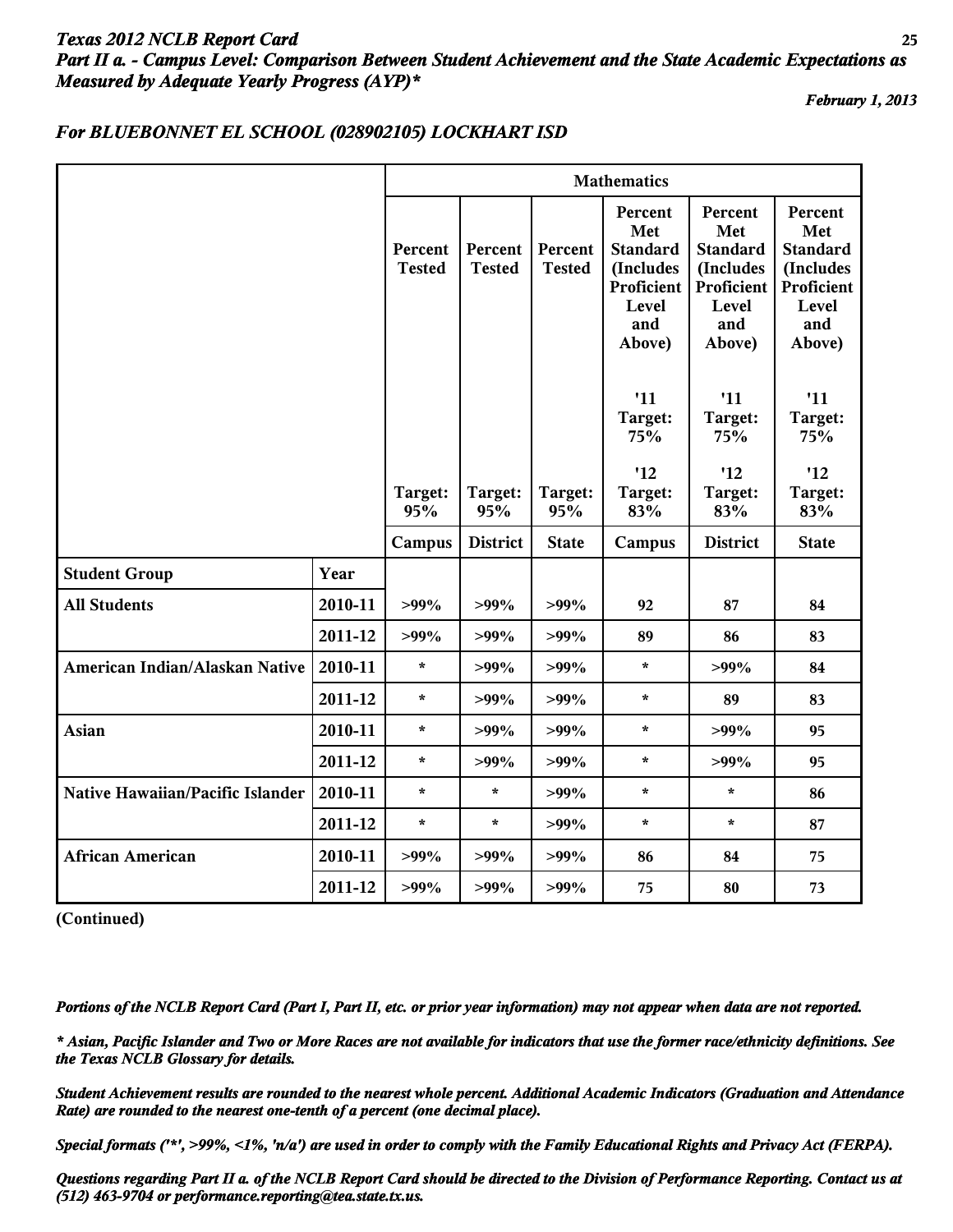# *Texas 2012 NCLB Report Card* **25** *Part II a. - Campus Level: Comparison Between Student Achievement and the State Academic Expectations as Measured by Adequate Yearly Progress (AYP)\**

*February 1, 2013*

#### *For BLUEBONNET EL SCHOOL (028902105) LOCKHART ISD*

|                                  |         | <b>Mathematics</b>       |                          |                          |                                                                                        |                                                                                        |                                                                                        |  |  |
|----------------------------------|---------|--------------------------|--------------------------|--------------------------|----------------------------------------------------------------------------------------|----------------------------------------------------------------------------------------|----------------------------------------------------------------------------------------|--|--|
|                                  |         | Percent<br><b>Tested</b> | Percent<br><b>Tested</b> | Percent<br><b>Tested</b> | Percent<br>Met<br><b>Standard</b><br>(Includes<br>Proficient<br>Level<br>and<br>Above) | Percent<br>Met<br><b>Standard</b><br>(Includes<br>Proficient<br>Level<br>and<br>Above) | Percent<br>Met<br><b>Standard</b><br>(Includes<br>Proficient<br>Level<br>and<br>Above) |  |  |
|                                  |         |                          |                          |                          | '11<br>Target:<br>75%                                                                  | '11<br>Target:<br>75%                                                                  | '11<br>Target:<br>75%                                                                  |  |  |
|                                  |         | Target:<br>95%           | Target:<br>95%           | Target:<br>95%           | '12<br>Target:<br>83%                                                                  | '12<br>Target:<br>83%                                                                  | '12<br>Target:<br>83%                                                                  |  |  |
|                                  |         | Campus                   | <b>District</b>          | <b>State</b>             | Campus                                                                                 | <b>District</b>                                                                        | <b>State</b>                                                                           |  |  |
| <b>Student Group</b>             | Year    |                          |                          |                          |                                                                                        |                                                                                        |                                                                                        |  |  |
| <b>All Students</b>              | 2010-11 | $>99\%$                  | $>99\%$                  | $>99\%$                  | 92                                                                                     | 87                                                                                     | 84                                                                                     |  |  |
|                                  | 2011-12 | $>99\%$                  | $>99\%$                  | $>99\%$                  | 89                                                                                     | 86                                                                                     | 83                                                                                     |  |  |
| American Indian/Alaskan Native   | 2010-11 | $\star$                  | $>99\%$                  | $>99\%$                  | $\star$                                                                                | $>99\%$                                                                                | 84                                                                                     |  |  |
|                                  | 2011-12 | $\star$                  | $>99\%$                  | $>99\%$                  | $\star$                                                                                | 89                                                                                     | 83                                                                                     |  |  |
| <b>Asian</b>                     | 2010-11 | $\star$                  | $>99\%$                  | $>99\%$                  | $\star$                                                                                | $>99\%$                                                                                | 95                                                                                     |  |  |
|                                  | 2011-12 | $\star$                  | $>99\%$                  | $>99\%$                  | $\star$                                                                                | $>99\%$                                                                                | 95                                                                                     |  |  |
| Native Hawaiian/Pacific Islander | 2010-11 | $\star$                  | $\star$                  | $>99\%$                  | $\star$                                                                                | $\star$                                                                                | 86                                                                                     |  |  |
|                                  | 2011-12 | $\star$                  | $\star$                  | $>99\%$                  | $\star$                                                                                | $\star$                                                                                | 87                                                                                     |  |  |
| <b>African American</b>          | 2010-11 | $>99\%$                  | $>99\%$                  | $>99\%$                  | 86                                                                                     | 84                                                                                     | 75                                                                                     |  |  |
|                                  | 2011-12 | $>99\%$                  | $>99\%$                  | $>99\%$                  | 75                                                                                     | 80                                                                                     | 73                                                                                     |  |  |

**(Continued)**

*Portions of the NCLB Report Card (Part I, Part II, etc. or prior year information) may not appear when data are not reported.*

*\* Asian, Pacific Islander and Two or More Races are not available for indicators that use the former race/ethnicity definitions. See the Texas NCLB Glossary for details.*

*Student Achievement results are rounded to the nearest whole percent. Additional Academic Indicators (Graduation and Attendance Rate) are rounded to the nearest one-tenth of a percent (one decimal place).*

*Special formats ('\*', >99%, <1%, 'n/a') are used in order to comply with the Family Educational Rights and Privacy Act (FERPA).*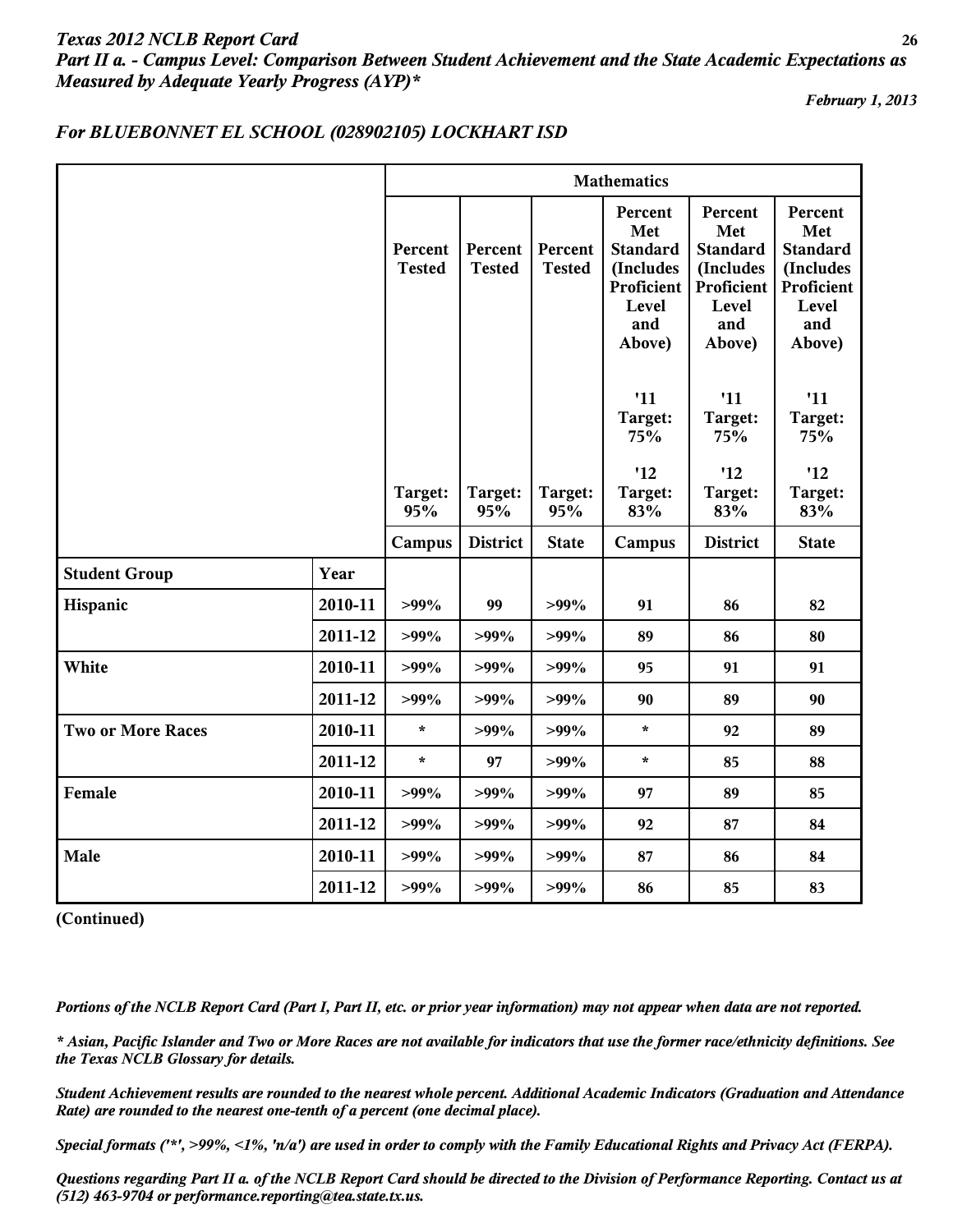# *Texas 2012 NCLB Report Card* **26** *Part II a. - Campus Level: Comparison Between Student Achievement and the State Academic Expectations as Measured by Adequate Yearly Progress (AYP)\**

*February 1, 2013*

## *For BLUEBONNET EL SCHOOL (028902105) LOCKHART ISD*

|                          |         | <b>Mathematics</b>       |                          |                          |                                                                                        |                                                                                        |                                                                                        |
|--------------------------|---------|--------------------------|--------------------------|--------------------------|----------------------------------------------------------------------------------------|----------------------------------------------------------------------------------------|----------------------------------------------------------------------------------------|
|                          |         | Percent<br><b>Tested</b> | Percent<br><b>Tested</b> | Percent<br><b>Tested</b> | Percent<br>Met<br><b>Standard</b><br>(Includes<br>Proficient<br>Level<br>and<br>Above) | Percent<br>Met<br><b>Standard</b><br>(Includes<br>Proficient<br>Level<br>and<br>Above) | Percent<br>Met<br><b>Standard</b><br>(Includes<br>Proficient<br>Level<br>and<br>Above) |
|                          |         |                          |                          |                          | '11<br>Target:<br>75%<br>'12                                                           | '11<br>Target:<br>75%<br>'12                                                           | '11<br>Target:<br>75%<br>'12                                                           |
|                          |         | Target:<br>95%           | Target:<br>95%           | Target:<br>95%           | Target:<br>83%                                                                         | Target:<br>83%                                                                         | Target:<br>83%                                                                         |
|                          |         | Campus                   | <b>District</b>          | <b>State</b>             | Campus                                                                                 | <b>District</b>                                                                        | <b>State</b>                                                                           |
| <b>Student Group</b>     | Year    |                          |                          |                          |                                                                                        |                                                                                        |                                                                                        |
| Hispanic                 | 2010-11 | $>99\%$                  | 99                       | $>99\%$                  | 91                                                                                     | 86                                                                                     | 82                                                                                     |
|                          | 2011-12 | $>99\%$                  | $>99\%$                  | $>99\%$                  | 89                                                                                     | 86                                                                                     | 80                                                                                     |
| White                    | 2010-11 | $>99\%$                  | $>99\%$                  | $>99\%$                  | 95                                                                                     | 91                                                                                     | 91                                                                                     |
|                          | 2011-12 | $>99\%$                  | $>99\%$                  | $>99\%$                  | 90                                                                                     | 89                                                                                     | 90                                                                                     |
| <b>Two or More Races</b> | 2010-11 | $\star$                  | $>99\%$                  | $>99\%$                  | $\star$                                                                                | 92                                                                                     | 89                                                                                     |
|                          | 2011-12 | $\star$                  | 97                       | $>99\%$                  | $\star$                                                                                | 85                                                                                     | 88                                                                                     |
| Female                   | 2010-11 | $>99\%$                  | $>99\%$                  | $>99\%$                  | 97                                                                                     | 89                                                                                     | 85                                                                                     |
|                          | 2011-12 | $>99\%$                  | $>99\%$                  | $>99\%$                  | 92                                                                                     | 87                                                                                     | 84                                                                                     |
| Male                     | 2010-11 | $>99\%$                  | $>99\%$                  | $>99\%$                  | 87                                                                                     | 86                                                                                     | 84                                                                                     |
|                          | 2011-12 | $>99\%$                  | $>99\%$                  | $>99\%$                  | 86                                                                                     | 85                                                                                     | 83                                                                                     |

**(Continued)**

*Portions of the NCLB Report Card (Part I, Part II, etc. or prior year information) may not appear when data are not reported.*

*\* Asian, Pacific Islander and Two or More Races are not available for indicators that use the former race/ethnicity definitions. See the Texas NCLB Glossary for details.*

*Student Achievement results are rounded to the nearest whole percent. Additional Academic Indicators (Graduation and Attendance Rate) are rounded to the nearest one-tenth of a percent (one decimal place).*

*Special formats ('\*', >99%, <1%, 'n/a') are used in order to comply with the Family Educational Rights and Privacy Act (FERPA).*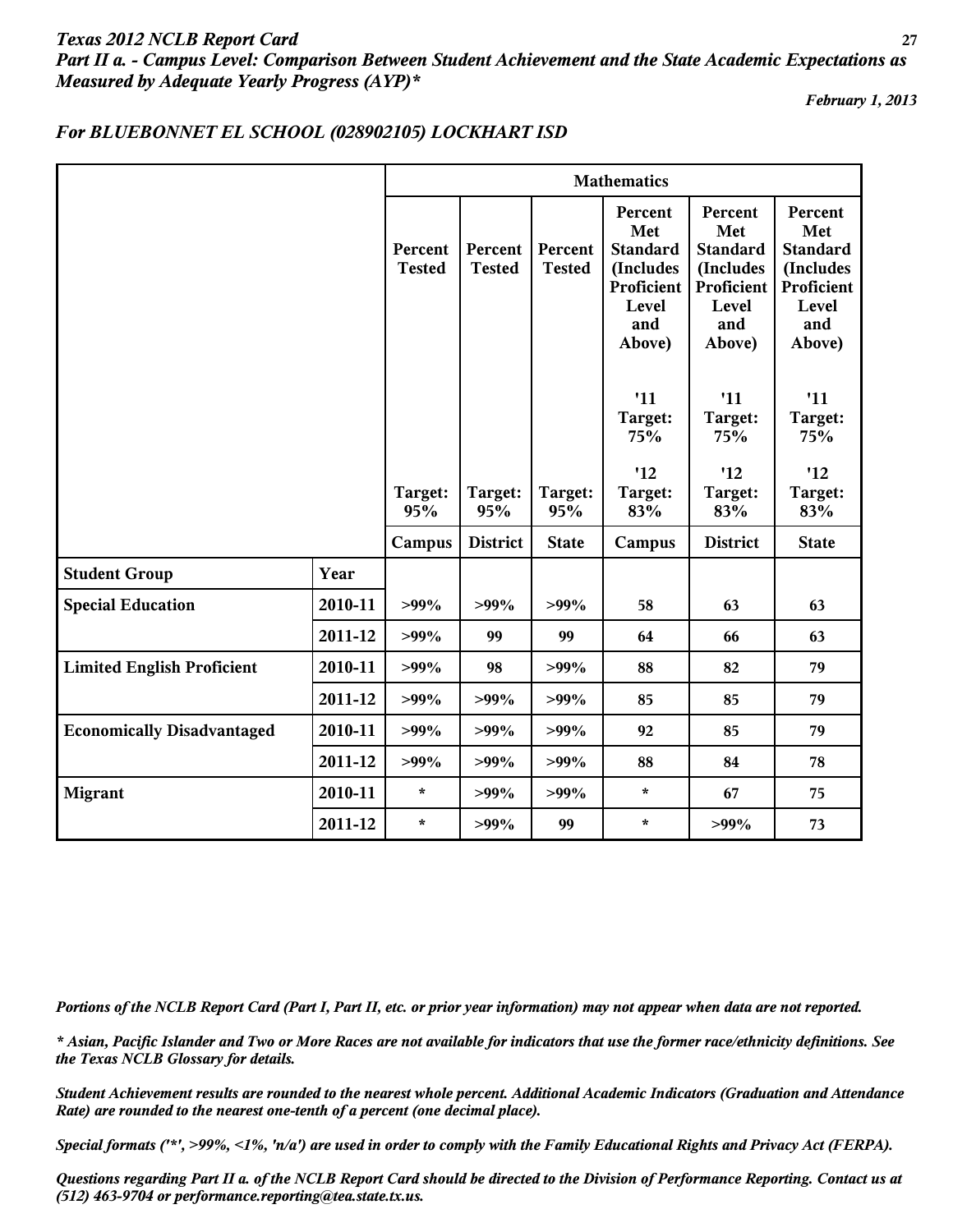# *Texas 2012 NCLB Report Card* **27** *Part II a. - Campus Level: Comparison Between Student Achievement and the State Academic Expectations as Measured by Adequate Yearly Progress (AYP)\**

*February 1, 2013*

## *For BLUEBONNET EL SCHOOL (028902105) LOCKHART ISD*

|                                   |         | <b>Mathematics</b>       |                          |                          |                                                                                               |                                                                                        |                                                                                        |
|-----------------------------------|---------|--------------------------|--------------------------|--------------------------|-----------------------------------------------------------------------------------------------|----------------------------------------------------------------------------------------|----------------------------------------------------------------------------------------|
|                                   |         | Percent<br><b>Tested</b> | Percent<br><b>Tested</b> | Percent<br><b>Tested</b> | <b>Percent</b><br>Met<br><b>Standard</b><br>(Includes<br>Proficient<br>Level<br>and<br>Above) | Percent<br>Met<br><b>Standard</b><br>(Includes<br>Proficient<br>Level<br>and<br>Above) | Percent<br>Met<br><b>Standard</b><br>(Includes<br>Proficient<br>Level<br>and<br>Above) |
|                                   |         |                          |                          |                          | '11<br>Target:<br>75%                                                                         | '11<br>Target:<br>75%                                                                  | '11<br>Target:<br>75%                                                                  |
|                                   |         | Target:<br>95%           | Target:<br>95%           | Target:<br>95%           | '12<br>Target:<br>83%                                                                         | '12<br>Target:<br>83%                                                                  | '12<br>Target:<br>83%                                                                  |
|                                   |         | Campus                   | <b>District</b>          | <b>State</b>             | Campus                                                                                        | <b>District</b>                                                                        | <b>State</b>                                                                           |
| <b>Student Group</b>              | Year    |                          |                          |                          |                                                                                               |                                                                                        |                                                                                        |
| <b>Special Education</b>          | 2010-11 | $>99\%$                  | $>99\%$                  | $>99\%$                  | 58                                                                                            | 63                                                                                     | 63                                                                                     |
|                                   | 2011-12 | $>99\%$                  | 99                       | 99                       | 64                                                                                            | 66                                                                                     | 63                                                                                     |
| <b>Limited English Proficient</b> | 2010-11 | $>99\%$                  | 98                       | $>99\%$                  | 88                                                                                            | 82                                                                                     | 79                                                                                     |
|                                   | 2011-12 | $>99\%$                  | $>99\%$                  | $>99\%$                  | 85                                                                                            | 85                                                                                     | 79                                                                                     |
| <b>Economically Disadvantaged</b> | 2010-11 | $>99\%$                  | $>99\%$                  | $>99\%$                  | 92                                                                                            | 85                                                                                     | 79                                                                                     |
|                                   | 2011-12 | $>99\%$                  | $>99\%$                  | $>99\%$                  | 88                                                                                            | 84                                                                                     | 78                                                                                     |
| <b>Migrant</b>                    | 2010-11 | $\star$                  | $>99\%$                  | $>99\%$                  | $\star$                                                                                       | 67                                                                                     | 75                                                                                     |
|                                   | 2011-12 | $\star$                  | $>99\%$                  | 99                       | $\star$                                                                                       | $>99\%$                                                                                | 73                                                                                     |

*Portions of the NCLB Report Card (Part I, Part II, etc. or prior year information) may not appear when data are not reported.*

*\* Asian, Pacific Islander and Two or More Races are not available for indicators that use the former race/ethnicity definitions. See the Texas NCLB Glossary for details.*

*Student Achievement results are rounded to the nearest whole percent. Additional Academic Indicators (Graduation and Attendance Rate) are rounded to the nearest one-tenth of a percent (one decimal place).*

*Special formats ('\*', >99%, <1%, 'n/a') are used in order to comply with the Family Educational Rights and Privacy Act (FERPA).*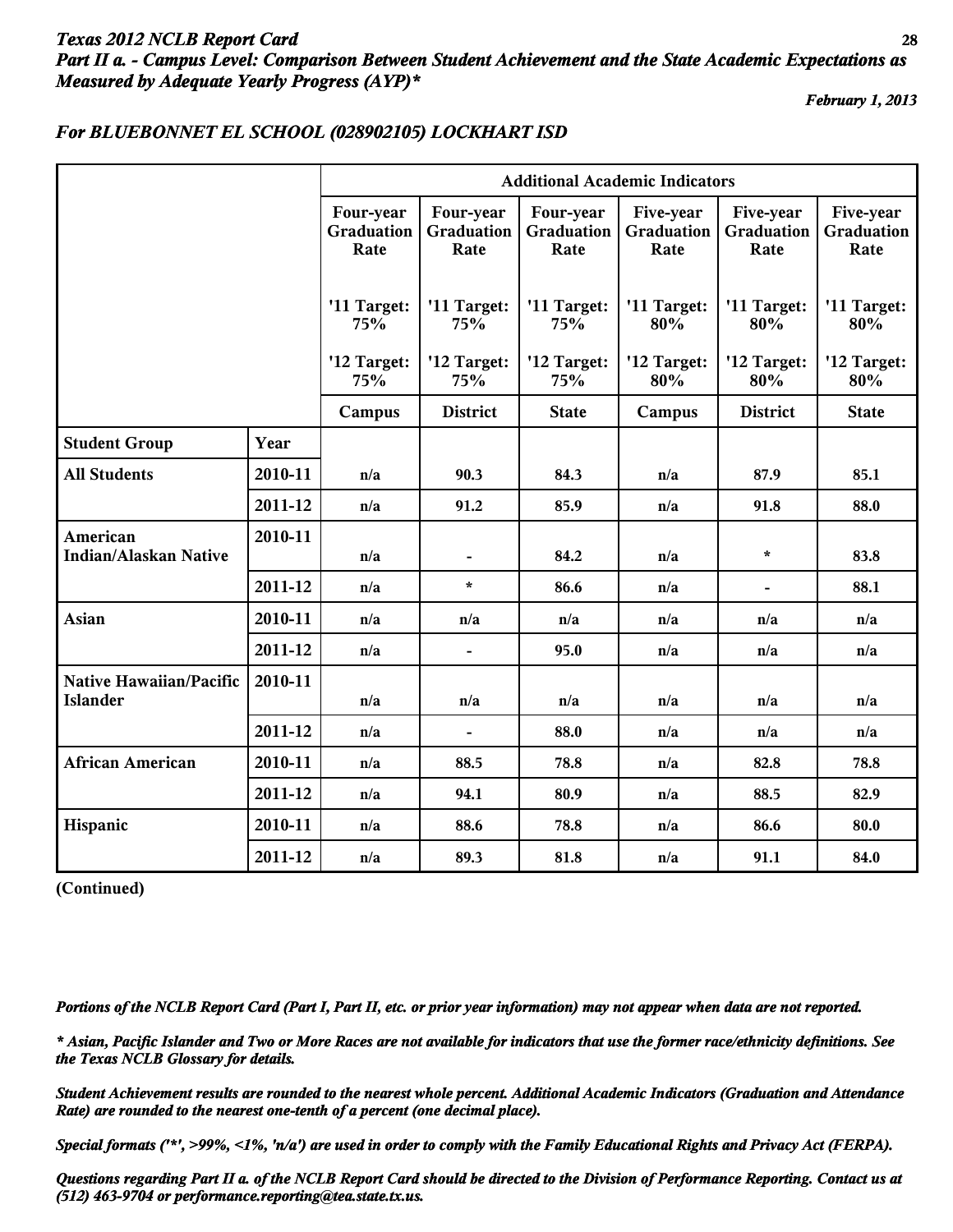## *Texas 2012 NCLB Report Card* **28** *Part II a. - Campus Level: Comparison Between Student Achievement and the State Academic Expectations as Measured by Adequate Yearly Progress (AYP)\**

*February 1, 2013*

|                                            |         | <b>Additional Academic Indicators</b> |                                 |                                 |                                 |                                 |                                 |
|--------------------------------------------|---------|---------------------------------------|---------------------------------|---------------------------------|---------------------------------|---------------------------------|---------------------------------|
|                                            |         | Four-year<br>Graduation<br>Rate       | Four-year<br>Graduation<br>Rate | Four-year<br>Graduation<br>Rate | Five-year<br>Graduation<br>Rate | Five-year<br>Graduation<br>Rate | Five-year<br>Graduation<br>Rate |
|                                            |         | '11 Target:<br>75%                    | '11 Target:<br>75%              | '11 Target:<br>75%              | '11 Target:<br>80%              | '11 Target:<br>80%              | '11 Target:<br>80%              |
|                                            |         | '12 Target:<br>75%                    | '12 Target:<br>75%              | '12 Target:<br>75%              | '12 Target:<br>80%              | '12 Target:<br>80%              | '12 Target:<br>80%              |
|                                            |         | Campus                                | <b>District</b>                 | <b>State</b>                    | Campus                          | <b>District</b>                 | <b>State</b>                    |
| <b>Student Group</b>                       | Year    |                                       |                                 |                                 |                                 |                                 |                                 |
| <b>All Students</b>                        | 2010-11 | n/a                                   | 90.3                            | 84.3                            | n/a                             | 87.9                            | 85.1                            |
|                                            | 2011-12 | n/a                                   | 91.2                            | 85.9                            | n/a                             | 91.8                            | 88.0                            |
| American<br><b>Indian/Alaskan Native</b>   | 2010-11 | n/a                                   |                                 | 84.2                            | n/a                             | $\star$                         | 83.8                            |
|                                            | 2011-12 | n/a                                   | $\star$                         | 86.6                            | n/a                             | $\blacksquare$                  | 88.1                            |
| Asian                                      | 2010-11 | n/a                                   | n/a                             | n/a                             | n/a                             | n/a                             | n/a                             |
|                                            | 2011-12 | n/a                                   |                                 | 95.0                            | n/a                             | n/a                             | n/a                             |
| Native Hawaiian/Pacific<br><b>Islander</b> | 2010-11 | n/a                                   | n/a                             | n/a                             | n/a                             | n/a                             | n/a                             |
|                                            | 2011-12 | n/a                                   | $\blacksquare$                  | 88.0                            | n/a                             | n/a                             | n/a                             |
| <b>African American</b>                    | 2010-11 | n/a                                   | 88.5                            | 78.8                            | n/a                             | 82.8                            | 78.8                            |
|                                            | 2011-12 | n/a                                   | 94.1                            | 80.9                            | n/a                             | 88.5                            | 82.9                            |
| Hispanic                                   | 2010-11 | n/a                                   | 88.6                            | 78.8                            | n/a                             | 86.6                            | 80.0                            |
|                                            | 2011-12 | n/a                                   | 89.3                            | 81.8                            | n/a                             | 91.1                            | 84.0                            |

## *For BLUEBONNET EL SCHOOL (028902105) LOCKHART ISD*

**(Continued)**

*Portions of the NCLB Report Card (Part I, Part II, etc. or prior year information) may not appear when data are not reported.*

*\* Asian, Pacific Islander and Two or More Races are not available for indicators that use the former race/ethnicity definitions. See the Texas NCLB Glossary for details.*

*Student Achievement results are rounded to the nearest whole percent. Additional Academic Indicators (Graduation and Attendance Rate) are rounded to the nearest one-tenth of a percent (one decimal place).*

*Special formats ('\*', >99%, <1%, 'n/a') are used in order to comply with the Family Educational Rights and Privacy Act (FERPA).*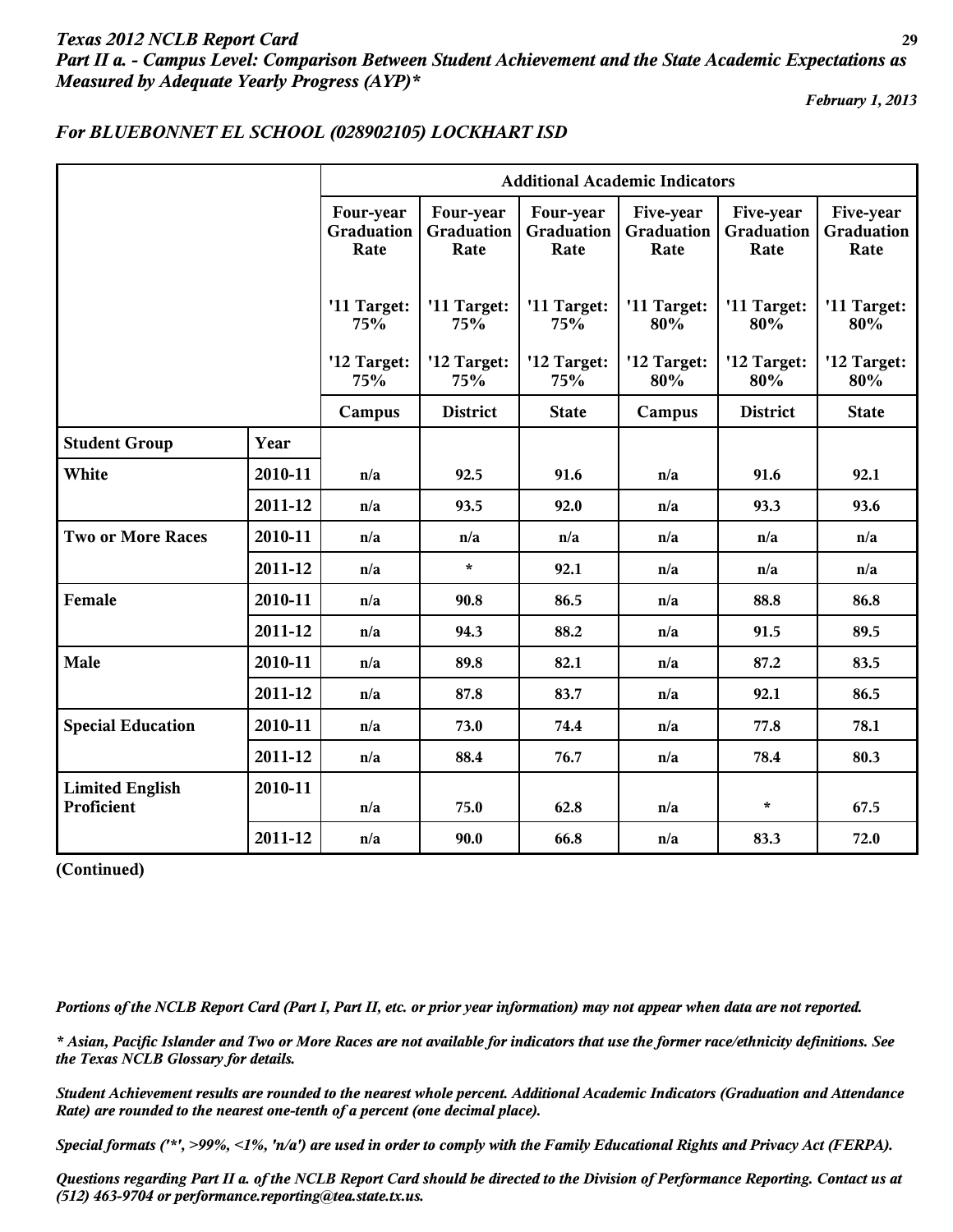# *Texas 2012 NCLB Report Card* **29** *Part II a. - Campus Level: Comparison Between Student Achievement and the State Academic Expectations as Measured by Adequate Yearly Progress (AYP)\**

*February 1, 2013*

|                                      |         | <b>Additional Academic Indicators</b> |                                 |                                 |                                 |                                 |                                 |
|--------------------------------------|---------|---------------------------------------|---------------------------------|---------------------------------|---------------------------------|---------------------------------|---------------------------------|
|                                      |         | Four-year<br>Graduation<br>Rate       | Four-year<br>Graduation<br>Rate | Four-year<br>Graduation<br>Rate | Five-year<br>Graduation<br>Rate | Five-year<br>Graduation<br>Rate | Five-year<br>Graduation<br>Rate |
|                                      |         | '11 Target:<br>75%                    | '11 Target:<br>75%              | '11 Target:<br>75%              | '11 Target:<br>80%              | '11 Target:<br>80%              | '11 Target:<br>80%              |
|                                      |         | '12 Target:<br>75%                    | '12 Target:<br>75%              | '12 Target:<br>75%              | '12 Target:<br>80%              | '12 Target:<br>80%              | '12 Target:<br>80%              |
|                                      |         | Campus                                | <b>District</b>                 | <b>State</b>                    | Campus                          | <b>District</b>                 | <b>State</b>                    |
| <b>Student Group</b>                 | Year    |                                       |                                 |                                 |                                 |                                 |                                 |
| White                                | 2010-11 | n/a                                   | 92.5                            | 91.6                            | n/a                             | 91.6                            | 92.1                            |
|                                      | 2011-12 | n/a                                   | 93.5                            | 92.0                            | n/a                             | 93.3                            | 93.6                            |
| <b>Two or More Races</b>             | 2010-11 | n/a                                   | n/a                             | n/a                             | n/a                             | n/a                             | n/a                             |
|                                      | 2011-12 | n/a                                   | $\star$                         | 92.1                            | n/a                             | n/a                             | n/a                             |
| Female                               | 2010-11 | n/a                                   | 90.8                            | 86.5                            | n/a                             | 88.8                            | 86.8                            |
|                                      | 2011-12 | n/a                                   | 94.3                            | 88.2                            | n/a                             | 91.5                            | 89.5                            |
| Male                                 | 2010-11 | n/a                                   | 89.8                            | 82.1                            | n/a                             | 87.2                            | 83.5                            |
|                                      | 2011-12 | n/a                                   | 87.8                            | 83.7                            | n/a                             | 92.1                            | 86.5                            |
| <b>Special Education</b>             | 2010-11 | n/a                                   | 73.0                            | 74.4                            | n/a                             | 77.8                            | 78.1                            |
|                                      | 2011-12 | n/a                                   | 88.4                            | 76.7                            | n/a                             | 78.4                            | 80.3                            |
| <b>Limited English</b><br>Proficient | 2010-11 | n/a                                   | 75.0                            | 62.8                            | n/a                             | $\star$                         | 67.5                            |
|                                      | 2011-12 | n/a                                   | 90.0                            | 66.8                            | n/a                             | 83.3                            | 72.0                            |

## *For BLUEBONNET EL SCHOOL (028902105) LOCKHART ISD*

**(Continued)**

*Portions of the NCLB Report Card (Part I, Part II, etc. or prior year information) may not appear when data are not reported.*

*\* Asian, Pacific Islander and Two or More Races are not available for indicators that use the former race/ethnicity definitions. See the Texas NCLB Glossary for details.*

*Student Achievement results are rounded to the nearest whole percent. Additional Academic Indicators (Graduation and Attendance Rate) are rounded to the nearest one-tenth of a percent (one decimal place).*

*Special formats ('\*', >99%, <1%, 'n/a') are used in order to comply with the Family Educational Rights and Privacy Act (FERPA).*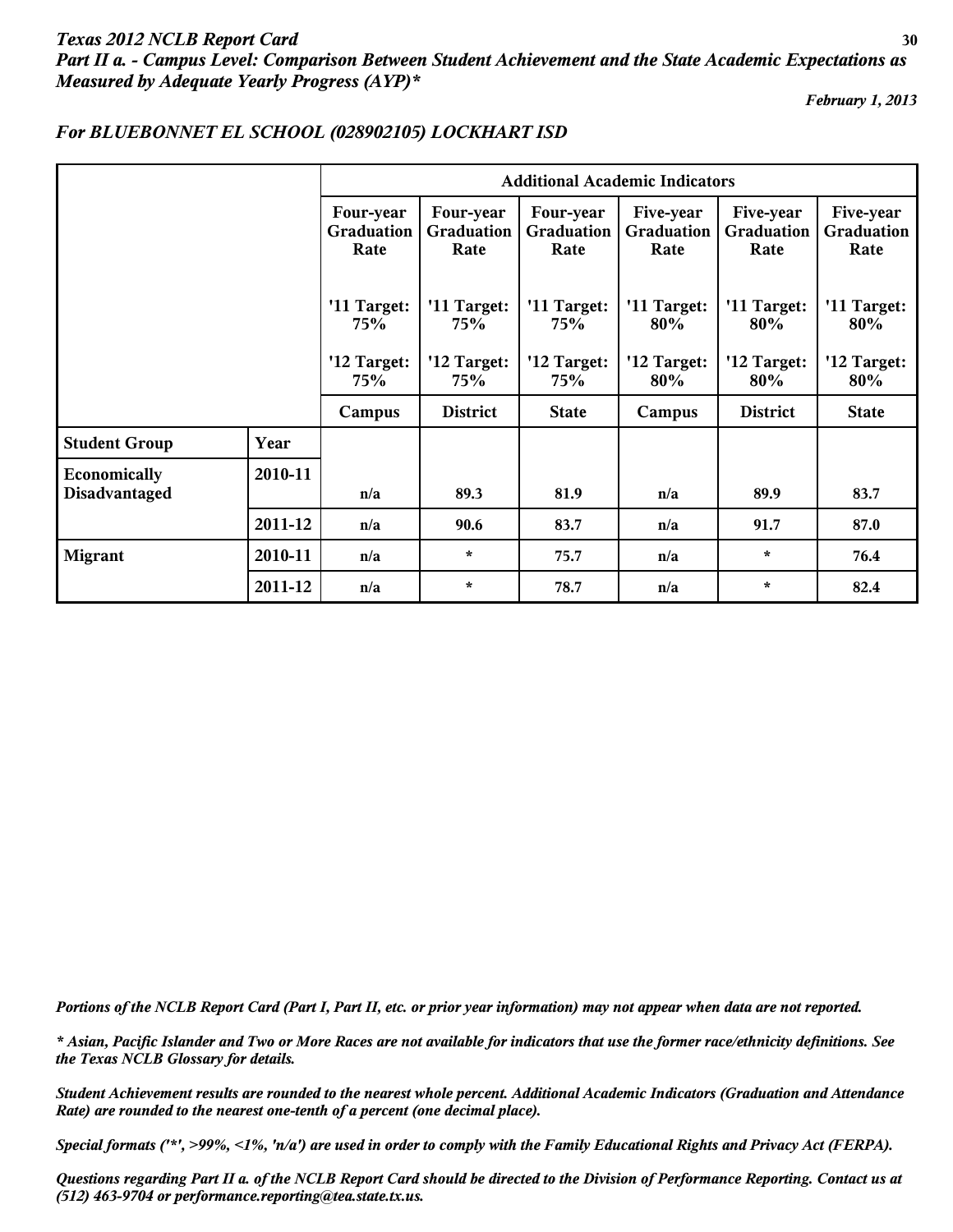# *Texas 2012 NCLB Report Card* **30** *Part II a. - Campus Level: Comparison Between Student Achievement and the State Academic Expectations as Measured by Adequate Yearly Progress (AYP)\**

*February 1, 2013*

|                               |         | <b>Additional Academic Indicators</b> |                                        |                                        |                                 |                                 |                                        |
|-------------------------------|---------|---------------------------------------|----------------------------------------|----------------------------------------|---------------------------------|---------------------------------|----------------------------------------|
|                               |         | Four-year<br>Graduation<br>Rate       | Four-year<br><b>Graduation</b><br>Rate | Four-year<br><b>Graduation</b><br>Rate | Five-year<br>Graduation<br>Rate | Five-year<br>Graduation<br>Rate | Five-year<br><b>Graduation</b><br>Rate |
|                               |         | '11 Target:<br><b>75%</b>             | '11 Target:<br>75%                     | '11 Target:<br>75%                     | '11 Target:<br>80%              | '11 Target:<br>80%              | '11 Target:<br>80%                     |
|                               |         | '12 Target:<br>75%                    | '12 Target:<br><b>75%</b>              | '12 Target:<br>75%                     | '12 Target:<br>80%              | '12 Target:<br>80%              | '12 Target:<br>80%                     |
|                               |         | Campus                                | <b>District</b>                        | <b>State</b>                           | Campus                          | <b>District</b>                 | <b>State</b>                           |
| <b>Student Group</b>          | Year    |                                       |                                        |                                        |                                 |                                 |                                        |
| Economically<br>Disadvantaged | 2010-11 | n/a                                   | 89.3                                   | 81.9                                   | n/a                             | 89.9                            | 83.7                                   |
|                               | 2011-12 | n/a                                   | 90.6                                   | 83.7                                   | n/a                             | 91.7                            | 87.0                                   |
| <b>Migrant</b>                | 2010-11 | n/a                                   | $\star$                                | 75.7                                   | n/a                             | $\star$                         | 76.4                                   |
|                               | 2011-12 | n/a                                   | $\star$                                | 78.7                                   | n/a                             | $\star$                         | 82.4                                   |

## *For BLUEBONNET EL SCHOOL (028902105) LOCKHART ISD*

*Portions of the NCLB Report Card (Part I, Part II, etc. or prior year information) may not appear when data are not reported.*

*\* Asian, Pacific Islander and Two or More Races are not available for indicators that use the former race/ethnicity definitions. See the Texas NCLB Glossary for details.*

*Student Achievement results are rounded to the nearest whole percent. Additional Academic Indicators (Graduation and Attendance Rate) are rounded to the nearest one-tenth of a percent (one decimal place).*

*Special formats ('\*', >99%, <1%, 'n/a') are used in order to comply with the Family Educational Rights and Privacy Act (FERPA).*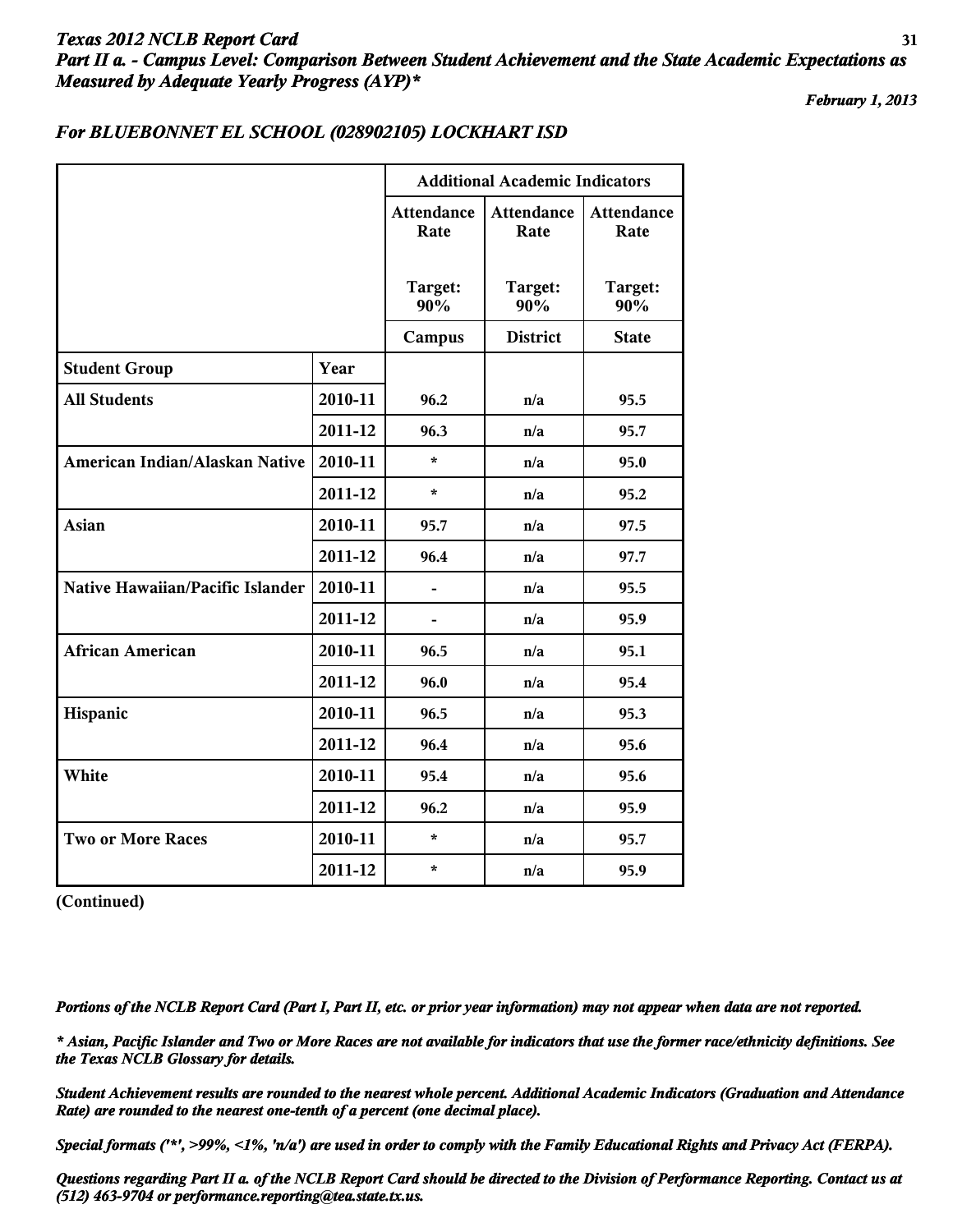## *Texas 2012 NCLB Report Card* **31** *Part II a. - Campus Level: Comparison Between Student Achievement and the State Academic Expectations as Measured by Adequate Yearly Progress (AYP)\**

*February 1, 2013*

|                                  |         | <b>Additional Academic Indicators</b> |                           |                           |  |
|----------------------------------|---------|---------------------------------------|---------------------------|---------------------------|--|
|                                  |         | <b>Attendance</b><br>Rate             | <b>Attendance</b><br>Rate | <b>Attendance</b><br>Rate |  |
|                                  |         | Target:<br>90%                        | Target:<br>90%            | Target:<br>90%            |  |
|                                  |         | Campus                                | <b>District</b>           | <b>State</b>              |  |
| <b>Student Group</b>             | Year    |                                       |                           |                           |  |
| <b>All Students</b>              | 2010-11 | 96.2                                  | n/a                       | 95.5                      |  |
|                                  | 2011-12 | 96.3                                  | n/a                       | 95.7                      |  |
| American Indian/Alaskan Native   | 2010-11 | $\star$                               | n/a                       | 95.0                      |  |
|                                  | 2011-12 | $\star$                               | n/a                       | 95.2                      |  |
| Asian                            | 2010-11 | 95.7                                  | n/a                       | 97.5                      |  |
|                                  | 2011-12 | 96.4                                  | n/a                       | 97.7                      |  |
| Native Hawaiian/Pacific Islander | 2010-11 |                                       | n/a                       | 95.5                      |  |
|                                  | 2011-12 | $\blacksquare$                        | n/a                       | 95.9                      |  |
| <b>African American</b>          | 2010-11 | 96.5                                  | n/a                       | 95.1                      |  |
|                                  | 2011-12 | 96.0                                  | n/a                       | 95.4                      |  |
| Hispanic                         | 2010-11 | 96.5                                  | n/a                       | 95.3                      |  |
|                                  | 2011-12 | 96.4                                  | n/a                       | 95.6                      |  |
| White                            | 2010-11 | 95.4                                  | n/a                       | 95.6                      |  |
|                                  | 2011-12 | 96.2                                  | n/a                       | 95.9                      |  |
| <b>Two or More Races</b>         | 2010-11 | $\star$                               | n/a                       | 95.7                      |  |
|                                  | 2011-12 | $\star$                               | n/a                       | 95.9                      |  |

## *For BLUEBONNET EL SCHOOL (028902105) LOCKHART ISD*

**(Continued)**

*Portions of the NCLB Report Card (Part I, Part II, etc. or prior year information) may not appear when data are not reported.*

*\* Asian, Pacific Islander and Two or More Races are not available for indicators that use the former race/ethnicity definitions. See the Texas NCLB Glossary for details.*

*Student Achievement results are rounded to the nearest whole percent. Additional Academic Indicators (Graduation and Attendance Rate) are rounded to the nearest one-tenth of a percent (one decimal place).*

*Special formats ('\*', >99%, <1%, 'n/a') are used in order to comply with the Family Educational Rights and Privacy Act (FERPA).*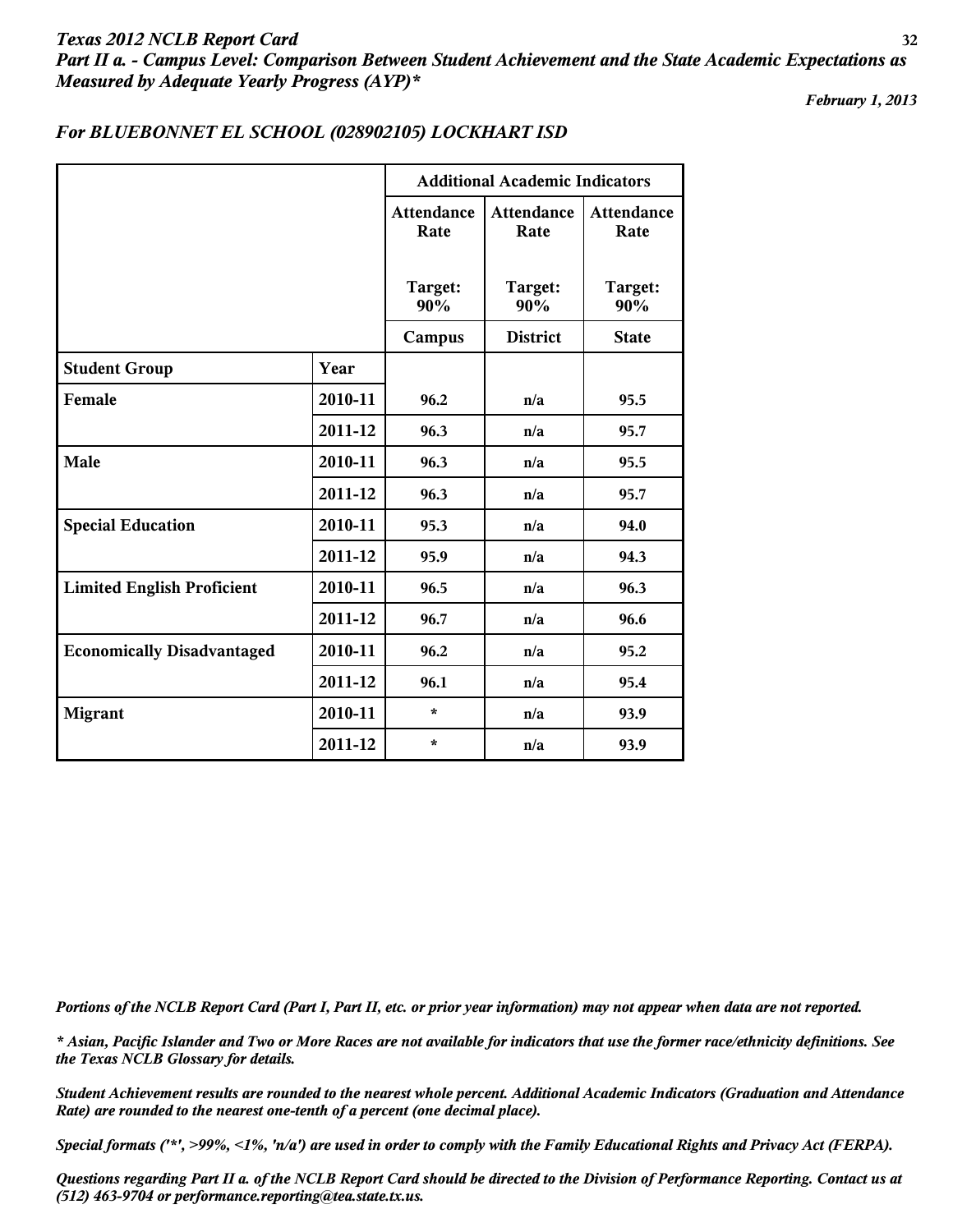# *Texas 2012 NCLB Report Card* **32** *Part II a. - Campus Level: Comparison Between Student Achievement and the State Academic Expectations as Measured by Adequate Yearly Progress (AYP)\**

*February 1, 2013*

|                                   |         | <b>Additional Academic Indicators</b> |                           |                           |  |
|-----------------------------------|---------|---------------------------------------|---------------------------|---------------------------|--|
|                                   |         | <b>Attendance</b><br>Rate             | <b>Attendance</b><br>Rate | <b>Attendance</b><br>Rate |  |
|                                   |         | Target:<br>90%                        | Target:<br>90%            | Target:<br>90%            |  |
|                                   |         | Campus                                | <b>District</b>           | <b>State</b>              |  |
| <b>Student Group</b>              | Year    |                                       |                           |                           |  |
| Female                            | 2010-11 | 96.2                                  | n/a                       | 95.5                      |  |
|                                   | 2011-12 | 96.3                                  | n/a                       | 95.7                      |  |
| Male                              | 2010-11 | 96.3                                  | n/a                       | 95.5                      |  |
|                                   | 2011-12 | 96.3                                  | n/a                       | 95.7                      |  |
| <b>Special Education</b>          | 2010-11 | 95.3                                  | n/a                       | 94.0                      |  |
|                                   | 2011-12 | 95.9                                  | n/a                       | 94.3                      |  |
| <b>Limited English Proficient</b> | 2010-11 | 96.5                                  | n/a                       | 96.3                      |  |
|                                   | 2011-12 | 96.7                                  | n/a                       | 96.6                      |  |
| <b>Economically Disadvantaged</b> | 2010-11 | 96.2                                  | n/a                       | 95.2                      |  |
|                                   | 2011-12 | 96.1                                  | n/a                       | 95.4                      |  |
| <b>Migrant</b>                    | 2010-11 | $\star$                               | n/a                       | 93.9                      |  |
|                                   | 2011-12 | ÷                                     | n/a                       | 93.9                      |  |

## *For BLUEBONNET EL SCHOOL (028902105) LOCKHART ISD*

*Portions of the NCLB Report Card (Part I, Part II, etc. or prior year information) may not appear when data are not reported.*

*\* Asian, Pacific Islander and Two or More Races are not available for indicators that use the former race/ethnicity definitions. See the Texas NCLB Glossary for details.*

*Student Achievement results are rounded to the nearest whole percent. Additional Academic Indicators (Graduation and Attendance Rate) are rounded to the nearest one-tenth of a percent (one decimal place).*

*Special formats ('\*', >99%, <1%, 'n/a') are used in order to comply with the Family Educational Rights and Privacy Act (FERPA).*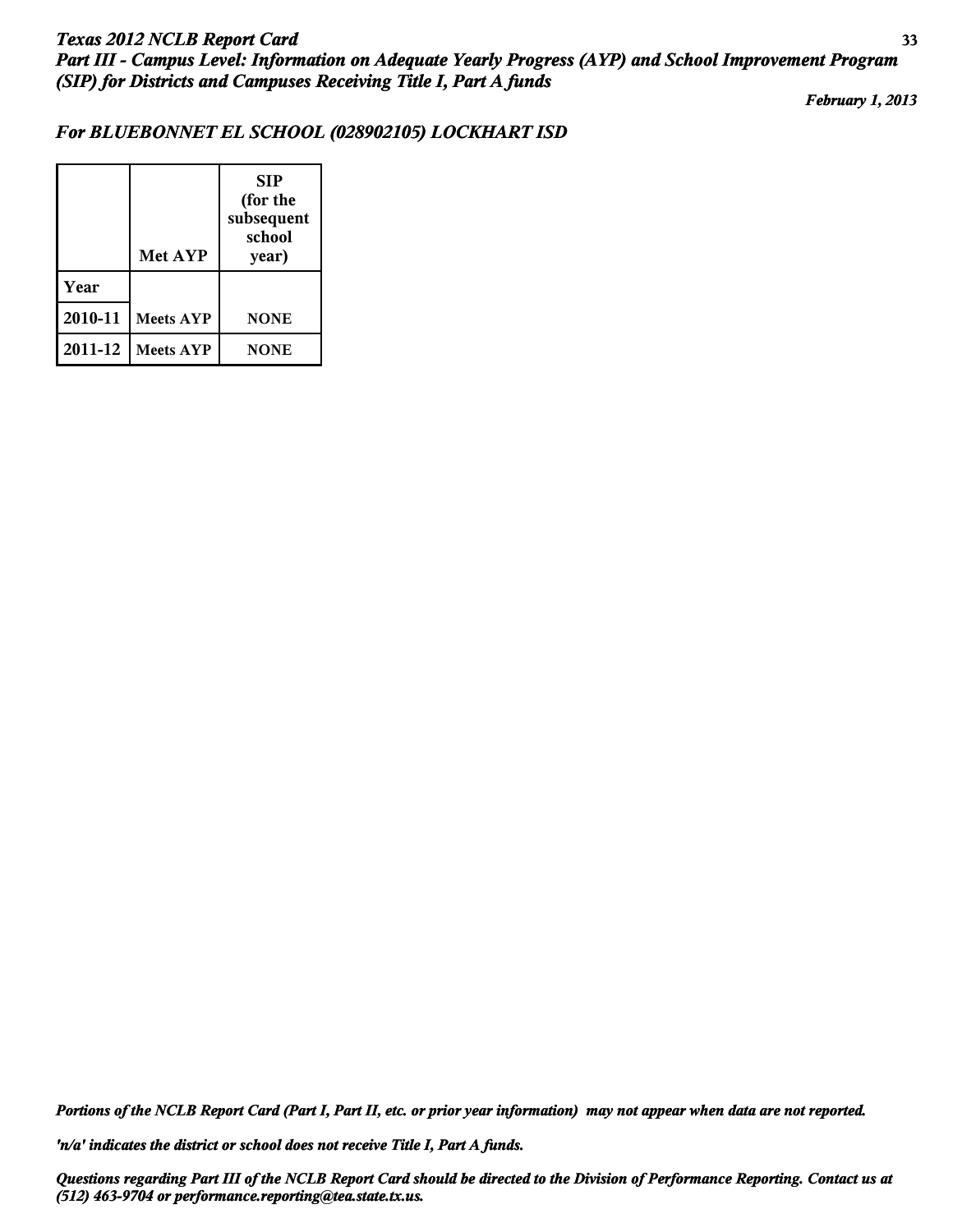*February 1, 2013*

## *For BLUEBONNET EL SCHOOL (028902105) LOCKHART ISD*

|         | <b>Met AYP</b>   | <b>SIP</b><br>(for the<br>subsequent<br>school<br>year) |
|---------|------------------|---------------------------------------------------------|
| Year    |                  |                                                         |
| 2010-11 | <b>Meets AYP</b> | <b>NONE</b>                                             |
| 2011-12 | <b>Meets AYP</b> | <b>NONE</b>                                             |

*Portions of the NCLB Report Card (Part I, Part II, etc. or prior year information) may not appear when data are not reported.*

*'n/a' indicates the district or school does not receive Title I, Part A funds.*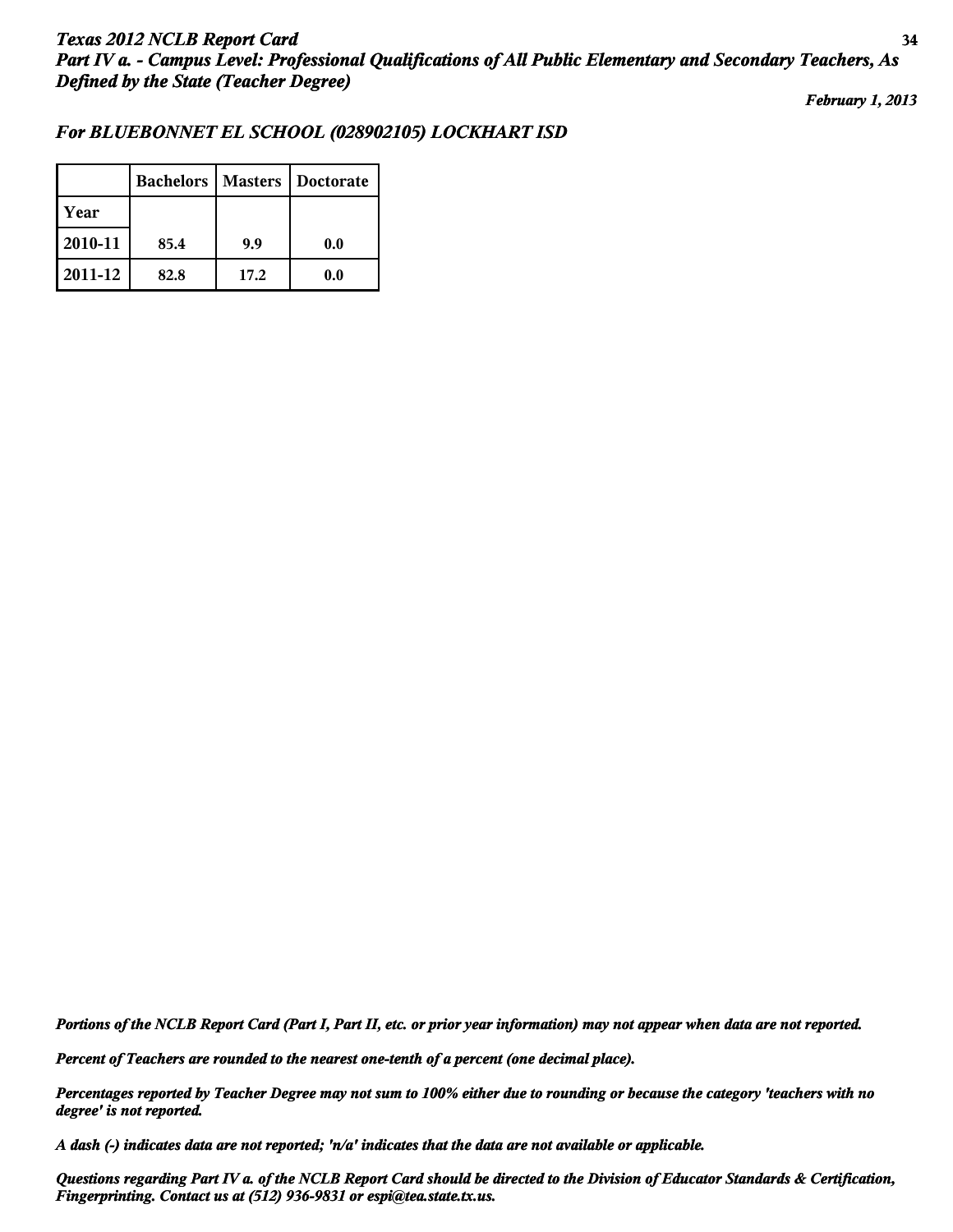*February 1, 2013*

## *For BLUEBONNET EL SCHOOL (028902105) LOCKHART ISD*

|         | <b>Bachelors</b> |      | <b>Masters   Doctorate</b> |
|---------|------------------|------|----------------------------|
| Year    |                  |      |                            |
| 2010-11 | 85.4             | 9.9  | 0.0                        |
| 2011-12 | 82.8             | 17.2 | 0.0                        |

*Portions of the NCLB Report Card (Part I, Part II, etc. or prior year information) may not appear when data are not reported.*

*Percent of Teachers are rounded to the nearest one-tenth of a percent (one decimal place).*

*Percentages reported by Teacher Degree may not sum to 100% either due to rounding or because the category 'teachers with no degree' is not reported.*

*A dash (-) indicates data are not reported; 'n/a' indicates that the data are not available or applicable.*

*Questions regarding Part IV a. of the NCLB Report Card should be directed to the Division of Educator Standards & Certification, Fingerprinting. Contact us at (512) 936-9831 or espi@tea.state.tx.us.*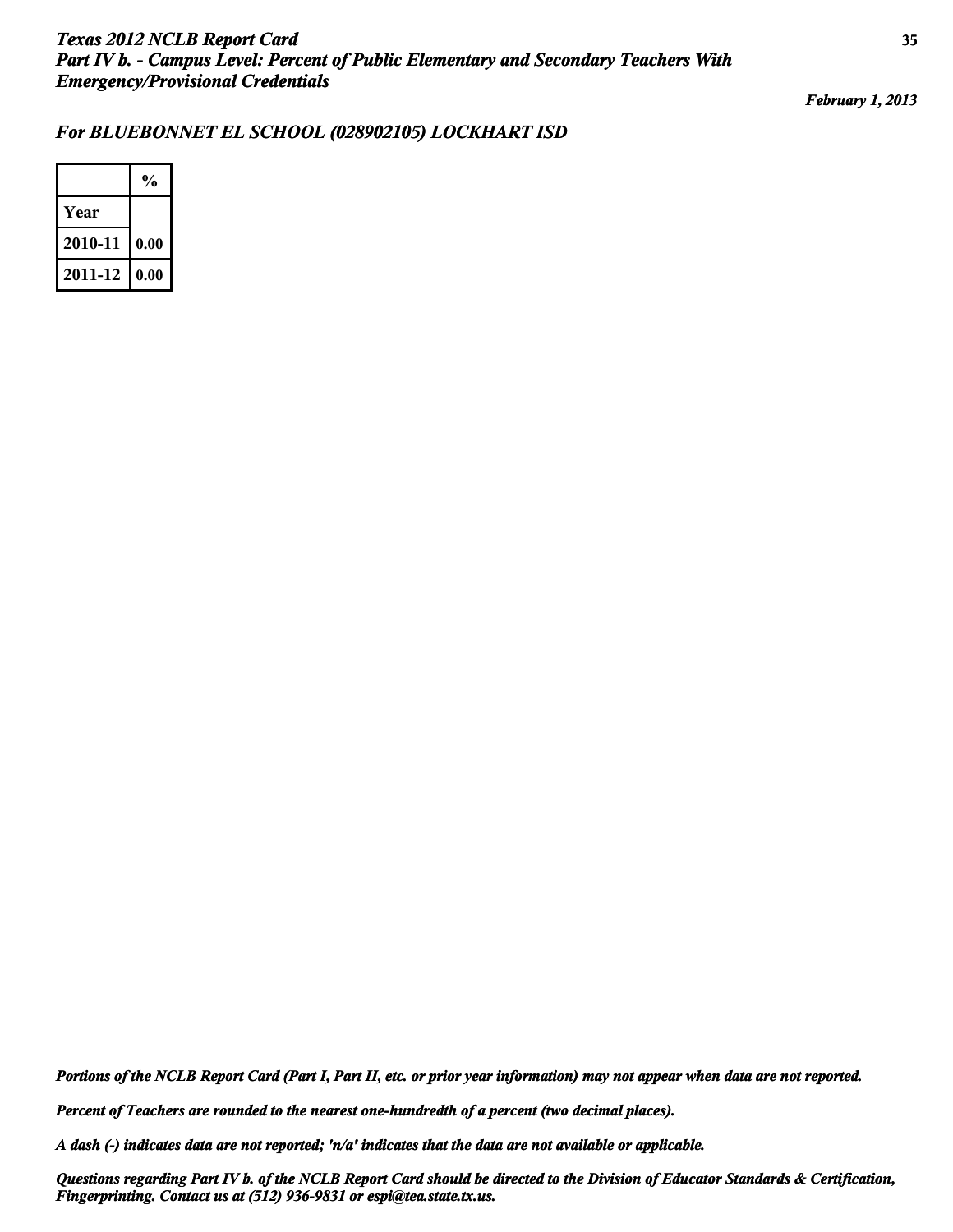*February 1, 2013*

## *For BLUEBONNET EL SCHOOL (028902105) LOCKHART ISD*

|         | $\frac{0}{0}$ |
|---------|---------------|
| Year    |               |
| 2010-11 | 0.00          |
| 2011-12 | 0.00          |

*Portions of the NCLB Report Card (Part I, Part II, etc. or prior year information) may not appear when data are not reported.*

*Percent of Teachers are rounded to the nearest one-hundredth of a percent (two decimal places).*

*A dash (-) indicates data are not reported; 'n/a' indicates that the data are not available or applicable.*

*Questions regarding Part IV b. of the NCLB Report Card should be directed to the Division of Educator Standards & Certification, Fingerprinting. Contact us at (512) 936-9831 or espi@tea.state.tx.us.*